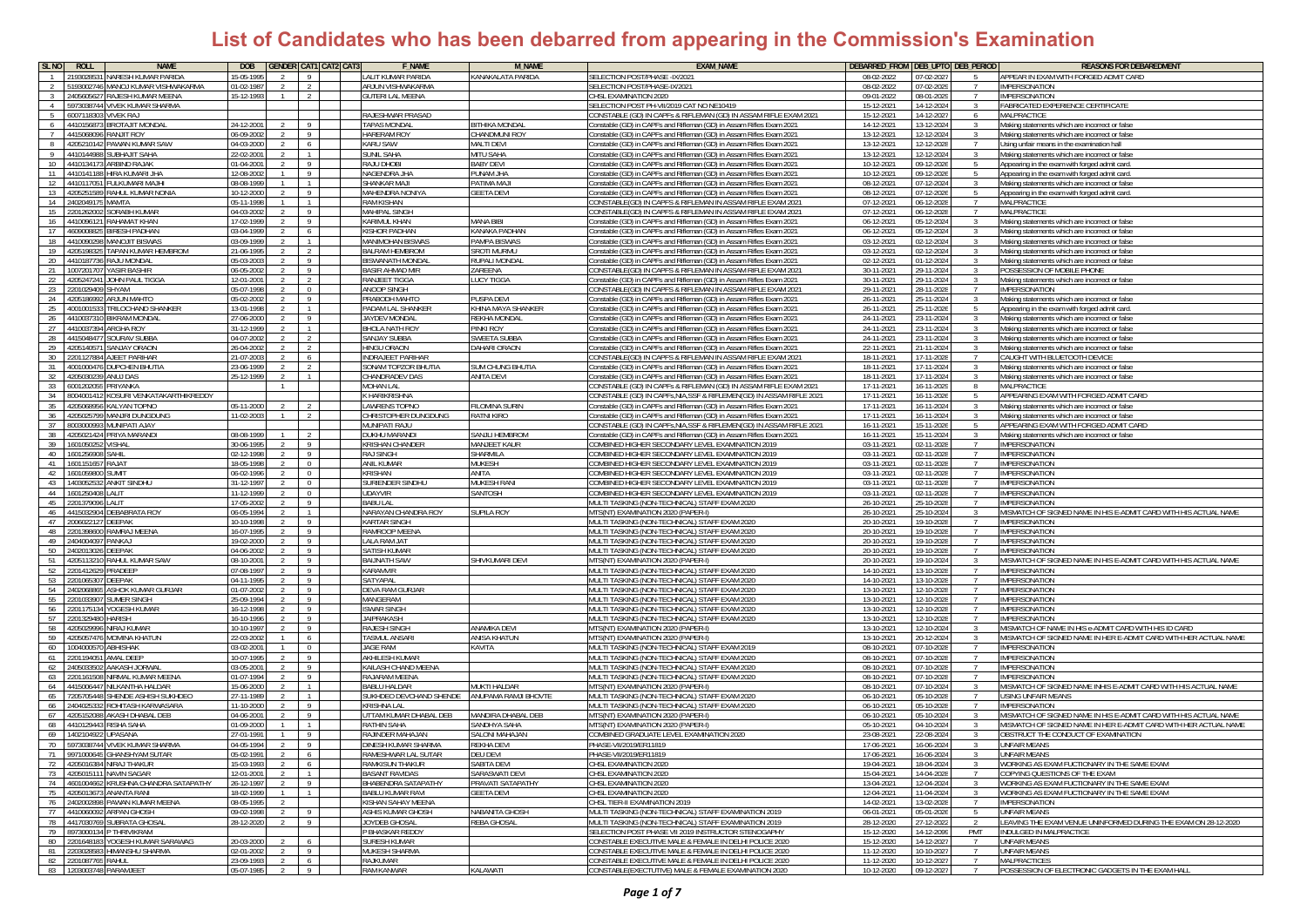| <b>SLNO</b>    | <b>NAME</b><br>ROLL                                                      | <b>DOB</b>               |                       |                       | <b>GENDER CAT1 CAT2 CAT3</b> | <b>F_NAME</b>                                | <b>M_NAME</b>                           | <b>EXAM NAME</b>                                                                                                                         | DEBARRED_FROM DEB_UPTO DEB_PERIOD |                          |                                 | <b>REASONS FOR DEBAREDMENT</b>                                                                   |
|----------------|--------------------------------------------------------------------------|--------------------------|-----------------------|-----------------------|------------------------------|----------------------------------------------|-----------------------------------------|------------------------------------------------------------------------------------------------------------------------------------------|-----------------------------------|--------------------------|---------------------------------|--------------------------------------------------------------------------------------------------|
|                | NARESH KUMAR PARIDA<br>'19302853                                         | 5-05-199                 |                       | $\overline{9}$        |                              | LALIT KUMAR PARIDA                           | KANAKALATA PARIDA                       | SELECTION POST/PHASE -IX/2021                                                                                                            | 08-02-2022                        | 07-02-202                |                                 | APPEAR IN EXAM WITH FORGED ADMIT CARD                                                            |
|                | 193002746<br>ANO I KUMAR VISHWAKARMA                                     | 01-02-198                |                       | $\overline{2}$        |                              | AR IUN VISHWAKARM                            |                                         | <b>SELECTION POST/PHASE-IX/2021</b>                                                                                                      | 08-02-2022                        | 07-02-202                |                                 | <b>IMPERSONATION</b>                                                                             |
|                | 40560562<br>RAJESH KUMAR MEENA                                           | 15-12-1993               |                       |                       |                              | GUTERI LAL MEENA                             |                                         | <b>HSL EXAMINATION 2020</b>                                                                                                              | 09-01-2022                        | 08-01-202                |                                 | <b>IMPERSONATION</b>                                                                             |
| $\overline{4}$ | 5973038744 VIVEK KUMAR SHARMA                                            |                          |                       |                       |                              |                                              |                                         | SELECTION POST PH-VII/2019 CAT NO NE10419                                                                                                | 15-12-2021                        | 14-12-2024               | -3                              | FABRICATED EXPERIENCE CERTIFICATE                                                                |
| -5             | 6007118303 VIVEK RAJ                                                     |                          |                       |                       |                              | RAJESHWAR PRASAD                             |                                         | ONSTABLE (GD) IN CAPFs & RIFLEMAN (GD) IN ASSAM RIFLE EXAM 2021                                                                          | 15-12-2021                        | 14-12-2027               | 6                               | MALPRACTICE                                                                                      |
| 6              | <b>BROTAJIT MONDAL</b><br>4410156873                                     | 24-12-200                |                       |                       |                              | <b>TAPAS MONDAL</b>                          | <b>BITHIKA MONDA</b>                    | onstable (GD) in CAPFs and Rifleman (GD) in Assam Rifles Exam 2021                                                                       | 14-12-2021                        | 13-12-2024               | -3                              | Making statements which are incorrect or false                                                   |
|                | 4415068096 RANJIT ROY                                                    | 06-09-2002               |                       | $\overline{9}$        |                              | <b>HARERAM ROY</b>                           | <b>HANDMUNI ROY</b>                     | onstable (GD) in CAPFs and Rifleman (GD) in Assam Rifles Exam 2021                                                                       | 13-12-2021                        | 12-12-2024               | -3                              | Making statements which are incorrect or false                                                   |
|                | 4205210142<br>PAWAN KUMAR SAW                                            | 04-03-200                |                       | - 6                   |                              | <b>KARU SAW</b>                              | <b>MALTI DEVI</b>                       | onstable (GD) in CAPFs and Rifleman (GD) in Assam Rifles Exam 2021                                                                       | 13-12-2021                        | 12-12-202                |                                 | Using unfair means in the examination hall                                                       |
| 9              | 441014498<br><b>JUBHAJIT SAHA</b>                                        | 22-02-2001               |                       | $\overline{1}$        |                              | <b>SUNIL SAHA</b>                            | <b>MITU SAHA</b>                        | onstable (GD) in CAPEs and Rifleman (GD) in Assam Rifles Exam 2021                                                                       | 13-12-2021                        | 12-12-202                |                                 | Aaking statements which are incorrect or false                                                   |
| 10<br>11       | 4410134173<br><b>ARBIND RAJAK</b><br>441014118<br><b>IIRA KUMARI JHA</b> | 01-04-2001<br>12-08-2002 |                       | -9<br>$\overline{9}$  |                              | RAJU DHOBI<br>NAGENDRA JHA                   | <b>BABY DEVI</b><br><b>AHL MANU</b>     | onstable (GD) in CAPFs and Rifleman (GD) in Assam Rifles Exam 2021                                                                       | 10-12-2021<br>10-12-2021          | 09-12-202<br>09-12-202   |                                 | Appearing in the exam with forged admit card.                                                    |
| 12             | 441011705<br><b>FULKUMARI MAJHI</b>                                      | 08-08-1999               |                       | $\overline{1}$        |                              | SHANKAR MAJ                                  | LAM AMITA <sup>C</sup>                  | onstable (GD) in CAPFs and Rifleman (GD) in Assam Rifles Exam 2021<br>onstable (GD) in CAPFs and Rifleman (GD) in Assam Rifles Exam 2021 | 08-12-2021                        | 07-12-202                |                                 | Appearing in the exam with forged admit card.<br>Making statements which are incorrect or false  |
| 13             | 4205251589 RAHUL KUMAR NONIA                                             | 10-12-2000               |                       | $\overline{9}$        |                              | MAHENDRA NONIYA                              | <b>GEETA DEVI</b>                       | onstable (GD) in CAPFs and Rifleman (GD) in Assam Rifles Exam 2021                                                                       | 08-12-2021                        | 07-12-202                | $-5$                            | Appearing in the exam with forged admit card.                                                    |
| 14             | 2402049175<br><b>MAMTA</b>                                               | 05-11-1998               |                       |                       |                              | <b>RAM KISHAN</b>                            |                                         | ONSTABLE(GD) IN CAPFS & RIFLEMAN IN ASSAM RIFLE EXAM 2021                                                                                | 07-12-2021                        | 06-12-202                |                                 | MALPRACTICE                                                                                      |
| 15             | 2201262002<br>ORABH KUMAR                                                | 04-03-2002               | -2                    |                       |                              | <b>MAHIPAL SINGH</b>                         |                                         | ONSTABLE(GD) IN CAPFS & RIFLEMAN IN ASSAM RIFLE EXAM 2021                                                                                | 07-12-2021                        | 06-12-2028               |                                 | MALPRACTICE                                                                                      |
| 16             | 4410096121<br>RAHAMAT KHAN                                               | 17-02-1999               |                       | - 9                   |                              | KARIMUL KHAN                                 | <b>JANA BIBI</b>                        | onstable (GD) in CAPFs and Rifleman (GD) in Assam Rifles Exam 2021                                                                       | 06-12-2021                        | 05-12-2024               | -3                              | Making statements which are incorrect or false                                                   |
| 17             | 460900882<br><b>BIRESH PADHAN</b>                                        | 03-04-1999               | 2                     | - 6                   |                              | KISHOR PADHAN                                | <b>KANAKA PADHAN</b>                    | onstable (GD) in CAPFs and Rifleman (GD) in Assam Rifles Exam 2021                                                                       | 06-12-2021                        | 05-12-2024               |                                 | Making statements which are incorrect or false                                                   |
| 18             | 4410090298 MANOJIT BISWAS                                                | 03-09-1999               | 2                     | - 1                   |                              | MANIMOHAN BISWAS                             | PAMPA BISWAS                            | Constable (GD) in CAPFs and Rifleman (GD) in Assam Rifles Exam 2021                                                                      | 03-12-2021                        | 02-12-2024               | 3                               | Making statements which are incorrect or false                                                   |
| 19             | 4205198325 TAPAN KUMAR HEMBROM                                           | 21-06-1995               | $\mathcal{L}$         | $\overline{2}$        |                              | <b>BALRAM HEMBROM</b>                        | <b>SROTI MURMU</b>                      | Constable (GD) in CAPFs and Rifleman (GD) in Assam Rifles Exam 2021                                                                      | 03-12-2021                        | 02-12-2024               | -3                              | Making statements which are incorrect or false                                                   |
| 20             | 4410187736 RAJU MONDAL                                                   | 05-03-200                |                       | $\overline{9}$        |                              | <b>BISWANATH MONDA</b>                       | <b>RUPALI MONDA</b>                     | onstable (GD) in CAPFs and Rifleman (GD) in Assam Rifles Exam 2021                                                                       | 02-12-2021                        | 01-12-202                |                                 | Making statements which are incorrect or false                                                   |
| 21             | YASIR BASHIR<br>100720170                                                | 06-05-200                |                       | $\overline{9}$        |                              | <b>BASIR AHMAD MIR</b>                       | 'AREENA                                 | ONSTABLE(GD) IN CAPFS & RIFLEMAN IN ASSAM RIFLE EXAM 2021:                                                                               | 30-11-2021                        | 29-11-202                |                                 | POSSESSION OF MOBILE PHONE                                                                       |
| 22             | 4205247241<br>JOHN PAUL TIGGA                                            | 12-01-200                |                       | $\overline{2}$        |                              | RANJEET TIGGA                                | <b>UCY TIGGA</b>                        | onstable (GD) in CAPFs and Rifleman (GD) in Assam Rifles Exam 2021                                                                       | 30-11-2021                        | 29-11-202                |                                 | Making statements which are incorrect or false                                                   |
| 23             | 2201029409<br><b>HYAM</b>                                                | 05-07-1998<br>05-02-200  |                       | $\Omega$<br>Q         |                              | ANOOP SINGH                                  |                                         | ONSTABLE(GD) IN CAPFS & RIFLEMAN IN ASSAM RIFLE EXAM 2021                                                                                | 29-11-2021                        | 28-11-202                | $\overline{7}$<br>$\mathcal{R}$ | <b>IMPERSONATION</b>                                                                             |
| 24             | 4205186992<br><b>ARJUN MAHTO</b>                                         |                          |                       | $\overline{1}$        |                              | PRABODH MAHTO                                | PUSPA DEVI                              | onstable (GD) in CAPFs and Rifleman (GD) in Assam Rifles Exam 2021                                                                       | 26-11-2021                        | 25-11-2024               |                                 | Making statements which are incorrect or false                                                   |
| 25<br>26       | RILOCHAND SHANKER<br>40010015<br>441003731<br><b>BIKRAM MONDA</b>        | 13-01-199<br>27-06-2000  |                       | - 9                   |                              | PADAM LAL SHANKEF<br>JAYDEV MONDAL           | HINA MAYA SHANKER<br><b>EKHA MONDAL</b> | onstable (GD) in CAPFs and Rifleman (GD) in Assam Rifles Exam 2021<br>onstable (GD) in CAPFs and Rifleman (GD) in Assam Rifles Exam 2021 | 26-11-2021<br>24-11-2021          | 25-11-202<br>23-11-202   |                                 | Appearing in the exam with forged admit card<br>Making statements which are incorrect or false   |
| 27             | 4410037394<br>ARGHA ROY                                                  | 31-12-1999               |                       | $\overline{1}$        |                              | BHOI A NATH ROY                              | inki Roy                                | onstable (GD) in CAPFs and Rifleman (GD) in Assam Rifles Exam 2021                                                                       | 24-11-2021                        | 23-11-2024               |                                 | Aaking statements which are incorrect or false                                                   |
| 28             | 4415048477<br><b>SOURAV SUBBA</b>                                        | 04-07-2002               |                       | $\overline{2}$        |                              | SANJAY SUBBA                                 | <b>NEETA SUBBA</b>                      | onstable (GD) in CAPFs and Rifleman (GD) in Assam Rifles Exam 2021                                                                       | 24-11-2021                        | 23-11-202                | -3-                             | Making statements which are incorrect or false                                                   |
| 29             | 420514057<br>SANJAY ORAON                                                | 26-04-2002               |                       | $\overline{2}$        |                              | HINGU ORAON                                  | <b>AHARI ORAON</b>                      | onstable (GD) in CAPFs and Rifleman (GD) in Assam Rifles Exam 2021                                                                       | 22-11-2021                        | 21-11-202                |                                 | Making statements which are incorrect or false                                                   |
| 30             | A JFFT PARIHAR<br>2201127884                                             | 21-07-200                |                       | - 6                   |                              | <b>INDRAJEET PARIHAR</b>                     |                                         | ONSTABLE(GD) IN CAPFS & RIFLEMAN IN ASSAM RIFLE EXAM 2021                                                                                | 18-11-202                         | 17-11-202                |                                 | CAUGHT WITH BLUETOOTH DEVICE                                                                     |
| 31             | 4001000476 DUPCHEN BHUTIA                                                | 23-06-1999               | $\overline{2}$        | $\overline{2}$        |                              | SONAM TOPZOR BHUTIA                          | <b>SUM CHUNG BHUTIA</b>                 | onstable (GD) in CAPFs and Rifleman (GD) in Assam Rifles Exam 2021                                                                       | 18-11-2021                        | 17-11-2024               | -3                              | Making statements which are incorrect or false                                                   |
| 32             | 420503023<br>ANUJ DAS                                                    | 25-12-1999               | 2                     |                       |                              | CHANDRADEV DAS                               | ANITA DEVI                              | onstable (GD) in CAPFs and Rifleman (GD) in Assam Rifles Exam 2021                                                                       | 18-11-2021                        | 17-11-202                | 3                               | Making statements which are incorrect or false                                                   |
| 33             | RIYANKA<br>600120205                                                     |                          |                       |                       |                              | <b>MOHAN LAL</b>                             |                                         | ONSTABLE (GD) IN CAPFs & RIFLEMAN (GD) IN ASSAM RIFLE EXAM 2021                                                                          | 17-11-202                         | 16-11-202                |                                 | MALPRACTICE                                                                                      |
| 34             | OSURI VENKATAKARTHIKREDDY<br>8004001412                                  |                          |                       |                       |                              | K HARIKRISHNA                                |                                         | ONSTABLE (GD) IN CAPFs.NIA.SSF & RIFLEMEN(GD) IN ASSAM RIFLE 2021                                                                        | 17-11-202                         | 16-11-202                |                                 | APPEARING EXAM WITH FORGED ADMIT CARD                                                            |
| 35<br>36       | 4205068956<br><b>ALYAN TOPNO</b><br>4205025799 MANJRI DUNGDUNG           | 05-11-2000<br>11-02-2003 |                       | $\overline{2}$        |                              | <b>LAWRENS TOPNO</b><br>CHRISTOPHER DUNGDUNG | <b>FILOMINA SURIN</b><br>RATNI KIRO     | onstable (GD) in CAPFs and Rifleman (GD) in Assam Rifles Exam 2021<br>onstable (GD) in CAPFs and Rifleman (GD) in Assam Rifles Exam 2021 | 17-11-2021<br>17-11-2021          | 16-11-2024<br>16-11-2024 | -3<br>$\mathcal{R}$             | Making statements which are incorrect or false<br>Making statements which are incorrect or false |
| 37             | MUNIPATI AJAY<br>8003000993                                              |                          |                       |                       |                              | <b>MUNIPATI RAJU</b>                         |                                         | ONSTABLE (GD) IN CAPFs, NIA, SSF & RIFLEMEN(GD) IN ASSAM RIFLE 2021                                                                      | 16-11-2021                        | 15-11-202                |                                 | APPEARING EXAM WITH FORGED ADMIT CARD                                                            |
| 38             | 4205021424 PRIYA MARANDI                                                 | 08-08-1999               |                       |                       |                              | <b>DUKHU MARANDI</b>                         | <b>SANJLI HEMBROM</b>                   | onstable (GD) in CAPFs and Rifleman (GD) in Assam Rifles Exam 2021                                                                       | 16-11-2021                        | 15-11-2024               | -3                              | Making statements which are incorrect or false                                                   |
| 39             | 1601050252<br><b>ISHAL</b>                                               | 30-06-1995               |                       | $\overline{9}$        |                              | KRISHAN CHANDER                              | <b>MANJEET KAUR</b>                     | OMBINED HIGHER SECONDARY LEVEL EXAMINATION 2019                                                                                          | 03-11-2021                        | 02-11-202                |                                 | IMPERSONATION                                                                                    |
| 40             | 1601256908<br>SAHII                                                      | 02-12-1998               | 2                     | $\overline{9}$        |                              | <b>RAJ SINGH</b>                             | <b>HARMILA</b>                          | OMBINED HIGHER SECONDARY LEVEL EXAMINATION 2019                                                                                          | 03-11-2021                        | 02-11-2028               |                                 | <b>IMPERSONATION</b>                                                                             |
| 41             | 1601151657 RAJAT                                                         | 18-05-1998               | 2                     | $\sqrt{0}$            |                              | ANIL KUMAR                                   | <b>NUKESH</b>                           | OMBINED HIGHER SECONDARY LEVEL EXAMINATION 2019                                                                                          | 03-11-2021                        | 02-11-2028               | -7                              | <b>IMPERSONATION</b>                                                                             |
| 42             | 1601059800<br>SUMIT                                                      | 06-02-1996               | $\mathcal{L}$         | $\Omega$              |                              | KRISHAN                                      | <b>NITA</b>                             | OMBINED HIGHER SECONDARY LEVEL EXAMINATION 2019                                                                                          | 03-11-2021                        | 02-11-2028               | $\overline{7}$                  | <b>IMPERSONATION</b>                                                                             |
| 43             | 1403052532 ANKIT SINDHU                                                  | 31-12-1997               |                       | $\Omega$              |                              | SURIENDER SINDHU                             | <b>MUKESH RANI</b>                      | OMBINED HIGHER SECONDARY LEVEL EXAMINATION 2019                                                                                          | 03-11-2021                        | 02-11-202                | $\overline{7}$                  | IMPERSONATION                                                                                    |
| 44             | 1601250408 LALIT<br>2201379096 LALIT                                     | 11-12-1999<br>17-05-200  |                       | $\overline{0}$<br>- 9 |                              | <b>UDAYVIR</b><br><b>BABU LAL</b>            | SANTOSH                                 | COMBINED HIGHER SECONDARY LEVEL EXAMINATION 2019                                                                                         | 03-11-2021<br>26-10-2021          | 02-11-202                | $\overline{7}$                  | <b>IMPERSONATION</b><br><b>IMPERSONATION</b>                                                     |
| 45<br>46       | 441503290<br><b>DEBABRATA ROY</b>                                        | 06-05-199                |                       | $\overline{1}$        |                              | NARAYAN CHANDRA ROY                          | <b>UPILA ROY</b>                        | MULTI TASKING (NON-TECHNICAL) STAFF EXAM 2020<br><b>MTS(NT) EXAMINATION 2020 (PAPER-I</b>                                                | 26-10-202                         | 25-10-202<br>25-10-202   |                                 | MISMATCH OF SIGNED NAME IN HIS E-ADMIT CARD WITH HIS ACTUAL NAME                                 |
| 47             | 20060221<br>EEPAK                                                        | 10-10-19                 |                       | $\overline{Q}$        |                              | <b>KARTAR SINGH</b>                          |                                         | IULTI TASKING (NON-TECHNICAL) STAFF EXAM 2020                                                                                            | 20-10-202                         | 19-10-202                |                                 | <b>IMPERSONATION</b>                                                                             |
| 48             | RAMRAJ MEENA<br>2201398600                                               | 16-07-1995               |                       | Q                     |                              | RAMROOP MEENA                                |                                         | IULTI TASKING (NON-TECHNICAL) STAFF EXAM 2020                                                                                            | 20-10-2021                        | 19-10-202                |                                 | <b>IMPERSONATION</b>                                                                             |
| 49             | 2404004097<br>PANKAJ                                                     | 19-02-2000               |                       | $\overline{9}$        |                              | LALA RAM JAT                                 |                                         | <b>MULTI TASKING (NON-TECHNICAL) STAFF EXAM 2020</b>                                                                                     | 20-10-2021                        | 19-10-202                | $\overline{7}$                  | <b>IMPERSONATION</b>                                                                             |
| 50             | EEPAK                                                                    | 04-06-2002               |                       | $\overline{9}$        |                              | <b>SATISH KUMAR</b>                          |                                         | <b>JULTI TASKING (NON-TECHNICAL) STAFF EXAM 2020</b>                                                                                     | 20-10-2021                        | 19-10-202                |                                 | <b>IMPERSONATION</b>                                                                             |
| 51             | RAHUL KUMAR SAW                                                          | 8-10-200                 |                       | $\overline{9}$        |                              | <b>BAIJNATH SAW</b>                          | HIVKUMARI DEVI                          | ITS(NT) EXAMINATION 2020 (PAPER-I                                                                                                        | 20-10-2021                        | 19-10-202                |                                 | MISMATCH OF SIGNED NAME IN HIS E-ADMIT CARD WITH HIS ACTUAL NAME                                 |
| 52             | 2201412629<br>RADEEP                                                     | 07-08-199                | 2                     | $\overline{9}$        |                              | KARAMVIR                                     |                                         | IULTI TASKING (NON-TECHNICAL) STAFF EXAM 2020                                                                                            | 14-10-2021                        | 13-10-202                |                                 | MPFRSONATION                                                                                     |
| 53             | 2201065307<br><b>JEEPAK</b>                                              | 04-11-1995               |                       | $\overline{9}$        |                              | SATYAPAL                                     |                                         | <b>MULTI TASKING (NON-TECHNICAL) STAFF EXAM 2020</b>                                                                                     | 14-10-2021                        | 13-10-202                | -7                              | <b>IMPERSONATION</b>                                                                             |
| 54<br>55       | <b>ASHOK KUMAR GURJAR</b><br>2402068865<br>SUMER SINGH<br>2201033907     | 01-07-2002<br>25-09-1994 | $\mathcal{L}$<br>2    | Q<br>- 9              |                              | DEVA RAM GURJAR<br>MANGERAM                  |                                         | <b>JULTI TASKING (NON-TECHNICAL) STAFF EXAM 2020</b><br><b>JULTI TASKING (NON-TECHNICAL) STAFF EXAM 2020</b>                             | 13-10-2021<br>13-10-2021          | 12-10-2028<br>12-10-2028 | $\overline{7}$                  | <b>IMPERSONATION</b><br><b>IMPERSONATION</b>                                                     |
| 56             | 2201175134 YOGESH KUMAR                                                  | 16-12-199                |                       | - 9                   |                              | <b>ISWAR SINGH</b>                           |                                         | MULTI TASKING (NON-TECHNICAL) STAFF EXAM 2020                                                                                            | 13-10-2021                        | 12-10-202                |                                 | <b>IMPERSONATION</b>                                                                             |
| 57             | 2201329480<br><b>HARISH</b>                                              | 16-10-199                |                       | $\mathbf{Q}$          |                              | <b>JAIPRAKASH</b>                            |                                         | MULTI TASKING (NON-TECHNICAL) STAFF EXAM 2020                                                                                            | 13-10-2021                        | 12-10-202                |                                 | <b>IMPERSONATION</b>                                                                             |
| 58             | 420502999<br>IIRAJ KUMAR                                                 | 10-10-19                 |                       | $\overline{9}$        |                              | <b>RAJESH SINGH</b>                          | ANAMIKA DEV                             | <b>MTS(NT) EXAMINATION 2020 (PAPER-I</b>                                                                                                 | 13-10-2021                        | 12-10-202                |                                 | MISMATCH OF NAME IN HIS e-ADMIT CARD WITH HIS ID CARD                                            |
| 59             | 420505747<br><b>MOMINA KHATUN</b>                                        | 22-03-20                 |                       | -6                    |                              | <b>TASMUL ANSAR</b>                          | <b>INISA KHATUN</b>                     | <b>MTS(NT) EXAMINATION 2020 (PAPER-</b>                                                                                                  | 13-10-2021                        | 20-12-202                |                                 | MISMATCH OF SIGNED NAME IN HER E-ADMIT CARD WITH HER ACTUAL NAME                                 |
| 60             | 00400057<br>BHISHAK                                                      | 03-02-200                |                       |                       |                              | <b>JAGE RAM</b>                              | <b>AVITA</b>                            | <b>MULTI TASKING (NON-TECHNICAL) STAFF EXAM 2019</b>                                                                                     | 08-10-2021                        | 07-10-202                | $\overline{7}$                  | <b>IMPERSONATION</b>                                                                             |
| 61             | 220119405<br>AMAL DEEP                                                   | 10-07-1995               |                       | Q                     |                              | <b>AKHILESH KUMAR</b>                        |                                         | <b>MULTI TASKING (NON-TECHNICAL) STAFF EXAM 2020</b>                                                                                     | 08-10-2021                        | 07-10-202                | $\overline{7}$                  | <b>IMPERSONATION</b>                                                                             |
| 62             | AAKASH JORWAI<br>240503350                                               | 03-05-2001               |                       | -9                    |                              | KAILASH CHAND MEENA                          |                                         | MULTI TASKING (NON-TECHNICAL) STAFF EXAM 2020                                                                                            | 08-10-2021                        | 07-10-2028               | 7                               | <b>IMPERSONATION</b>                                                                             |
| 63<br>64       | <b>IRMAL KUMAR MEENA</b><br>20116150<br>4415006447<br>IILKANTHA HALDAR   | 01-07-1994<br>15-06-2000 |                       | $\overline{9}$        |                              | RAJARAM MEENA<br><b>BABLU HALDAR</b>         | <b><i>INKTI HALDAR</i></b>              | MULTI TASKING (NON-TECHNICAL) STAFF EXAM 2020<br><b>MTS(NT) EXAMINATION 2020 (PAPER-I)</b>                                               | 08-10-2021<br>08-10-2021          | 07-10-2028<br>07-10-2024 |                                 | <b>IMPERSONATION</b><br>IISMATCH OF SIGNED NAME INHIS E-ADMIT CARD WITH HIS ACTUAL NAME          |
| 65             | 105705448<br>HENDE ASHISH SUKHDE                                         | 27-11-1989               |                       |                       |                              | <b>JUKHDEO DEVCHAND SHENDE</b>               | ANUPAMA RAMJI BHOVTE                    | /IULTI TASKING (NON-TECHNICAL) STAFF EXAM 202                                                                                            | 06-10-2021                        | 05-10-202                |                                 | ISING UNFAIR MEANS                                                                               |
| 66             | <b>ROHITASH KARWASARA</b><br>2404025332                                  | 11-10-2000               | 2                     | - 9                   |                              | <b>KRISHNA LAL</b>                           |                                         | <b>JULTI TASKING (NON-TECHNICAL) STAFF EXAM 2020</b>                                                                                     | 06-10-2021                        | 05-10-2028               | -7                              | MPERSONATION                                                                                     |
| 67             | AKASH DHABAL DEB<br>4205152088                                           | 04-06-2001               | $\mathcal{L}$         | $\mathbf{Q}$          |                              | UTTAM KUMAR DHABAL DEB                       | <b>MANDIRA DHABAL DEB</b>               | MTS(NT) EXAMINATION 2020 (PAPER-I)                                                                                                       | 06-10-2021                        | 05-10-2024               | -3                              | MISMATCH OF SIGNED NAME IN HIS E-ADMIT CARD WITH HIS ACTUAL NAME                                 |
| 68             | 4410129443 RISHA SAHA                                                    | 01-09-200                |                       |                       |                              | <b>RATHIN SAHA</b>                           | <b>SANDHYA SAHA</b>                     | MTS(NT) EXAMINATION 2020 (PAPER-I                                                                                                        | 05-10-202                         | 04-10-202                |                                 | MISMATCH OF SIGNED NAME IN HER E-ADMIT CARD WITH HER ACTUAL NAME                                 |
| 69             | 1402104922 UPASANA                                                       | 27-01-199                |                       | - 9                   |                              | RAJINDER MAHAJAN                             | SALONI MAHAJAN                          | COMBINED GRADUATE LEVEL EXAMINATION 2020                                                                                                 | 23-08-2021                        | 22-08-202                |                                 | OBSTRUCT THE CONDUCT OF EXAMINATION                                                              |
| 70             | 5973038744 VIVEK KUMAR SHARMA                                            | 04-05-199                |                       | $\overline{9}$        |                              | DINESH KUMAR SHARMA                          | <b>REKHA DEVI</b>                       | HASE-VII/2019/ER11819                                                                                                                    | 17-06-2021                        | 16-06-202                |                                 | <b>UNFAIR MEANS</b>                                                                              |
|                | 9971000645 GHANSHYAMS                                                    |                          |                       |                       |                              | RAMESHWAR LAL SUTAR                          |                                         |                                                                                                                                          | 17-06-202                         | 6-06-20                  |                                 | <b>INFAIR MEANS</b>                                                                              |
| 72<br>73       | 4205016384 NIRAJ THAKUR<br>4205015111 NAVIN SAGAR                        | 15-03-1993<br>12-01-2001 | $\mathcal{L}$         | - 6<br>$\overline{1}$ |                              | RAMKISUN THAKUR<br><b>BASANT RAVIDAS</b>     | <b>SABITA DEVI</b><br>SARASWATI DEVI    | <b>CHSL EXAMINATION 2020</b><br>CHSL EXAMINATION 2020                                                                                    | 19-04-2021<br>15-04-2021          | 18-04-2024<br>14-04-202  |                                 | WORKING AS EXAM FUCTIONARY IN THE SAME EXAM<br>COPYING QUESTIONS OF THE EXAM                     |
| 74             | 4601004662 KRUSHNA CHANDRA SATAPATHY                                     | 26-12-1997               | $\overline{2}$        | 9                     |                              | <b>BHABENDRA SATAPATHY</b>                   | PRAVATI SATAPATHY                       | CHSL EXAMINATION 2020                                                                                                                    | 13-04-2021                        | 12-04-2024               |                                 | WORKING AS EXAM FUCTIONARY IN THE SAME EXAM                                                      |
| 75             | 4205013673 ANANTA RANI                                                   | 18-02-1999               | $\mathbf{1}$          | l 1                   |                              | <b>BABLU KUMAR RAVI</b>                      | GEETA DEVI                              | CHSL EXAMINATION 2020                                                                                                                    | 12-04-2021                        | 11-04-202                | -3                              | WORKING AS EXAM FUCTIONARY IN THE SAME EXAM                                                      |
| 76             | 2402002898 PAWAN KUMAR MEENA                                             | 08-05-1995               |                       |                       |                              | KISHAN SAHAY MEENA                           |                                         | HSL TIER-II EXAMINATION 2019                                                                                                             | 14-02-2021                        | 13-02-202                |                                 | <b>IMPERSONATION</b>                                                                             |
| 77             | 4410060092 ARPAN GHOSH                                                   | 09-02-1998               | 2                     | $\overline{9}$        |                              | <b>ASHIS KUMAR GHOSH</b>                     | <b>JABANITA GHOSH</b>                   | MULTI TASKING (NON-TECHNICAL) STAFF EXAMINATION 2019                                                                                     | 06-01-2021                        | 05-01-202                |                                 | UNFAIR MEANS                                                                                     |
| 78             | 4417030769<br><b>SUBRATA GHOSAL</b>                                      | 28-12-2020               | 2                     | $\overline{9}$        |                              | JOYDEB GHOSAL                                | <b>EBA GHOSAL</b>                       | MULTI TASKING (NON-TECHNICAL) STAFF EXAMINATION 2019                                                                                     | 28-12-2020                        | 27-12-202                | -2                              | LEAVING THE EXAM VENUE UNINFORMED DURING THE EXAM ON 28-12-2020                                  |
|                | 79 8973000134 P THRIVIKRAM                                               |                          |                       |                       |                              | P BHASKAR REDDY                              |                                         | SELECTION POST PHASE VII 2019 INSTRUCTOR STENOGAPHY                                                                                      | 15-12-2020                        | 14-12-2099               | PMT                             | INDULGED IN MALPRACTICE                                                                          |
|                | 80 2201648183 YOGESH KUMAR SARAWAG                                       | 20-03-2000               | 2                     | - 6                   |                              | <b>SURESH KUMAR</b>                          |                                         | CONSTABLE EXECUTIVE MALE & FEMALE IN DELHI POLICE 2020                                                                                   | 15-12-2020                        | 14-12-2027               | $\overline{7}$                  | <b>UNFAIR MEANS</b>                                                                              |
|                | 81 2203028583 HIMANSHU SHARMA<br>82 2201087765 RAHUL                     | 02-01-2002<br>23-09-1993 | 2 9<br>$\overline{2}$ | 6                     |                              | MUKESH SHARMA<br>RAJKUMAR                    |                                         | CONSTABLE EXECUTIVE MALE & FEMALE IN DELHI POLICE 2020<br>CONSTABLE EXECUTIVE MALE & FEMALE IN DELHI POLICE 2020                         | 11-12-2020<br>11-12-2020          | 10-10-2027<br>10-12-2027 | $\overline{7}$                  | <b>UNFAIR MEANS</b><br><b>MALPRACTICES</b>                                                       |
|                | 83 1203003748 PARAMJEET                                                  | 05-07-1985               | $2 \t 9$              |                       |                              | <b>RAM KANWAR</b>                            | KALAWATI                                | CONSTABLE(EXECTUTIVE) MALE & FEMALE EXAMINATION 2020                                                                                     | 10-12-2020                        | 09-12-2027               |                                 | POSSESSION OF ELECTRONIC GADGETS IN THE EXAM HALL                                                |
|                |                                                                          |                          |                       |                       |                              |                                              |                                         |                                                                                                                                          |                                   |                          |                                 |                                                                                                  |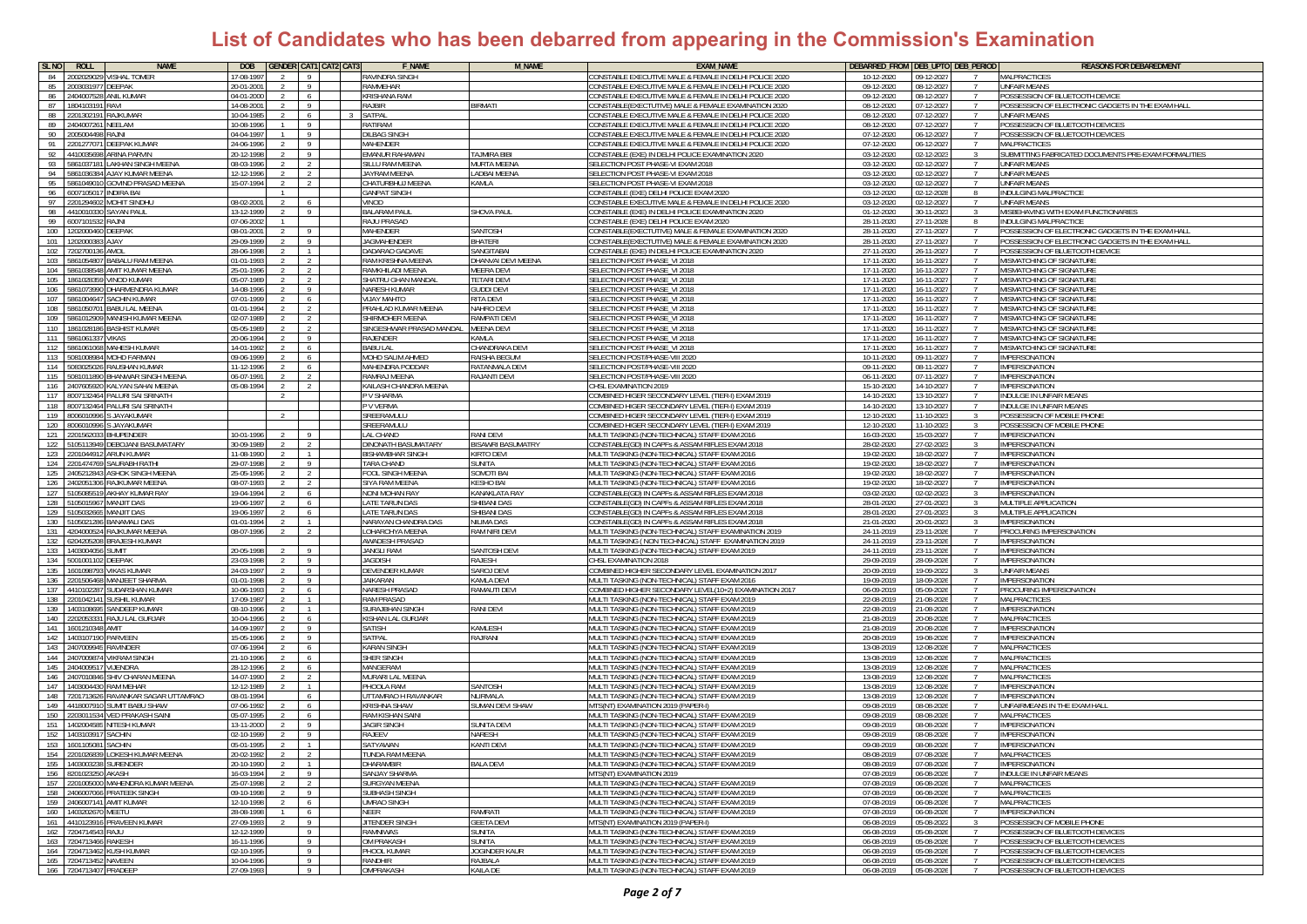| SL <sub>NO</sub> | ROLL                      | <b>NAME</b>                         | <b>DOB</b>               |               |                                  | <b>GENDER CAT1 CAT2 CAT3</b> | <b>F_NAME</b>                           | <b>M_NAME</b>                       | <b>EXAM_NAME</b>                                                                                           |                          | DEBARRED FROM DEB UPTO DEB PERIOD       | <b>REASONS FOR DEBAREDMENT</b>                                    |
|------------------|---------------------------|-------------------------------------|--------------------------|---------------|----------------------------------|------------------------------|-----------------------------------------|-------------------------------------|------------------------------------------------------------------------------------------------------------|--------------------------|-----------------------------------------|-------------------------------------------------------------------|
| 84               | 200202902                 | VISHAL TOMER                        | 7-08-199                 |               | 9                                |                              | RAVINDRA SINGH                          |                                     | ONSTABLE EXECUTIVE MALE & FEMALE IN DELHI POLICE 2020                                                      | 10-12-2020               | 09-12-202                               | MALPRACTICES                                                      |
| 85               | 200303197                 | DEEPAK                              | 0-01-200                 |               | $\overline{9}$                   |                              | <b>RAMMEHAR</b>                         |                                     | ONSTABLE EXECUTIVE MALE & FEMALE IN DELHI POLICE 2020                                                      | 09-12-2020               | 08-12-202                               | JNFAIR MEANS                                                      |
| 86               | 4040075                   | ANIL KUMAR                          | 14-01-2000               |               | 6                                |                              | <b>RISHANA RAM</b>                      |                                     | ONSTABLE EXECUTIVE MALE & FEMALE IN DELHI POLICE 2020                                                      | 09-12-2020               | 08-12-202                               | POSSESSION OF BLUETOOTH DEVICE                                    |
| 87               | 1804103191                | RAVI                                | 14-08-2001               | $\mathcal{L}$ | -9                               |                              | <b>RAJBIR</b>                           | <b>IRMATI</b>                       | ONSTABLE(EXECTUTIVE) MALE & FEMALE EXAMINATION 2020                                                        | 08-12-2020               | 07-12-2027                              | POSSESSION OF ELECTRONIC GADGETS IN THE EXAM HALL                 |
| 88               | 2201302191                | <b>RAJKUMAR</b>                     | $0 - 04 - 1985$          |               | 6                                |                              | SATPAL                                  |                                     | CONSTABLE EXECUTIVE MALE & FEMALE IN DELHI POLICE 2020                                                     | 08-12-2020               | 07-12-2027                              | UNFAIR MEANS                                                      |
| 89               | 2404007261                | NEELAM                              | 0-08-1996                |               | - 9                              |                              | RATIRAM                                 |                                     | CONSTABLE EXECUTIVE MALE & FEMALE IN DELHI POLICE 2020                                                     | 08-12-2020               | 07-12-2027                              | POSSESSION OF BLUETOOTH DEVICES                                   |
| 90               | 2005004498                | RAJNI                               | 04-04-1997               |               | - 9                              |                              | <b>DILBAG SINGH</b>                     |                                     | CONSTABLE EXECUTIVE MALE & FEMALE IN DELHI POLICE 2020                                                     | 07-12-2020               | 06-12-2027                              | POSSESSION OF BLUETOOTH DEVICES                                   |
| 91               | 220127707                 | <b>DEEPAK KUMAR</b>                 | 24-06-1996               |               | -9                               |                              | <b>MAHENDER</b>                         |                                     | CONSTABLE EXECUTIVE MALE & FEMALE IN DELHI POLICE 2020                                                     | 07-12-2020               | 06-12-2027                              | <b>MALPRACTICES</b>                                               |
| 92               | 4410035698                | <b>ARINA PARVIN</b>                 | 0-12-1998                |               | - 9                              |                              | <b>EMANUR RAHAMAN</b>                   | TAJMIRA BIBI                        | CONSTABLE (EXE) IN DELHI POLICE EXAMINATION 2020                                                           | 03-12-2020               | 02-12-202                               | SUBMITTING FABRICATED DOCUMENTS PRE-EXAM FORMALITIES              |
| 93               | 5861037181                | LAKHAN SINGH MEENA                  | 08-03-1996               |               | $\overline{2}$                   |                              | SILLU RAM MEENA                         | <b>MURTA MEENA</b>                  | ELECTION POST PHASE-VI EXAM 2018                                                                           | 03-12-2020               | 02-12-2027                              | JNFAIR MEANS                                                      |
| 94               | 5861036384                | AJAY KUMAR MEENA                    | 12-12-1996               |               | $\overline{2}$<br>$\overline{2}$ |                              | JAYRAM MEENA                            | LADBAI MEENA                        | SELECTION POST PHASE-VI EXAM 2018                                                                          | 03-12-2020               | 02-12-2027<br>$\overline{7}$            | <b>JNFAIR MEANS</b>                                               |
| 95               | 5861049010                | GOVIND PRASAD MEENA                 | 15-07-1994               |               |                                  |                              | CHATURBHUJ MEENA                        | KAMLA                               | SELECTION POST PHASE-VI EXAM 2018                                                                          | 03-12-2020               | 02-12-2027                              | UNFAIR MEANS                                                      |
| 96               | 600710501                 | <b>INDIRA BAI</b>                   |                          |               |                                  |                              | <b>GANPAT SINGH</b>                     |                                     | CONSTABLE (EXE) DELHI POLICE EXAM 2020                                                                     | 03-12-2020               | 02-12-2028<br>-8                        | INDULGING MALPRACTICE                                             |
| 97<br>98         | 2201294602<br>441001033   | MOHIT SINDHU<br>SAYAN PAUL          | 08-02-2001<br>13-12-1999 |               | - 6<br>- 9                       |                              | VINOD<br><b>BALARAM PAUL</b>            | <b>HOVA PAUL</b>                    | ONSTABLE EXECUTIVE MALE & FEMALE IN DELHI POLICE 2020:<br>ONSTABLE (EXE) IN DELHI POLICE EXAMINATION 2020: | 03-12-2020<br>01-12-2020 | 02-12-2027<br>30-11-2023<br>-3          | UNFAIR MEANS<br><b><i>IISBEHAVING WITH EXAM FUNCTIONARIES</i></b> |
| - 99             | 6007101532                | <b>RAINI</b>                        | 07-06-2002               | -2            |                                  |                              | <b>RAJU PRASAD</b>                      |                                     | ONSTABLE (EXE) DELHI POLICE EXAM 2020                                                                      | 28-11-2020               | 27-11-2028<br>8                         | NDULGING MALPRACTICE                                              |
| 100              | 1202000460 DEEPAK         |                                     | 08-01-2001               |               | -9                               |                              | <b>MAHENDER</b>                         | SANTOSH                             | ONSTABLE(EXECTUTIVE) MALE & FEMALE EXAMINATION 2020                                                        | 28-11-2020               | 27-11-2027<br>$\overline{7}$            | POSSESSION OF ELECTRONIC GADGETS IN THE EXAM HALI                 |
| 101              | 1202000383                | <b>AJAY</b>                         | 29-09-1999               | 2             | - 9                              |                              | <b>JAGMAHENDER</b>                      | BHATERI                             | CONSTABLE(EXECTUTIVE) MALE & FEMALE EXAMINATION 2020                                                       | 28-11-2020               | 27-11-2027<br>-7                        | POSSESSION OF ELECTRONIC GADGETS IN THE EXAM HALL                 |
| 102              | 7202700136 AMOL           |                                     | 28-06-1998               |               | $\overline{1}$                   |                              | DADARAO GADAVE                          | SANGITABAI                          | CONSTABLE (EXE) IN DELHI POLICE EXAMINATION 2020                                                           | 27-11-2020               | 26-11-202                               | POSSESSION OF BLUETOOTH DEVICE                                    |
| 103              | 586105480                 | <b>BABALU RAM MEENA</b>             | 01-01-1993               |               | $\overline{2}$                   |                              | RAM KRISHNA MEEN/                       | DHANVAI DEVI MEENA                  | SELECTION POST PHASE_VI 2018                                                                               | 17-11-2020               | 16-11-202                               | <b>MISMATCHING OF SIGNATURE</b>                                   |
| 104              | 5861038548                | AMIT KUMAR MEENA                    | 25-01-199                |               | $\overline{2}$                   |                              | RAMKHILADI MEENA                        | <b>MEERA DEV</b>                    | SELECTION POST PHASE_VI 2018                                                                               | 17-11-2020               | 16-11-202                               | <b>MISMATCHING OF SIGNATURE</b>                                   |
| 105              | 1861028359                | <b>VINOD KUMAR</b>                  | 05-07-1989               |               | $\overline{2}$                   |                              | <b>SHATRU GHAN MANDA</b>                | <b>ETARI DEVI</b>                   | SELECTION POST PHASE VI 2018                                                                               | 17-11-2020               | 16-11-202                               | <b>MISMATCHING OF SIGNATURE</b>                                   |
| 106              | 5861073990                | DHARMENDRA KUMAR                    | 14-08-1996               |               | 9                                |                              | <b>NARESH KUMAR</b>                     | GUDDI DEVI                          | SELECTION POST PHASE_VI 2018                                                                               | 17-11-2020               | 16-11-202                               | <b>MISMATCHING OF SIGNATURE</b>                                   |
| 107              | 5861004647                | SACHIN KUMAR                        | 17-01-1999               |               | 6                                |                              | <b>OTHAN YALIV</b>                      | RITA DEVI                           | SELECTION POST PHASE_VI 2018                                                                               | 17-11-2020               | 16-11-202                               | MISMATCHING OF SIGNATURE                                          |
| 108              | 586105070                 | BABU LAL MEENA                      | 01-01-1994               |               | $\overline{2}$                   |                              | PRAHLAD KUMAR MEENA                     | NAHRO DEVI                          | SELECTION POST PHASE_VI 2018                                                                               | 17-11-2020               | 16-11-202                               | <b>MISMATCHING OF SIGNATURE</b>                                   |
| 109              | 5861012909                | MANISH KUMAR MEENA                  | 02-07-1989               |               | 2                                |                              | SHIRMOHER MEENA                         | RAMPATI DEVI                        | SELECTION POST PHASE VI 2018                                                                               | 17-11-2020               | 16-11-202                               | MISMATCHING OF SIGNATURE                                          |
| 110              | 1861028186                | BASHIST KUMAR                       | 5-05-1989                |               | $\overline{2}$                   |                              | SINGESHWAR PRASAD MANDAL                | AEENA DEVI                          | SELECTION POST PHASE_VI 2018                                                                               | 17-11-2020               | 16-11-202                               | MISMATCHING OF SIGNATURE                                          |
| 111              | 5861061337                | VIKAS                               | 0-06-1994                |               | - 9                              |                              | <b>RAJENDER</b>                         | AMLA                                | ELECTION POST PHASE_VI 2018                                                                                | 17-11-2020               | 16-11-2027                              | <b><i>IISMATCHING OF SIGNATURE</i></b>                            |
| 112              | 5861061068                | MAHESH KUMAR                        | 14-01-1992               |               | 6                                |                              | <b>BABU LAL</b>                         | <b>HANDRAKA DEV</b>                 | SELECTION POST PHASE_VI 2018                                                                               | 17-11-2020               | 16-11-202                               | <b>MISMATCHING OF SIGNATURE</b>                                   |
| 113              | 508100898                 | MOHD FARMAN                         | 09-06-1999               |               | 6                                |                              | MOHD SALIM AHMED                        | RAISHA BEGUN                        | SELECTION POST/PHASE-VIII 2020                                                                             | 10-11-2020               | 09-11-202                               | IMPERSONATION                                                     |
| 114              | 5083025026                | RAUSHAN KUMAR                       | 11-12-1996               |               | 6                                |                              | MAHENDRA PODDAR                         | RATANMALA DEVI                      | SELECTION POST/PHASE-VIII 2020                                                                             | 09-11-2020               | 08-11-202<br>$\overline{7}$             | <b>IMPERSONATION</b>                                              |
| 115              | 5081011890                | BHANWAR SINGH MEENA                 | 06-07-199                |               | 2                                |                              | RAMRAJ MEENA                            | RAJANTI DEVI                        | SELECTION POST/PHASE-VIII 2020                                                                             | 06-11-2020               | 07-11-2027                              | <b>IMPERSONATION</b>                                              |
| 116              | 240760592                 | KALYAN SAHAI MEENA                  | 05-08-1994               |               |                                  |                              | KAILASH CHANDRA MEENA                   |                                     | CHSL EXAMINATION 2019                                                                                      | 15-10-2020               | 14-10-202                               | <b>IMPERSONATION</b>                                              |
| 117              | 8007132464                | PALURI SAI SRINATH                  |                          |               |                                  |                              | P V SHARMA                              |                                     | OMBINED HIGER SECONDARY LEVEL (TIER-I) EXAM 2019                                                           | 14-10-2020               | 13-10-202                               | <b>INDULGE IN UNFAIR MEANS</b>                                    |
| 118              | 8007132464                | PALURI SAI SRINATH                  |                          |               |                                  |                              | P V VERMA                               |                                     | OMBINED HIGER SECONDARY LEVEL (TIER-I) EXAM 2019                                                           | 14-10-2020               | 13-10-2027                              | <b>INDULGE IN UNFAIR MEANS</b>                                    |
| 119              | 8006010996                | <b>SJAYAKUMAR</b>                   |                          |               |                                  |                              | SREERAMULL                              |                                     | OMBINED HIGER SECONDARY LEVEL (TIER-I) EXAM 2019                                                           | 12-10-2020               | 11-10-2023                              | POSSESSION OF MOBILE PHONE                                        |
| 120              | 800601099                 | JAYAKUMAR                           |                          |               |                                  |                              | SREERAMULU                              |                                     | OMBINED HIGER SECONDARY LEVEL (TIER-I) EXAM 2019                                                           | 12-10-2020               | 11-10-2023                              | POSSESSION OF MOBILE PHONE                                        |
| 121              | 220156203                 | <b>BHUPENDER</b>                    | $0 - 01 - 1996$          |               |                                  |                              | LAL CHAND                               | RANI DEVI                           | MULTI TASKING (NON-TECHNICAL) STAFF EXAM 2016                                                              | 16-03-2020               | 15-03-2027                              | <b>IMPERSONATION</b>                                              |
| 122              | 105113949                 | EBOJANI BASUMATARY                  | 0-09-1989                |               | $\overline{2}$                   |                              | DINONATH BASUMATARY                     | <b>ISAWRI BASUMATRY</b>             | CONSTABLE(GD) IN CAPFs & ASSAM RIFLES EXAM 201                                                             | 28-02-2020               | 27-02-2023                              | MPERSONATION                                                      |
| 123              | 201044912                 | ARUN KUMAR                          | 1-08-1990                |               | $\overline{1}$                   |                              | <b>BISHAMBHAR SINGH</b>                 | <b>IRTO DEVI</b>                    | IULTI TASKING (NON-TECHNICAL) STAFF EXAM 2016                                                              | 19-02-2020               | 18-02-2027                              | MPERSONATION                                                      |
| 124              | 2201474769                | SAURABH RATHI                       | 29-07-1998               |               | -9                               |                              | ARA CHAND                               | <b>SUNITA</b>                       | <b>JULTI TASKING (NON-TECHNICAL) STAFF EXAM 2016</b>                                                       | 19-02-2020               | 18-02-202<br>$\overline{7}$             | <b>IMPERSONATION</b>                                              |
| 125              | 2405212843                | ASHOK SINGH MEENA                   | 25-05-1996               |               | 2                                |                              | FOOL SINGH MEENA                        | SOMOTI BAI                          | MULTI TASKING (NON-TECHNICAL) STAFF EXAM 2016                                                              | 19-02-2020               | 18-02-2027<br>$\overline{7}$            | <b>IMPERSONATION</b>                                              |
| 126<br>- 127     | 2402051306<br>5105085519  | RAJKUMAR MEENA                      | 08-07-1993               |               | 2                                |                              | <b>SIYA RAM MEENA</b>                   | <b>ESHO BAI</b>                     | MULTI TASKING (NON-TECHNICAL) STAFF EXAM 2016                                                              | 19-02-2020               | 18-02-2027<br>$\overline{7}$            | <b>IMPERSONATION</b>                                              |
| 128              | 5105015967                | AKHAY KUMAR RAY<br>MANJIT DAS       | 19-04-1994<br>19-06-1997 |               | 6<br>6                           |                              | NONI MOHAN RAY<br><b>LATE TARUN DAS</b> | KANAKLATA RAY<br><b>SHIBANI DAS</b> | CONSTABLE(GD) IN CAPFs & ASSAM RIFLES EXAM 201<br>CONSTABLE(GD) IN CAPFs & ASSAM RIFLES EXAM 201           | 03-02-2020<br>28-01-2020 | 02-02-202<br>27-01-202<br>$\mathcal{R}$ | <b>IMPERSONATION</b><br>MULTIPLE APPLICATION                      |
| 129              | 10503266                  | <b>MANJIT DAS</b>                   | 19-06-1997               |               | 6                                |                              | <b>LATE TARUN DAS</b>                   | <b>HIBANI DAS</b>                   | CONSTABLE(GD) IN CAPFs & ASSAM RIFLES EXAM 20                                                              | 28-01-2020               | 27-01-20                                | MULTIPLE APPLICATION                                              |
| 130              | 510502128                 | BANAMALI DAS                        | 1-01-199                 |               |                                  |                              | NARAYAN CHANDRA DAS                     | <b>VILIMA DAS</b>                   | ONSTABLE(GD) IN CAPFs & ASSAM RIFLES EXAM 20                                                               | 21-01-2020               | 20-01-20                                | <b>IMPERSONATION</b>                                              |
| 131              | 4204000524                | RAJKUMAR MEENA                      | 08-07-1996               |               |                                  |                              | LOHARCHYA MEENA                         | RAM NIRI DEVI                       | <b>JULTI TASKING (NON-TECHNICAL) STAFF EXAMINATION 2019</b>                                                | 24-11-2019               | 23-11-202                               | PROCURING IMPERSONATION                                           |
| 132              | 6204205208                | <b>BRAJESH KUMAR</b>                |                          |               |                                  |                              | <b>AWADESH PRASAD</b>                   |                                     | MULTI TASKING ( NON TECHNICAL) STAFF EXAMINATION 2019                                                      | 24-11-2019               | 23-11-2026                              | <b>IMPERSONATION</b>                                              |
| 133              | 1403004056                | SUMIT                               | 20-05-1998               |               | $\overline{9}$                   |                              | JANGLI RAM                              | SANTOSH DEVI                        | MULTI TASKING (NON-TECHNICAL) STAFF EXAM 2019                                                              | 24-11-2019               | 23-11-202                               | <b>IMPERSONATION</b>                                              |
| 134              | 5001001                   | <b>JEEPAK</b>                       | 23-03-199                |               | - 9                              |                              | <b>IAGDISH</b>                          | RAJESH                              | CHSL EXAMINATION 201                                                                                       | 29-09-2019               | 28-09-202                               | MPERSONATION                                                      |
| 135              | 160109879                 | /IKAS KUMAR                         | 4-03-1997                |               | - 9                              |                              | DEVENDER KUMAR                          | <b>SAROJ DEVI</b>                   | OMBINED HIGHER SECONDARY LEVEL EXAMINATION 2017                                                            | 20-09-2019               | 19-09-202                               | JNFAIR MEANS                                                      |
| 136              | 2201506468                | MANJEET SHARMA                      | 11-01-1998               |               | -9                               |                              | <b>AIKARAN</b>                          | <b>CAMLA DEVI</b>                   | <b>MULTI TASKING (NON-TECHNICAL) STAFF EXAM 2016</b>                                                       | 19-09-2019               | 18-09-202<br>$\mathcal{I}$              | <b>IMPERSONATION</b>                                              |
| 137              | 4410102287                | SUDARSHAN KUMAR                     | 0-06-1993                |               | 6                                |                              | <b>NARESH PRASAD</b>                    | RAMAUTI DEVI                        | OMBINED HIGHER SECONDARY LEVEL(10+2) EXAMINATION 2017                                                      | 06-09-2019               | 05-09-2026<br>$\overline{7}$            | PROCURING IMPERSONATION                                           |
| 138              | 2201042141                | <b>SUSHIL KUMAR</b>                 | 17-09-1987               |               | $\overline{1}$                   |                              | <b>RAM PRASAD</b>                       |                                     | MULTI TASKING (NON-TECHNICAL) STAFF EXAM 2019                                                              | 22-08-2019               | 21-08-2026                              | <b>MAI PRACTICES</b>                                              |
| 139              | 1403108695                | SANDEEP KUMAR                       | 08-10-1996               |               | $\overline{1}$                   |                              | <b>SURAJBHAN SINGH</b>                  | RANI DEVI                           | MULTI TASKING (NON-TECHNICAL) STAFF EXAM 2019                                                              | 22-08-2019               | 21-08-2026                              | IMPERSONATION                                                     |
| 140              | 2202053331                | RAJU LAL GURJAR                     | 10-04-1996               |               | -6                               |                              | KISHAN LAL GURJAR                       |                                     | MULTI TASKING (NON-TECHNICAL) STAFF EXAM 2019                                                              | 21-08-2019               | 20-08-2026                              | <b>MALPRACTICES</b>                                               |
| 141              | 160121034                 | AMIT                                | 14-09-1997               |               | - 9                              |                              | SATISH                                  | <b><i>CAMLESH</i></b>               | MULTI TASKING (NON-TECHNICAL) STAFF EXAM 2019                                                              | 21-08-201                | 20-08-202                               | <b>IMPERSONATION</b>                                              |
| 142              | 1403107190                | PARVEEN                             | 5-05-1996                |               | - 9                              |                              | SATPAL                                  | RAJRANI                             | <b>IULTI TASKING (NON-TECHNICAL) STAFF EXAM 2019</b>                                                       | 20-08-2019               | 19-08-202                               | <b>IMPERSONATION</b>                                              |
| 143              | 2407009945                | RAVINDER                            | 7-06-1994                |               |                                  |                              | <b>KARAN SINGH</b>                      |                                     | <b>JULTI TASKING (NON-TECHNICAL) STAFF EXAM 2019</b>                                                       | 13-08-2019               | 12-08-202                               | <b>MALPRACTICES</b>                                               |
| 144              | 2407009874                | <b>VIKRAM SINGH</b>                 | 21-10-1996               |               | 6                                |                              | SHER SINGH                              |                                     | MULTI TASKING (NON-TECHNICAL) STAFF EXAM 2019                                                              | 13-08-2019               | 12-08-2026<br>$\overline{7}$            | MALPRACTICES                                                      |
| 145              | 240400951                 | VIJENDRA                            | 28-12-1996               |               | 6                                |                              | MANGERAM                                |                                     | MULTI TASKING (NON-TECHNICAL) STAFF EXAM 2019                                                              | 13-08-2019               | 12-08-2026<br>$\overline{7}$            | <b>MALPRACTICES</b>                                               |
| 146              | 2407010846                | SHIV CHARAN MEENA                   | 14-07-1990               |               | 2                                |                              | MURARI LAL MEENA                        |                                     | MULTI TASKING (NON-TECHNICAL) STAFF EXAM 2019                                                              | 13-08-2019               | 12-08-2026                              | MAI PRACTICES                                                     |
| 147              | 140300443                 | RAM MEHAR                           | 12-12-1989               |               | $\overline{1}$                   |                              | PHOOLA RAM                              | SANTOSH                             | MULTI TASKING (NON-TECHNICAL) STAFF EXAM 2019                                                              | 13-08-2019               | 12-08-2026                              | MPERSONATION                                                      |
| 148              | '20171362                 | RAVANKAR SAGAR UTTAMRAO             | 08-01-1994               |               | 6                                |                              | <b>ITTAMRAO H RAVANKAR</b>              | <b>LIRMALA</b>                      | AULTI TASKING (NON-TECHNICAL) STAFF EXAM 2019                                                              | 13-08-2019               | 12-08-202                               | MPERSONATION                                                      |
| 149              | 441800791                 | <b>SUMIT BABU SHAW</b>              | 07-06-1992               |               | 6                                |                              | <b>KRISHNA SHAW</b>                     | <b>SUMAN DEVI SHAW</b>              | MTS(NT) EXAMINATION 2019 (PAPER-I)                                                                         | 09-08-2019               | 08-08-2026<br>$\overline{7}$            | UNFAIRMEANS IN THE EXAM HALL                                      |
| 150              | 2203011534<br>140200458   | <b>VED PRAKASH SAIN</b>             | 05-07-1995<br>13-11-2000 |               | 6<br>- 9                         |                              | <b>RAM KISHAN SAIN</b>                  |                                     | MULTI TASKING (NON-TECHNICAL) STAFF EXAM 2019                                                              | 09-08-2019               | 08-08-2026<br>$\overline{7}$            | <b>MALPRACTICES</b>                                               |
| 151              |                           | NITESH KUMAR                        |                          |               |                                  |                              | <b>JAGIR SINGH</b>                      | SUNITA DEV                          | MULTI TASKING (NON-TECHNICAL) STAFF EXAM 2019                                                              | 09-08-2019               | 08-08-202                               | <b>IMPERSONATION</b>                                              |
| 152              | 140310391<br>1601105081   | <b>SACHIN</b>                       | 02-10-1999<br>05-01-199  |               | - 9                              |                              | RAJEEV<br>SATYAWAN                      | NARESH<br><b>CANTI DEV</b>          | MULTI TASKING (NON-TECHNICAL) STAFF EXAM 2019<br>MULTI TASKING (NON-TECHNICAL) STAFF EXAM 2019             | 09-08-2019<br>09-08-2019 | 08-08-202<br>08-08-202                  | IMPERSONATION                                                     |
| 153<br>154       |                           | <b>SACHIN</b><br>OKESH<br>MAR MEENA |                          |               |                                  |                              | THNDA RAM MEENA                         |                                     | <b>I II TI TASKING (NON-TECHNICAL) STAFE EXAM 2019</b>                                                     | 08-08-2019               | 07-08-201                               | IMPERSONATION<br><b>MALPRACTICE</b>                               |
|                  | 155 1403003238 SURENDER   |                                     | 20-10-1990               |               |                                  |                              | <b>DHARAMBIR</b>                        | <b>BALA DEVI</b>                    | MULTI TASKING (NON-TECHNICAL) STAFF EXAM 2019                                                              | 08-08-2019               | 07-08-2026                              | <b>IMPERSONATION</b>                                              |
| 156              | 8201023250 AKASH          |                                     | 16-03-1994               |               | $\overline{9}$                   |                              | <b>SANJAY SHARMA</b>                    |                                     | MTS(NT) EXAMINATION 2019                                                                                   | 07-08-2019               | 06-08-2026                              | <b>INDULGE IN UNFAIR MEANS</b>                                    |
|                  |                           | 157 2201005000 MAHENDRA KUMAR MEENA | 25-07-1998               |               | $\overline{2}$                   |                              | SURGYAN MEENA                           |                                     | MULTI TASKING (NON-TECHNICAL) STAFF EXAM 2019                                                              | 07-08-2019               | 06-08-2026<br>$\overline{7}$            | <b>MALPRACTICES</b>                                               |
| 158              |                           | 2406007066 PRATEEK SINGH            | 09-10-1998               | $\mathcal{L}$ | 9                                |                              | <b>SUBHASH SINGH</b>                    |                                     | MULTI TASKING (NON-TECHNICAL) STAFF EXAM 2019                                                              | 07-08-2019               | $06 - 08 - 2026$                        | <b>MALPRACTICES</b>                                               |
|                  | 159 2406007141 AMIT KUMAR |                                     | 12-10-1998               |               | - 6                              |                              | <b>UMRAO SINGH</b>                      |                                     | MULTI TASKING (NON-TECHNICAL) STAFF FXAM 2019                                                              | 07-08-2019               | 06-08-202                               | MALPRACTICES                                                      |
| 160              | 1403202670                | MEETU                               | 8-08-1998                |               | 6                                |                              | NFFR                                    | <b>TAMRATI</b>                      | MULTI TASKING (NON-TECHNICAL) STAFF EXAM 2019                                                              | 07-08-2019               | 06-08-202                               | <b>IMPERSONATION</b>                                              |
|                  |                           | 161 4410123916 PRAVEEN KUMAR        | 27-09-1993               |               | 9                                |                              | <b>JITENDER SINGH</b>                   | <b>GEETA DEVI</b>                   | MTS(NT) EXAMINATION 2019 (PAPER-I)                                                                         | 06-08-2019               | 05-08-2022<br>-3-                       | POSSESSION OF MOBILE PHONE                                        |
|                  | 162 7204714543 RAJU       |                                     | 12-12-1999               |               | 9                                |                              | <b>RAMNIWAS</b>                         | <b>SUNITA</b>                       | MULTI TASKING (NON-TECHNICAL) STAFF EXAM 2019                                                              | 06-08-2019               | 05-08-2026<br>$\overline{7}$            | POSSESSION OF BLUETOOTH DEVICES                                   |
|                  | 163 7204713466 RAKESH     |                                     | 16-11-1996               |               | 9                                |                              | <b>OM PRAKASH</b>                       | SUNITA                              | MULTI TASKING (NON-TECHNICAL) STAFF EXAM 2019                                                              | 06-08-2019               | 05-08-2026<br>$\overline{7}$            | POSSESSION OF BLUETOOTH DEVICES                                   |
|                  |                           | 164 7204713462 KUSH KUMAR           | 02-10-1995               |               | 9                                |                              | PHOOL KUMAR                             | JOGINDER KAUR                       | MULTI TASKING (NON-TECHNICAL) STAFF EXAM 2019                                                              | 06-08-2019               | 05-08-2026<br>$\overline{7}$            | POSSESSION OF BLUETOOTH DEVICES                                   |
|                  | 165 7204713452 NAVEEN     |                                     | 10-04-1996               |               | 9                                |                              | RANDHIR                                 | RAJBALA                             | MULTI TASKING (NON-TECHNICAL) STAFF EXAM 2019                                                              | 06-08-2019               | 05-08-2026                              | POSSESSION OF BLUETOOTH DEVICES                                   |
|                  | 166 7204713407 PRADEEP    |                                     | 27-09-1993               |               | 9                                |                              | OMPRAKASH                               | KAILA DE                            | MULTI TASKING (NON-TECHNICAL) STAFF EXAM 2019                                                              | 06-08-2019               | 05-08-2026<br>$\overline{7}$            | POSSESSION OF BLUETOOTH DEVICES                                   |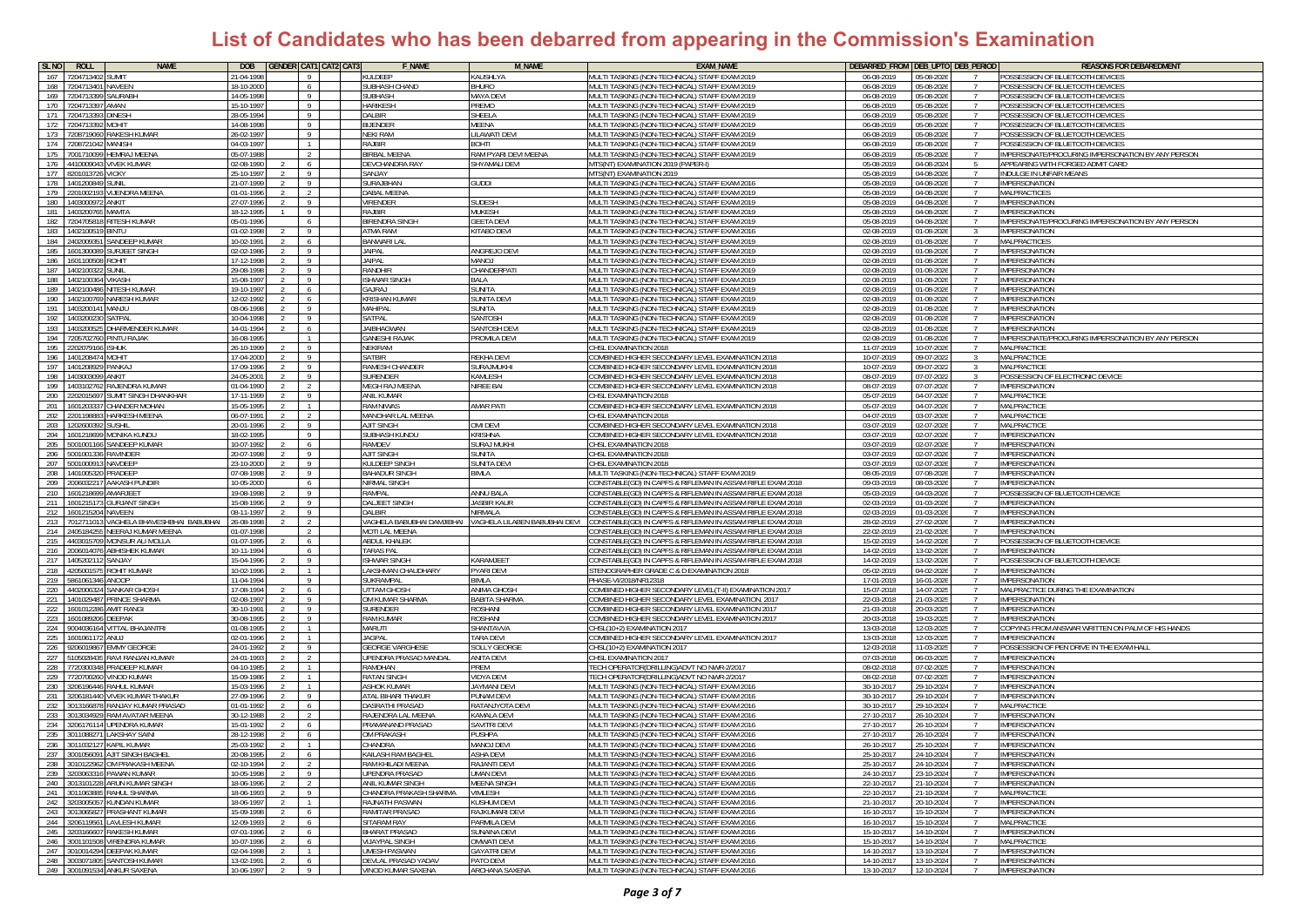| SL <sub>NO</sub> | <b>ROLL</b>              | <b>NAME</b>                                  | <b>DOB</b>               |                |                | <b>GENDER CAT1 CAT2 CAT3</b> | <b>F NAME</b>                         | M NAME                                                   | <b>EXAM NAME</b>                                                                                      |                          | DEBARRED_FROM DEB_UPTO DEB_PERIOD               | <b>REASONS FOR DEBAREDMENT</b>                          |
|------------------|--------------------------|----------------------------------------------|--------------------------|----------------|----------------|------------------------------|---------------------------------------|----------------------------------------------------------|-------------------------------------------------------------------------------------------------------|--------------------------|-------------------------------------------------|---------------------------------------------------------|
| 167              | 7204713402               | SUMIT                                        | 21-04-1998               |                | - 9            |                              | KULDEEP                               | KAUSHLYA                                                 | MULTI TASKING (NON-TECHNICAL) STAFF EXAM 2019                                                         | 06-08-2019               | 05-08-202                                       | POSSESSION OF BLUETOOTH DEVICES                         |
| 168              | 720471340                | NAVEEN                                       | 18-10-2000               |                | 6              |                              | SUBHASH CHAND                         | BHURO                                                    | MULTI TASKING (NON-TECHNICAL) STAFF EXAM 2019                                                         | 06-08-2019               | 05-08-202                                       | POSSESSION OF BLUETOOTH DEVICES                         |
| 169              | 720471339                | <b>AURABH</b>                                | 14-05-1998               |                | $\overline{9}$ |                              | <b>SUBHASH</b>                        | <b>AAYA DEVI</b>                                         | MULTI TASKING (NON-TECHNICAL) STAFF EXAM 2019                                                         | 06-08-2019               | 05-08-202                                       | POSSESSION OF BLUETOOTH DEVICES                         |
| 170              | 720471339                | MAN                                          | 15-10-199                |                | - 9            |                              | <b>HARIKESH</b>                       | REMO                                                     | IULTI TASKING (NON-TECHNICAL) STAFF EXAM 2019                                                         | 06-08-2019               | 05-08-202                                       | POSSESSION OF BLUETOOTH DEVICES                         |
| 171              | 720471339                | <b>INFSH</b>                                 | 8-05-1994                |                | - 9            |                              | DALBIR                                | HEELA                                                    | <b>IULTI TASKING (NON-TECHNICAL) STAFF EXAM 2019</b>                                                  | 06-08-2019               | 05-08-202                                       | POSSESSION OF BLUETOOTH DEVICES                         |
| 172              | 7204713392               | <b>TIHOM</b>                                 | 14-08-1998               |                | -9             |                              | <b>BIJENDER</b>                       | <b>AEENA</b>                                             | MULTI TASKING (NON-TECHNICAL) STAFF EXAM 2019                                                         | 06-08-2019               | 05-08-2026<br>$\overline{7}$                    | POSSESSION OF BLUETOOTH DEVICES                         |
| 173              | 7208719060               | <b>RAKESH KUMAR</b>                          | 26-02-1997               |                | - 9            |                              | <b>NEKI RAM</b>                       | <b>ILAWATI DEVI</b>                                      | MULTI TASKING (NON-TECHNICAL) STAFF EXAM 2019                                                         | 06-08-2019               | 05-08-2026<br>$\overline{7}$                    | POSSESSION OF BLUETOOTH DEVICES                         |
| 174              | 7208721042 MANISH        |                                              | 04-03-1997               |                | $\overline{1}$ |                              | RAJBIR                                | <b>ITHOS</b>                                             | MULTI TASKING (NON-TECHNICAL) STAFF EXAM 2019                                                         | 06-08-2019               | 05-08-2026<br>$\overline{7}$                    | POSSESSION OF BLUETOOTH DEVICES                         |
| 175              | 700171009                | <b>HEMRAJ MEENA</b>                          | 05-07-198                |                | $\overline{2}$ |                              | <b>BIRBAL MEENA</b>                   | RAM PYARI DEVI MEENA                                     | MULTI TASKING (NON-TECHNICAL) STAFF EXAM 2019                                                         | 06-08-2019               | 05-08-202                                       | IMPERSONATE/PROCURING IMPERSONATION BY ANY PERSON       |
| 176              | 4410009043               | <b>VIVEK KUMAR</b>                           | 02-08-1990               |                | - 6            |                              | <b>DEVCHANDRA RAY</b>                 | SHYAMALI DEVI                                            | MTS(NT) EXAMINATION 2019 (PAPER-I)                                                                    | 05-08-2019               | 04-08-202                                       | APPEARING WITH FORGED ADMIT CARD                        |
| 177              | 820101372                | VICKY                                        | !5-10-1997               |                | - 9            |                              | SANJAY                                |                                                          | <b>ATS(NT) EXAMINATION 2019</b>                                                                       | 05-08-2019               | 04-08-202                                       | <b>NDULGE IN UNFAIR MEANS</b>                           |
| 178              | 1401200849               | SUNIL                                        | 1-07-1999                |                | -9             |                              | SURAJBHAN                             | <b>GUDDI</b>                                             | MULTI TASKING (NON-TECHNICAL) STAFF EXAM 2016                                                         | 05-08-2019               | 04-08-2026                                      | <b>IMPERSONATION</b>                                    |
| 179              |                          | 2201002193 VIJENDRA MEENA                    | 01-01-1996               |                | $\overline{2}$ |                              | <b>DABAL MEENA</b>                    |                                                          | MULTI TASKING (NON-TECHNICAL) STAFF EXAM 2019                                                         | 05-08-2019               | 04-08-2026<br>$\overline{7}$                    | <b>MALPRACTICES</b>                                     |
| 180              | 1403000972               | ANKIT                                        | 27-07-1996               |                | $\overline{9}$ |                              | VIRENDER                              | <b>SUDESH</b>                                            | MULTI TASKING (NON-TECHNICAL) STAFF EXAM 2019                                                         | 05-08-2019               | 04-08-202                                       | <b>IMPERSONATION</b>                                    |
| 181              | 1403200765               | MAMTA                                        | 18-12-1995               |                | 9              |                              | <b>RAJBIR</b>                         | MUKESH                                                   | MULTI TASKING (NON-TECHNICAL) STAFF EXAM 2019                                                         | 05-08-2019               | 04-08-2026                                      | IMPERSONATION                                           |
| 182              | 72047058                 | RITESH KUMAR                                 | 5-01-199                 |                | 6              |                              | BIRENDRA SINGH                        | <b>GEETA DEV</b>                                         | MULTI TASKING (NON-TECHNICAL) STAFF EXAM 2019                                                         | 05-08-2019               | 04-08-2026                                      | MPERSONATE/PROCURING IMPERSONATION BY ANY PERSON        |
| 183              | 140210051                | <b>INTU</b>                                  | 1-02-1998                |                | - 9            |                              | ATMA RAM                              | <b>ITABO DEVI</b>                                        | <b>MULTI TASKING (NON-TECHNICAL) STAFF EXAM 2016</b>                                                  | 02-08-2019               | $01 - 08 - 2026$                                | <b>IMPERSONATION</b>                                    |
| 184              | 2402009351               | SANDEEP KUMAR                                | $0 - 02 - 1991$          |                | 6              |                              | <b>BANWARI LAL</b>                    |                                                          | MULTI TASKING (NON-TECHNICAL) STAFF EXAM 2019                                                         | 02-08-2019               | $01 - 08 - 2026$<br>$\overline{7}$              | <b>MALPRACTICES</b>                                     |
| 185              | 1601300089               | SURJEET SINGH                                | ገ2-02-198ለ               |                | - 9            |                              | <b>JAIPAL</b>                         | ANGREJO DEVI                                             | MULTI TASKING (NON-TECHNICAL) STAFF EXAM 2019                                                         | 02-08-2019               | 01-08-202<br>$\overline{7}$                     | IMPERSONATION                                           |
| 186              | 1601100508 ROHIT         |                                              | 17-12-1998               |                | - 9            |                              | <b>JAIPAL</b>                         | lowam                                                    | MULTI TASKING (NON-TECHNICAL) STAFF EXAM 2019                                                         | 02-08-2019               | 01-08-2026<br>$\overline{7}$                    | IMPERSONATION                                           |
| 187              | 1402100322               | <b>SUNIL</b>                                 | 29-08-1998               |                | - 9            |                              | RANDHIR                               | CHANDERPATI                                              | MULTI TASKING (NON-TECHNICAL) STAFF EXAM 2019                                                         | 02-08-2019               | 01-08-202                                       | IMPERSONATION                                           |
| 188              | 1402100364               | <b>VIKASH</b>                                | 15-08-199                |                | - 9            |                              | <b>ISHWAR SINGH</b>                   | BALA                                                     | MULTI TASKING (NON-TECHNICAL) STAFF EXAM 2019                                                         | 02-08-2019               | 01-08-202                                       | <b>IMPERSONATION</b>                                    |
| 189              | 1402100486               | NITESH KUMAR                                 | 19-10-1997               |                | 6              |                              | <b>GAJRAJ</b>                         | <b>SUNITA</b>                                            | <b>MULTI TASKING (NON-TECHNICAL) STAFF EXAM 2019</b>                                                  | 02-08-2019               | 01-08-202                                       | MPERSONATION                                            |
| 190              | 14021007                 | <b>NARESH KUMAR</b>                          | 12-02-1992               |                | 6              |                              | <b>KRISHAN KUMAR</b>                  | SUNITA DEV                                               | MULTI TASKING (NON-TECHNICAL) STAFF EXAM 2019                                                         | 02-08-2019               | $01-08-20$                                      | <b>IMPERSONATION</b>                                    |
| 191              | 1403200141               | MANJU                                        | 08-06-1998               |                | $\overline{9}$ |                              | MAHIPAL                               | SUNITA                                                   | MULTI TASKING (NON-TECHNICAL) STAFF EXAM 2019                                                         | 02-08-2019               | 01-08-202                                       | <b>IMPERSONATION</b>                                    |
| 192              | 140320023                | <b>ATPAL</b>                                 | 0-04-1998                |                | -9             |                              | SATPAL                                | SANTOSH                                                  | MULTI TASKING (NON-TECHNICAL) STAFF EXAM 2019                                                         | 02-08-2019               | $01 - 08 - 202$                                 | <b>IMPERSONATION</b>                                    |
| 193              | 140320052                | )HARMENDER KUMAR                             | 14-01-199                |                | 6              |                              | JAIBHAGWAN                            | SANTOSH DEVI                                             | MULTI TASKING (NON-TECHNICAL) STAFF EXAM 2019                                                         | 02-08-2019               | 01-08-202                                       | IMPERSONATION                                           |
| 194              | 720570276                | PINTU RAJAK                                  | 16-08-199                |                | $\overline{1}$ |                              | <b>GANESHI RAJAK</b>                  | <b>ROMILA DEVI</b>                                       | MULTI TASKING (NON-TECHNICAL) STAFF EXAM 2019                                                         | 02-08-2019               | 01-08-202                                       | IMPERSONATE/PROCURING IMPERSONATION BY ANY PERSON       |
| 195              | 2202079166               | SHUK                                         | 16-10-1999               |                | -9             |                              | <b>NEKIRAM</b>                        |                                                          | <b>HSL EXAMINATION 2018</b>                                                                           | 11-07-2019               | 10-07-202                                       | MALPRACTICE                                             |
| 196<br>197       | 1401208474<br>1401208929 | <b>TIHON</b><br>ANKAJ                        | 17-04-2000<br>7-09-1996  |                | -9<br>- 9      |                              | <b>SATBIR</b><br>RAMESH CHANDER       | <b>REKHA DEVI</b><br><b>SURAJMUKHI</b>                   | OMBINED HIGHER SECONDARY LEVEL EXAMINATION 2018<br>OMBINED HIGHER SECONDARY LEVEL EXAMINATION 2018    | 10-07-2019<br>10-07-2019 | 09-07-202<br>-3-<br>09-07-2022                  | MALPRACTICE<br>MALPRACTICE                              |
|                  |                          |                                              |                          |                |                |                              |                                       |                                                          |                                                                                                       |                          | -3                                              |                                                         |
| 198<br>199       | 1403003099<br>1403102762 | ankit<br>RAJENDRA KUMAR                      | 24-05-2001<br>01-04-1990 |                | 9<br>2         |                              | <b>SURENDER</b><br>MEGH RAJ MEENA     | KAMLESH<br>NIREE BAI                                     | COMBINED HIGHER SECONDARY LEVEL EXAMINATION 2018<br>COMBINED HIGHER SECONDARY LEVEL EXAMINATION 2018  | 08-07-2019<br>08-07-2019 | 07-07-2022<br>3<br>07-07-2026<br>$\overline{7}$ | POSSESSION OF ELECTRONIC DEVICE<br><b>IMPERSONATION</b> |
| 200              | 2202015697               | <b>SUMIT SINGH DHANKHAR</b>                  | 17-11-1999               |                | -9             |                              | ANIL KUMAR                            |                                                          | CHSL EXAMINATION 2018                                                                                 | 05-07-2019               | 04-07-2026<br>$\overline{7}$                    | <b>MALPRACTICE</b>                                      |
| 201              | 160120333                | CHANDER MOHAN                                | 15-05-1995               |                | $\overline{1}$ |                              | <b>RAM NIWAS</b>                      | <b>MAR PATI</b>                                          | OMBINED HIGHER SECONDARY LEVEL EXAMINATION 2018                                                       | 05-07-2019               | 04-07-2026                                      | MALPRACTICE                                             |
| 202              | 220119888                | <b>HARKESH MEENA</b>                         | 06-07-1991               |                |                |                              | MANOHAR LAL MEENA                     |                                                          | HSL EXAMINATION 2018                                                                                  | 04-07-201                | 03-07-202                                       | <b>MALPRACTICI</b>                                      |
| 203              | 1202600392               | SUSHIL                                       | 20-01-1996               |                | -9             |                              | AJIT SINGH                            | OMI DEVI                                                 | OMBINED HIGHER SECONDARY LEVEL EXAMINATION 2018                                                       | 03-07-2019               | 02-07-202<br>$\overline{7}$                     | MALPRACTICE                                             |
| 204              | 1601218699               | MONIKA KUNDU                                 | 18-02-1995               |                | $\overline{9}$ |                              | SUBHASH KUNDU                         | Krishna                                                  | COMBINED HIGHER SECONDARY LEVEL EXAMINATION 2018                                                      | 03-07-2019               | 02-07-2026                                      | IMPERSONATION                                           |
| 205              | 5001001166               | SANDEEP KUMAR                                | 0-07-1992                |                | 6              |                              | RAMDEV                                | <b>SURAJ MUKHI</b>                                       | CHSL EXAMINATION 2018                                                                                 | 03-07-2019               | 02-07-2026                                      | <b>IMPERSONATION</b>                                    |
| 206              | 500100133                | RAVINDER                                     | 0-07-1998                |                | $\overline{9}$ |                              | <b>AJIT SINGH</b>                     | UNITA                                                    | CHSL EXAMINATION 2018                                                                                 | 03-07-2019               | 02-07-202                                       | MPERSONATION                                            |
| 207              | 500100091                | <b>IAVDEEP</b>                               | 23-10-2000               |                | - 9            |                              | KULDEEP SINGH                         | UNITA DEV                                                | HSL EXAMINATION 2018:                                                                                 | 03-07-2019               | 02-07-202                                       | MPERSONATION                                            |
| 208              | 140100532                | <b>RADEEP</b>                                | 07-08-1998               |                | - 9            |                              | <b>BAHADUR SINGH</b>                  | <b>BIMLA</b>                                             | IULTI TASKING (NON-TECHNICAL) STAFF EXAM 2019                                                         | 08-05-2019               | 07-08-202                                       | MPERSONATION                                            |
| 209              | 2006032217               | AAKASH PUNDIR                                | 10-05-2000               |                | 6              |                              | NIRMAL SINGH                          |                                                          | CONSTABLE(GD) IN CAPFS & RIFLEMAN IN ASSAM RIFLE EXAM 2018                                            | 09-03-2019               | 08-03-2026<br>$\overline{7}$                    | <b>IMPERSONATION</b>                                    |
| 210              | 1601218699               | AMARJEET                                     | 19-08-1998               |                | 9              |                              | RAMPAL                                | ANNU BALA                                                | CONSTABLE(GD) IN CAPFS & RIFLEMAN IN ASSAM RIFLE EXAM 2018:                                           | 05-03-2019               | 04-03-2026<br>$\overline{7}$                    | POSSESSION OF BLUETOOTH DEVICE                          |
| 211              | 160121517                | <b>GURJANT SINGH</b>                         | 15-08-1996               |                | - 9            |                              | <b>DALJEET SINGH</b>                  | <b>JASBIR KAUR</b>                                       | CONSTABLE(GD) IN CAPFS & RIFLEMAN IN ASSAM RIFLE EXAM 2018                                            | 02-03-2019               | 01-03-202                                       | IMPERSONATION                                           |
| 212              | 160121520                | NAVEEN                                       | 08-11-1997               |                | -9             |                              | DALBIR                                | <b>VIRMALA</b>                                           | CONSTABLE(GD) IN CAPFS & RIFLEMAN IN ASSAM RIFLE EXAM 2018                                            | 02-03-2019               | 01-03-202                                       | <b>IMPERSONATION</b>                                    |
| 213              | 701271101                | VAGHELA BHAVESHBHAI BABUBHAI                 | 26-08-1998               |                | $\overline{2}$ |                              |                                       | VAGHELA BABUBHAI DAMJIBHAI VAGHELA LILABEN BABUBHAI DEVI | CONSTABLE(GD) IN CAPFS & RIFLEMAN IN ASSAM RIFLE EXAM 2018                                            | 28-02-2019               | 27-02-202                                       | <b>IMPERSONATION</b>                                    |
| 214              | 240518425                | NEERAJ KUMAR MEENA                           | 1-07-199                 |                |                |                              | MOTI LAL MEENA                        |                                                          | ONSTABLE(GD) IN CAPFS & RIFLEMAN IN ASSAM RIFLE EXAM 201                                              | 22-02-201                | 21-02-202                                       | MPERSONATION                                            |
| 215              | 440301570                | MONSUR ALI MOLLA                             | 1-07-1995                |                | 6              |                              | <b>ABDUL KHALEK</b>                   |                                                          | ONSTABLE(GD) IN CAPFS & RIFLEMAN IN ASSAM RIFLE EXAM 2018                                             | 15-02-2019               | 14-02-202                                       | POSSESSION OF BLUETOOTH DEVICE                          |
| 216              | 2006014076               | <b>ABHISHEK KUMAR</b>                        | 10-11-1994               |                | 6              |                              | TARAS PAL                             |                                                          | CONSTABLE(GD) IN CAPFS & RIFLEMAN IN ASSAM RIFLE EXAM 2018                                            | 14-02-2019               | 13-02-202<br>$\overline{7}$                     | <b>IMPERSONATION</b>                                    |
| 217              | 140520211                | SANJAY                                       | 15-04-1996               |                | $\overline{9}$ |                              | <b>ISHWAR SINGH</b>                   | KARAMJEET                                                | CONSTABLE(GD) IN CAPFS & RIFLEMAN IN ASSAM RIFLE EXAM 2018                                            | 14-02-2019               | 13-02-202                                       | POSSESSION OF BLUETOOTH DEVICE                          |
| 218              | 42050015                 | OHIT KUMAR!                                  | 0-02-1996                |                | $\overline{1}$ |                              | LAKSHMAN CHAUDHARY                    | PYARI DEVI                                               | TENOGRAPHER GRADE C & D EXAMINATION 2018                                                              | 05-02-2019               | 04-02-202                                       | IMPERSONATION                                           |
| 219              | 58610613                 | NOOP                                         | $1 - 04 - 199$           |                | - 9            |                              | SUKRAMPA                              | IMI A                                                    | HASF-VI/2018/NR1231                                                                                   | 17-01-201                | 16-01-202                                       | MPERSONATION                                            |
| 220              | 440200632                | <b>ANKAR GHOSH</b>                           | 7-08-1994                |                | 6              |                              | <b>ITTAM GHOSH</b>                    | <b>NIMA GHOSH</b>                                        | OMBINED HIGHER SECONDARY LEVEL(T-II) EXAMINATION 2017                                                 | 15-07-2018               | 14-07-202                                       | MALPRACTICE DURING THE EXAMINATION                      |
| 221              | 1401029487               | PRINCE SHARMA                                | 2-08-1997                |                | - 9            |                              | OM KUMAR SHARMA                       | <b>BABITA SHARMA</b>                                     | OMBINED HIGHER SECONDARY LEVEL EXAMINATION, 2017                                                      | 22-03-2018               | 21-03-2025<br>$\mathcal{I}$                     | <b>IMPERSONATION</b>                                    |
| 222              | 1601012286               | AMIT RANGI                                   | 30-10-1991               |                | -9             |                              | <b>SURENDER</b>                       | <b>ROSHANI</b>                                           | OMBINED HIGHER SECONDARY LEVEL EXAMINATION 2017                                                       | 21-03-2018               | 20-03-202                                       | <b>IMPERSONATION</b>                                    |
| 223              | 160108920                | <b>DEEPAK</b>                                | 10-08-1995               |                | -9             |                              | <b>RAM KUMAR</b>                      | ROSHANI                                                  | OMBINED HIGHER SECONDARY LEVEL EXAMINATION 2017                                                       | 20-03-2018               | 19-03-202                                       | <b>IMPERSONATION</b>                                    |
| 224              | 9004036164               | VITTAL BHAJANTRI                             | 01-08-1995               |                | $\overline{1}$ |                              | MARUTI                                | SHANTAVVA                                                | CHSL(10+2) EXAMINATION 2017                                                                           | 13-03-2018               | 12-03-202                                       | COPYING FROM ANSWAR WRITTEN ON PALM OF HIS HANDS        |
| 225              | 160106117                | ANUJ                                         | 02-01-1996               |                | $\overline{1}$ |                              | <b>AGPAL</b>                          | TARA DEVI                                                | COMBINED HIGHER SECONDARY LEVEL EXAMINATION 2017                                                      | 13-03-201                | 12-03-202                                       | <b>IMPERSONATION</b>                                    |
| 226              | 920601986                | <b>EMMY GEORGE</b>                           | 24-01-1992               |                | - 9            |                              | <b>GEORGE VARGHESE</b>                | SOLLY GEORG                                              | CHSL(10+2) EXAMINATION 2017                                                                           | 12-03-2018               | 11-03-202                                       | POSSESSION OF PEN DRIVE IN THE EXAM HALL                |
| 227              | 5105028435               | RAVI RANJAN KUMAR                            | 24-01-1993               |                | $\overline{2}$ |                              | UPENDRA PRASAD MANDAL                 | ANITA DEVI                                               | CHSL EXAMINATION 2017                                                                                 | 07-03-201                | 06-03-202                                       | <b>IMPERSONATION</b>                                    |
| 228              | 7720300348               | PRADEEP KUMAR                                | 04-10-1985               |                |                |                              | RAMDHAN                               | PREM                                                     | ECH OPERATOR(DRILLING)ADVT NO NWR-2/2017                                                              | 08-02-2018               | 07-02-202                                       | MPERSONATION                                            |
| 229              | 7720700260               | <b>VINOD KUMAR</b>                           | 15-09-1986               |                | $\overline{1}$ |                              | <b>RATAN SINGH</b>                    | <b>/IDYA DEVI</b>                                        | TECH OPERATOR(DRILLING)ADVT NO NWR-2/2017                                                             | 08-02-2018               | 07-02-2025<br>$\overline{7}$                    | <b>IMPERSONATION</b>                                    |
| 230              |                          | 3206196446 RAHUL KUMAR                       | 15-03-1996               |                | $\overline{1}$ |                              | <b>ASHOK KUMAR</b>                    | JAYMANI DEVI                                             | MULTI TASKING (NON-TECHNICAL) STAFF EXAM 2016                                                         | 30-10-2017               | 29-10-2024<br>$\overline{7}$                    | IMPERSONATION                                           |
| 231              | 3206181440<br>301316687  | VIVEK KUMAR THAKUF                           | 17-09-1996               |                | - 9            |                              | ATAI BIHARI THAKUR                    | PUNAM DEVI                                               | MULTI TASKING (NON-TECHNICAL) STAFF EXAM 2016                                                         | 30-10-2017               | 29-10-2024                                      | <b>IMPERSONATION</b>                                    |
| 232<br>233       | 3013034929               | RANJAY KUMAR PRASAD                          | 1-01-1992                | 2              | 6              |                              | )ASRATHI PRASAD<br>RAJENDRA LAL MEENA | RATANJYOTA DEVI<br><b>CAMALA DEVI</b>                    | <b>MULTI TASKING (NON-TECHNICAL) STAFF EXAM 2016</b>                                                  | 30-10-2017               | 29-10-2024                                      | MALPRACTICE<br><b>IMPERSONATION</b>                     |
| 234              |                          | RAM AVATAR MEENA<br>3206176114 UPENDRA KUMAR | 80-12-1988<br>15-01-1992 |                | 2              |                              | PRAMANAND PRASAD                      |                                                          | <b>MULTI TASKING (NON-TECHNICAL) STAFF EXAM 2016</b><br>MULTI TASKING (NON-TECHNICAL) STAFF EXAM 2016 | 27-10-2017               | 26-10-2024<br>$\overline{7}$                    |                                                         |
| 235              |                          | 3011088271 LAKSHAY SAIN                      | 28-12-1998               |                | 6<br>6         |                              | OM PRAKASH                            | SAVITRI DEVI<br>PUSHPA                                   | MULTI TASKING (NON-TECHNICAL) STAFF EXAM 2016                                                         | 27-10-2017<br>27-10-2017 | 26-10-2024<br>26-10-2024                        | IMPERSONATION<br>IMPERSONATION                          |
|                  |                          | 236 3011032127 KAPIL KUMAR                   | 25-03-1992               |                | $\overline{1}$ |                              | CHANDRA                               | MANOJ DEVI                                               | MULTI TASKING (NON-TECHNICAL) STAFF EXAM 2016                                                         | 26-10-2017               | 25-10-2024                                      | <b>IMPERSONATION</b>                                    |
| 237              |                          | 3001056091 A IIT SINGH BAG                   | 20-08-1995               |                |                |                              | KAILASH RAM BAGHEI                    | <b>ASHA DEV</b>                                          | MULTI TASKING (NON-TECHNICAL) STAFF EXAM 2016                                                         | 25-10-2017               | $24 - 10 - 202$                                 | <b>IMPERSONATIO</b>                                     |
|                  |                          | 238 3010122962 OM PRAKASH MEENA              | 12-10-1994               |                | $\overline{2}$ |                              | RAM KHILADI MEENA                     | RAJANTI DEVI                                             | MULTI TASKING (NON-TECHNICAL) STAFF EXAM 2016                                                         | 25-10-2017               | 24-10-2024                                      | <b>IMPERSONATION</b>                                    |
|                  |                          | 239 3203063316 PAWAN KUMAR                   | 10-05-1998               |                | 9              |                              | <b>UPENDRA PRASAD</b>                 | JMAN DEVI                                                | MULTI TASKING (NON-TECHNICAL) STAFF EXAM 2016                                                         | 24-10-2017               | 23-10-2024                                      | <b>IMPERSONATION</b>                                    |
| 240              |                          | 3013101228 ARUN KUMAR SINGH                  | 18-06-1996               |                | 2              |                              | ANIL KUMAR SINGH                      | MEENA SINGH                                              | MULTI TASKING (NON-TECHNICAL) STAFF EXAM 2016                                                         | 22-10-2017               | 21-10-2024                                      | <b>IMPERSONATION</b>                                    |
|                  |                          | 241 3011063885 RAHUL SHARMA                  | 18-06-1993               | 2              | $\overline{9}$ |                              | CHANDRA PRAKASH SHARMA                | VIMLESH                                                  | MULTI TASKING (NON-TECHNICAL) STAFF EXAM 2016                                                         | 22-10-2017               | 21-10-2024<br>$\overline{7}$                    | MALPRACTICE                                             |
|                  |                          | 242 3203005057 KUNDAN KUMAR                  | 18-06-1997               |                | $\overline{1}$ |                              | RAJNATH PASWAN                        | (USHUM DEVI                                              | MULTI TASKING (NON-TECHNICAL) STAFF EXAM 2016                                                         | 21-10-2017               | 20-10-2024<br>$\overline{7}$                    | <b>IMPERSONATION</b>                                    |
| 243              |                          | 3013065827 PRASHANT KUMAR                    | 15-09-1998               |                | 6 <sup>6</sup> |                              | RAMITAR PRASAD                        | RAJKUMARI DEVI                                           | MULTI TASKING (NON-TECHNICAL) STAFF EXAM 2016                                                         | 16-10-2017               | 15-10-2024                                      | <b>IMPERSONATION</b>                                    |
|                  | 244 3206119561           | <b>LAVLESH KUMAR</b>                         | $2 - 09 - 1993$          |                | - 6            |                              | <b>SITARAM RAY</b>                    | <b>ARMILA DEVI</b>                                       | MULTI TASKING (NON-TECHNICAL) STAFF EXAM 2016                                                         | 16-10-2017               | 15-10-2024                                      | <b>MAI PRACTICE</b>                                     |
| 245              | 3203166607               | <b>RAKESH KUMAR</b>                          | 7-01-1996                |                | 6              |                              | <b>BHARAT PRASAD</b>                  | UNAINA DEVI                                              | MULTI TASKING (NON-TECHNICAL) STAFF EXAM 2016                                                         | 15-10-2017               | 14-10-2024                                      | <b>IMPERSONATION</b>                                    |
| 246              |                          | 3001101508 VIRENDRA KUMAR                    | 10-07-1996               | 2              | 6              |                              | <b>VIJAYPAL SINGH</b>                 | <b>MWATI DEVI</b>                                        | MULTI TASKING (NON-TECHNICAL) STAFF EXAM 2016                                                         | 15-10-2017               | 14-10-2024<br>$\overline{7}$                    | <b>MALPRACTICE</b>                                      |
|                  |                          | 247 3010014294 DEEPAK KUMAR                  | 02-04-1998               | 2              | $\overline{1}$ |                              | <b>UMESH PASWAN</b>                   | <b>GAYATRI DEVI</b>                                      | MULTI TASKING (NON-TECHNICAL) STAFF EXAM 2016                                                         | 14-10-2017               | 13-10-2024<br>$\overline{7}$                    | <b>IMPERSONATION</b>                                    |
|                  |                          | 248 3003071805 SANTOSH KUMAR                 | 13-02-1991               | 2              | 6              |                              | DEVLAL PRASAD YADAV                   | PATO DEVI                                                | MULTI TASKING (NON-TECHNICAL) STAFF EXAM 2016                                                         | 14-10-2017               | 13-10-2024<br>7                                 | <b>IMPERSONATION</b>                                    |
|                  |                          | 249 3001091534 ANKUR SAXENA                  | 10-06-1997               | $\overline{2}$ | 9 <sup>1</sup> |                              | VINOD KUMAR SAXENA                    | ARCHANA SAXENA                                           | MULTI TASKING (NON-TECHNICAL) STAFF EXAM 2016                                                         | 13-10-2017               | 12-10-2024<br>7                                 | <b>IMPERSONATION</b>                                    |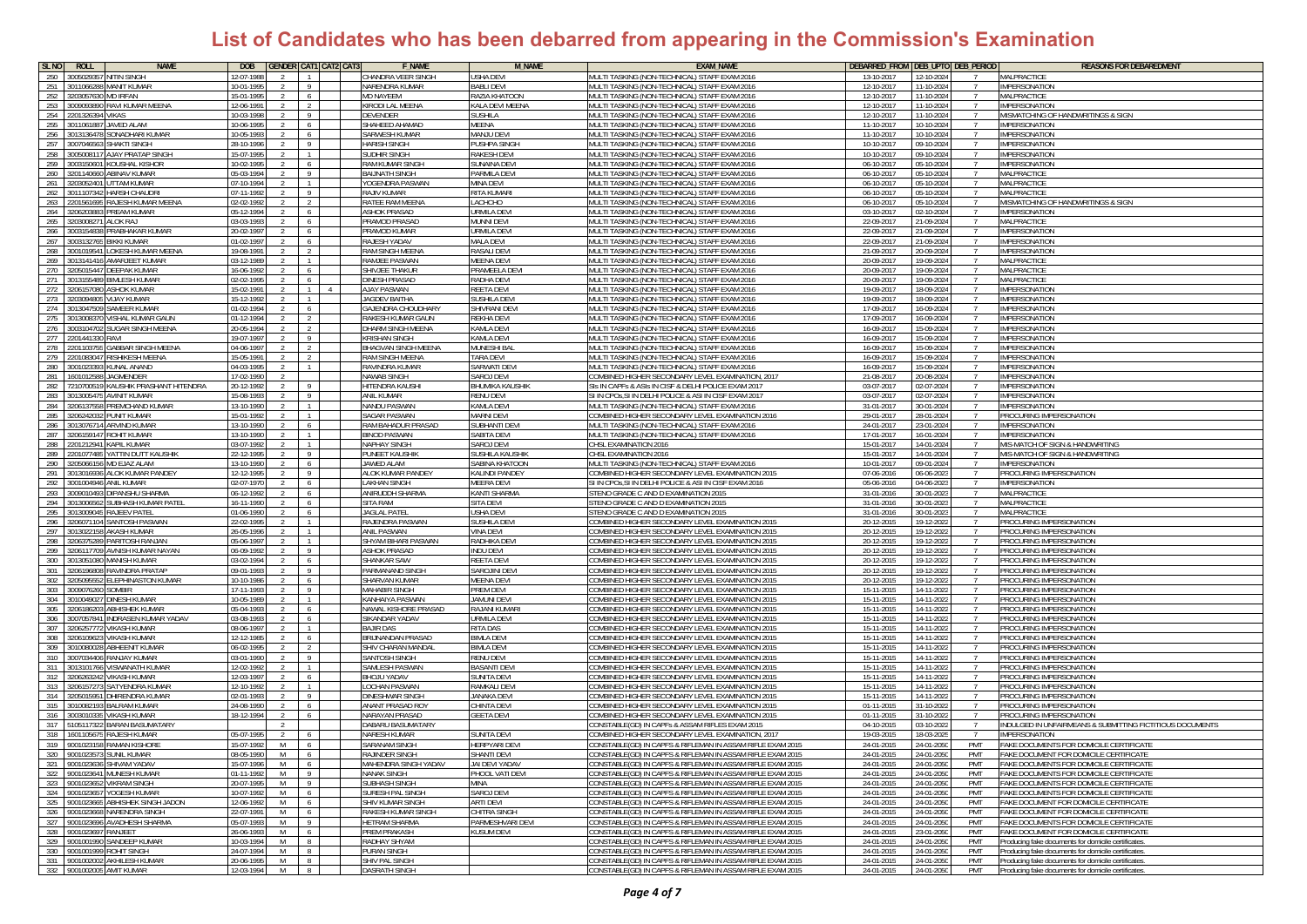| SL <sub>NO</sub>                 | <b>ROLL</b><br><b>NAME</b>                                                   | DOB                                       | <b>GENDER CAT1 CAT2 CAT3</b>              | <b>F_NAME</b>                                 | <b>M_NAME</b>                         | <b>EXAM_NAME</b>                                                                                                         | DEBARRED_FROM DEB_UPTO DEB_PERIOD |                          |                   | <b>REASONS FOR DEBAREDMENT</b>                                                          |
|----------------------------------|------------------------------------------------------------------------------|-------------------------------------------|-------------------------------------------|-----------------------------------------------|---------------------------------------|--------------------------------------------------------------------------------------------------------------------------|-----------------------------------|--------------------------|-------------------|-----------------------------------------------------------------------------------------|
| 250                              | 300502935<br><b>ITIN SINGH</b>                                               | 12-07-198                                 |                                           | HANDRA VEER SINGH                             | ISHA DEVI                             | IULTI TASKING (NON-TECHNICAL) STAFF EXAM 2016                                                                            | 13-10-2017                        | 12-10-2024               |                   | MALPRACTICE                                                                             |
| 251                              | 01106628<br><b>IANIT KUMAR</b>                                               | 10-01-199                                 | 9                                         | NARENDRA KUMAR                                | ABLI DEVI                             | AULTI TASKING (NON-TECHNICAL) STAFF FXAM 2016                                                                            | 12-10-2017                        | 11-10-2024               |                   | <b>IMPERSONATION</b>                                                                    |
| 252                              | 3203057630<br><b>ID IRFAN</b>                                                | 15-01-199<br>$\overline{2}$               | <b>MD NAYEEM</b><br>6                     |                                               | RAZIA KHATOON                         | MULTI TASKING (NON-TECHNICAL) STAFF EXAM 2016                                                                            | 12-10-2017                        | 11-10-2024               | $\overline{7}$    | MAI PRACTICE                                                                            |
|                                  | 253 3009093890<br>RAVI KUMAR MEENA                                           | 12-06-1991<br>2                           | 2                                         | KIRODI LAL MEENA                              | KALA DEVI MEENA                       | MULTI TASKING (NON-TECHNICAL) STAFF EXAM 2016                                                                            | 12-10-2017                        | 11-10-2024               |                   | <b>IMPERSONATION</b>                                                                    |
|                                  | 254 2201326394<br>VIKAS                                                      | 10-03-1998                                | -9<br>DEVENDER                            |                                               | SUSHILA                               | MULTI TASKING (NON-TECHNICAL) STAFF EXAM 2016                                                                            | 12-10-2017                        | 11-10-2024               |                   | MISMATCHING OF HANDWRITINGS & SIGN                                                      |
|                                  | 255 301106188<br>JAVED ALAM                                                  | 10-06-1995                                |                                           | SHAHEED AHAMAD                                | MEENA                                 | MULTI TASKING (NON-TECHNICAL) STAFF EXAM 2016                                                                            | 11-10-2017                        | 10-10-2024               |                   | <b>IMPERSONATION</b>                                                                    |
| 256                              | SONADHARI KUMAR<br>301313647                                                 | 10-05-1993                                | 6                                         | SARWESH KUMAR                                 | MANJU DEVI                            | MULTI TASKING (NON-TECHNICAL) STAFF EXAM 2016                                                                            | 11-10-2017                        | 10-10-202                |                   | <b>IMPERSONATION</b>                                                                    |
|                                  | 257 300704656<br>SHAKTI SINGH                                                | 28-10-1996                                | Q                                         | <b>HARISH SINGH</b>                           | PUSHPA SINGH                          | MULTI TASKING (NON-TECHNICAL) STAFF FXAM 2016                                                                            | 10-10-2017                        | 09-10-202                |                   | <b>IMPERSONATION</b>                                                                    |
| 258                              | JAY PRATAP SINGH<br>0050081                                                  | 15-07-1995                                |                                           | SUDHIR SINGH                                  | <b>RAKESH DEVI</b>                    | <b>MULTI TASKING (NON-TECHNICAL) STAFF EXAM 2016</b>                                                                     | 10-10-2017                        | 09-10-202                |                   | <b>IMPERSONATION</b>                                                                    |
|                                  | 259 300315060<br>OUSHAL KISHOR                                               | 10-02-1995                                | 6                                         | <b>RAM KUMAR SINGH</b>                        | SUNAINA DEVI                          | MULTI TASKING (NON-TECHNICAL) STAFF EXAM 2016                                                                            | 06-10-2017                        | 05-10-2024               |                   | <b>IMPERSONATION</b>                                                                    |
| 260                              | <b>BINAV KUMAR</b><br>320114066                                              | 05-03-1994                                | $\overline{9}$                            | <b>BAIJNATH SINGH</b>                         | PARMILA DEVI                          | MULTI TASKING (NON-TECHNICAL) STAFF EXAM 2016                                                                            | 06-10-2017                        | 05-10-2024               |                   | MALPRACTICE                                                                             |
| 261<br>262                       | 320305240<br><b><i>TAM KUMAR</i></b><br>01110734<br>ARSH CHAUDR              | 07-10-1994<br>07-11-1992                  | $\overline{1}$<br>9                       | YOGENDRA PASWAN<br>RAJIV KUMAR                | MINA DEVI<br><b>ITA KUMAR</b>         | MULTI TASKING (NON-TECHNICAL) STAFF EXAM 2016<br><b>MULTI TASKING (NON-TECHNICAL) STAFF EXAM 2016</b>                    | 06-10-2017<br>06-10-2017          | 05-10-2024<br>05-10-2024 |                   | MALPRACTICE<br>MALPRACTICE                                                              |
| 263                              | AJESH KUMAR MEENA<br>20156169                                                | 02-02-1992                                |                                           | RATEE RAM MEENA                               | <b>ACHCHO</b>                         | IULTI TASKING (NON-TECHNICAL) STAFF EXAM 2016                                                                            | 06-10-2017                        | 15-10-2024               |                   | <b>IISMATCHING OF HANDWRITINGS &amp; SIGN</b>                                           |
| 264                              | <b>REAM KUMAR</b><br>320620388                                               | 05-12-1994<br>$\mathcal{L}$               | 6                                         | <b>ASHOK PRASAD</b>                           | <b>JRMILA DEVI</b>                    | MULTI TASKING (NON-TECHNICAL) STAFF EXAM 2016                                                                            | 03-10-2017                        | 02-10-2024               | - 7               | <b>IMPERSONATION</b>                                                                    |
|                                  | 265 3203008271<br>ALOK RAJ                                                   | 03-03-1993<br>$\mathcal{L}$               | 6                                         | PRAMOD PRASAD                                 | MUNNI DEVI                            | MULTI TASKING (NON-TECHNICAL) STAFF EXAM 2016                                                                            | 22-09-2017                        | 21-09-2024               | $\overline{7}$    | MALPRACTICE                                                                             |
|                                  | PRABHAKAR KUMAR<br>266 3003154838                                            | 20-02-1997                                | 6                                         | PRAMOD KUMAR                                  | URMILA DEV                            | MULTI TASKING (NON-TECHNICAL) STAFF EXAM 2016                                                                            | 22-09-2017                        | 21-09-2024               | $\overline{7}$    | IMPERSONATION                                                                           |
| 267                              | BIKKI KUMAR<br>300313276                                                     | 01-02-1997                                | 6                                         | RAJESH YADAV                                  | MALA DEVI                             | MULTI TASKING (NON-TECHNICAL) STAFF EXAM 2016                                                                            | 22-09-2017                        | 21-09-202                |                   | IMPERSONATION                                                                           |
| 268                              | OKESH KUMAR MEENA                                                            | 19-08-199                                 |                                           | RAM SINGH MEENA                               | RASALI DEV                            | MULTI TASKING (NON-TECHNICAL) STAFF EXAM 2016                                                                            | 21-09-201                         | 20-09-202                |                   | <b>IMPERSONATION</b>                                                                    |
| 269                              | 301314141<br>AMARJEET KUMAR                                                  | 03-12-1989                                |                                           | RAMJEE PASWAN                                 | <b>MEENA DEV</b>                      | MULTI TASKING (NON-TECHNICAL) STAFF EXAM 2016                                                                            | 20-09-2017                        | 19-09-202                |                   | MALPRACTICE                                                                             |
| 270                              | 3205015447<br>DEEPAK KUMAR                                                   | 16-06-1992                                | 6                                         | SHIVJEE THAKUR                                | PRAMEELA DEV                          | MULTI TASKING (NON-TECHNICAL) STAFF EXAM 2016                                                                            | 20-09-2017                        | 19-09-202                |                   | MALPRACTICE                                                                             |
| 271                              | <b>IMLESH KUMAR</b><br>301315548                                             | 02-02-1995                                | 6                                         | DINESH PRASAD                                 | RADHA DEVI                            | MULTI TASKING (NON-TECHNICAL) STAFF EXAM 2016                                                                            | 20-09-2017                        | 19-09-202                |                   | <b>MALPRACTICE</b>                                                                      |
| 272                              | 20615708<br><b>SHOK KUMAR</b>                                                | 15-02-1991                                | $1 \quad$<br>4                            | <b>AJAY PASWAN</b>                            | REETA DEVI                            | MULTI TASKING (NON-TECHNICAL) STAFF EXAM 2016                                                                            | 19-09-2017                        | 18-09-202                |                   | <b>IMPERSONATION</b>                                                                    |
| 273                              | 20309480<br>LIAY KUMAR                                                       | 15-12-1992                                | $\overline{1}$                            | JAGDEV BAITHA                                 | SUSHILA DEV                           | MULTI TASKING (NON-TECHNICAL) STAFF EXAM 2016                                                                            | 19-09-2017                        | 18-09-202                |                   | <b>IMPERSONATION</b>                                                                    |
|                                  | 274 3013047509<br><b>AMEER KUMAR</b>                                         | 01-02-1994                                | 6                                         | <b>GAJENDRA CHOUDHARY</b>                     | SHIVRANI DEVI                         | MULTI TASKING (NON-TECHNICAL) STAFF EXAM 2016                                                                            | 17-09-2017                        | 16-09-202                |                   | <b>IMPERSONATION</b>                                                                    |
| 275                              | SHAL KUMAR GAUN<br>01300837<br>003104702<br>UGAR SINGH MEENA                 | 01-12-1994<br>20-05-1994                  | $\overline{2}$                            | RAKESH KUMAR GAUN<br><b>DHARM SINGH MEENA</b> | <b>REKHA DEVI</b><br><b>AMLA DEVI</b> | <b>IULTI TASKING (NON-TECHNICAL) STAFF EXAM 2016</b>                                                                     | 17-09-2017<br>16-09-2017          | 6-09-202                 |                   | MPERSONATION<br><b>IMPERSONATION</b>                                                    |
| 276<br>277                       | 201441330<br>RAVI                                                            | 19-07-1997                                | 9                                         | KRISHAN SINGH                                 | <b>CAMLA DEVI</b>                     | IULTI TASKING (NON-TECHNICAL) STAFF EXAM 2016<br><b>MULTI TASKING (NON-TECHNICAL) STAFF EXAM 2016</b>                    | 16-09-2017                        | 5-09-2024<br>5-09-2024   |                   | IMPERSONATION                                                                           |
|                                  | 278 220110375<br>GABBAR SINGH MEENA                                          | 04-06-1997<br>$\overline{2}$              | $\overline{2}$                            | BHAGVAN SINGH MEENA                           | MUNESHI BAL                           | MULTI TASKING (NON-TECHNICAL) STAFF EXAM 2016                                                                            | 16-09-2017                        | 15-09-2024               | $\overline{7}$    | <b>IMPERSONATION</b>                                                                    |
|                                  | 279 2201083047<br>RISHIKESH MEENA                                            | 15-05-1991<br>$\mathcal{L}$               | $\overline{2}$                            | RAM SINGH MEENA                               | TARA DEVI                             | MULTI TASKING (NON-TECHNICAL) STAFF EXAM 2016                                                                            | 16-09-2017                        | 15-09-2024               | -7                | IMPERSONATION                                                                           |
|                                  | 280 3001023393<br>(UNAL ANAND                                                | 04-03-1995                                |                                           | RAVINDRA KUMAR                                | <b>SARWATI DEV</b>                    | MULTI TASKING (NON-TECHNICAL) STAFF EXAM 2016                                                                            | 16-09-2017                        | 15-09-2024               |                   | <b>IMPERSONATION</b>                                                                    |
|                                  | 281 160101258<br>AGMENDER                                                    | 17-02-1990                                |                                           | NAWAB SINGH                                   | SAROJ DEVI                            | COMBINED HIGHER SECONDARY LEVEL EXAMINATION, 2017                                                                        | 21-08-2017                        | 20-08-2024               |                   | <b>IMPERSONATION</b>                                                                    |
| 282                              | 721070051<br>AUSHIK PRASHANT HITENDRA                                        | 20-12-1992                                | 9                                         | <b>HITENDRA KAUSH</b>                         | <b>BHUMIKA KAUSHIK</b>                | SIS IN CAPFS & ASIS IN CISF & DELHI POLICE EXAM 2017                                                                     | 03-07-201                         | 2-07-2024                |                   | <b>IMPERSONATION</b>                                                                    |
| 283                              | 301300547<br><b>VINIT KUMAR</b>                                              | 15-08-1993                                | 9<br><b>ANIL KUMAR</b>                    |                                               | RENU DEVI                             | SI IN CPOS.SI IN DELHI POLICE & ASI IN CISF EXAM 2017                                                                    | 03-07-2017                        | 02-07-2024               |                   | <b>IMPERSONATION</b>                                                                    |
|                                  | <b>REMCHAND KUMAR</b><br>284 320613755                                       | 13-10-1990                                | $\mathbf{1}$                              | <b>NANDU PASWAN</b>                           | KAMLA DEVI                            | <b>MULTI TASKING (NON-TECHNICAL) STAFF EXAM 2016</b>                                                                     | 31-01-2017                        | 30-01-2024               |                   | <b>IMPERSONATION</b>                                                                    |
| 285                              | UNIT KUMAR<br>12062420                                                       | 15-01-1992                                | $\overline{1}$                            | SAGAR PASWAN                                  | MARNI DEVI                            | COMBINED HIGHER SECONDARY LEVEL EXAMINATION 2016                                                                         | 29-01-2017                        | 28-01-2024               |                   | PROCURING IMPERSONATION                                                                 |
| 286<br>287                       | <b>RVIND KUMAR</b><br>301307671<br>320615914<br>ohit Kumar                   | 13-10-1990<br>13-10-1990                  | 6<br>$\overline{1}$                       | RAM BAHADUR PRASAD<br>BINOD PASWAN            | SUBHANTI DEVI<br>SABITA DEVI          | MULTI TASKING (NON-TECHNICAL) STAFF EXAM 2016<br><b>MULTI TASKING (NON-TECHNICAL) STAFF EXAM 2016</b>                    | 24-01-2017<br>17-01-2017          | 23-01-2024<br>16-01-2024 |                   | <b>IMPERSONATION</b><br><b>IMPERSONATION</b>                                            |
| $288$ $\overline{\phantom{1}}$ : | KAPIL KUMAR<br>201212941                                                     | 03-07-1992                                | $\mathbf{1}$                              | NAPHAY SINGH                                  | SAROJ DEVI                            | CHSL EXAMINATION 2016                                                                                                    | 15-01-2017                        | 14-01-2024               |                   | <b>MIS-MATCH OF SIGN &amp; HANDWRITING</b>                                              |
| 289 2                            | 'ATTIN DUTT KAUSHIK<br>20107748                                              | 22-12-1995                                | 9                                         | PUNEET KAUSHIK                                | SUSHILA KAUSHIK                       | CHSL EXAMINATION 2016                                                                                                    | 15-01-2017                        | 14-01-2024               |                   | <b><i>AIS-MATCH OF SIGN &amp; HANDWRITING</i></b>                                       |
|                                  | 290 320506615<br>AD EJAZ ALAM                                                | 13-10-1990                                | 6                                         | JAWED ALAM                                    | SABINA KHATOO!                        | MULTI TASKING (NON-TECHNICAL) STAFF EXAM 2016                                                                            | 10-01-2017                        | 09-01-2024               |                   | <b>IMPERSONATION</b>                                                                    |
|                                  | 291 3013016936<br>ALOK KUMAR PANDEY                                          | 12-12-1995                                | -9                                        | ALOK KUMAR PANDEY                             | KALINDI PANDEY                        | COMBINED HIGHER SECONDARY LEVEL EXAMINATION 201!                                                                         | 07-06-2016                        | 06-06-2023               | $\overline{7}$    | PROCURING IMPERSONATION                                                                 |
|                                  | 292 3001004946<br>ANIL KUMAR                                                 | 02-07-1970<br>$\mathcal{L}$               | 6                                         | <b>LAKHAN SINGH</b>                           | <b>MEERA DEVI</b>                     | SI IN CPOs, SI IN DELHI POLICE & ASI IN CISF EXAM 2016                                                                   | 05-06-2016                        | 04-06-202                |                   | <b>IMPERSONATION</b>                                                                    |
| 293                              | <b>IPANSHU SHARMA</b><br>300901049                                           | 06-12-1992                                |                                           | ANIRUDDH SHARMA                               | KANTI SHARMA                          | STENO GRADE C AND D EXAMINATION 2015                                                                                     | 31-01-2016                        | 30-01-202                |                   | MALPRACTICE                                                                             |
| 294                              | 101300656<br>UBHASH KUMAR PATE                                               | 16-11-1990                                | SITA RAM                                  |                                               | SITA DEVI                             | STENO GRADE C AND D EXAMINATION 201                                                                                      | 31-01-201                         | 30-01-202                |                   | MALPRACTICE                                                                             |
| 295                              | RAJEEV PATE<br>301300904<br>SANTOSH PASWAN                                   | 01-06-1990<br>22-02-1995                  | <b>JAGLAL PATE</b><br>6<br>$\overline{1}$ | RAJENDRA PASWAN                               | <b>JSHA DEVI</b><br>SUSHILA DEV       | STENO GRADE C AND D EXAMINATION 2015<br>COMBINED HIGHER SECONDARY LEVEL EXAMINATION 2015                                 | 31-01-2016<br>20-12-2015          | 30-01-202<br>19-12-2022  |                   | MAI PRACTICE<br>PROCURING IMPERSONATION                                                 |
| 297                              | 296 320607110<br><b>AKASH KUMAR</b><br>801302215                             | 26-05-1996                                | $\overline{1}$<br><b>ANIL PASWAN</b>      |                                               | VINA DEV                              | COMBINED HIGHER SECONDARY LEVEL EXAMINATION 2015                                                                         | 20-12-2015                        | 19-12-202                |                   | PROCURING IMPERSONATION                                                                 |
| 298                              | 320637528<br>PARITOSH RANJAN                                                 | 05-06-1997                                | $\overline{1}$                            | SHYAM BIHARI PASWAN                           | RADHIKA DEVI                          | COMBINED HIGHER SECONDARY LEVEL EXAMINATION 2015:                                                                        | 20-12-2015                        | 19-12-202                |                   | PROCURING IMPERSONATION                                                                 |
| 299                              | 20611770<br>/NISH KUMAR NAYA                                                 | 6-09-199                                  | -9                                        | <b>ISHOK PRASAF</b>                           | NDU DEVI                              | OMBINED HIGHER SECONDARY LEVEL EXAMINATION 201                                                                           | 20-12-2015                        | 19-12-202                |                   | PROCURING IMPERSONATIOI                                                                 |
| 300                              | 01305108<br><b>MANISH KUMAR</b>                                              | 13-02-1994                                | 6                                         | <b>HANKAR SAW</b>                             | <b>EETA DEVI</b>                      | OMBINED HIGHER SECONDARY LEVEL EXAMINATION 2015                                                                          | 20-12-2015                        | 9-12-2022                |                   | <b>PROCURING IMPERSONATION</b>                                                          |
| 301                              | 3206196808<br>RAVINDRA PRATAP                                                | 09-01-1992<br>2                           | 9                                         | ARMANAND SINGH                                | SAROJINI DEVI                         | COMBINED HIGHER SECONDARY LEVEL EXAMINATION 2015                                                                         | $20 - 12 - 2015$                  | 19-12-2022               |                   | PROCURING IMPERSONATION                                                                 |
|                                  | 302 3205095552<br><b>ELEPHINASTON KUMAR</b>                                  | 10-10-198<br>$\mathcal{L}$                | 6                                         | SHARVAN KUMAR                                 | MEENA DEV                             | COMBINED HIGHER SECONDARY LEVEL EXAMINATION 2015                                                                         | 20-12-2015                        | 19-12-2022               |                   | PROCURING IMPERSONATION                                                                 |
|                                  | 303 300907626<br><b>SOMBIR</b>                                               | 17-11-1992                                | -9                                        | <b>MAHABIR SINGH</b>                          | PREM DEVI                             | COMBINED HIGHER SECONDARY LEVEL EXAMINATION 2015                                                                         | 15-11-2015                        | 14-11-2022               |                   | PROCURING IMPERSONATION                                                                 |
| 305                              | 304 301004902<br>)INESH KUMAR<br><b>BHISHEK KUMAR</b><br>320618620           | 10-05-1989<br>$\mathcal{P}$<br>05-04-1993 |                                           | KANHAIYA PASWAN<br>NAWAL KISHORE PRASAD       | JAMUNI DEVI<br>RAJANI KUMAR           | COMBINED HIGHER SECONDARY LEVEL EXAMINATION 2015<br>COMBINED HIGHER SECONDARY LEVEL EXAMINATION 2015                     | 15-11-2015<br>15-11-2015          | 14-11-2022<br>14-11-2022 |                   | PROCURING IMPERSONATION<br>PROCURING IMPERSONATION                                      |
| 306                              | <b>VDRASEN KUMAR YADAV</b><br>007057841                                      | 03-08-1993                                |                                           | SIKANDAR YADAV                                | <b>JRMILA DEVI</b>                    | OMBINED HIGHER SECONDARY LEVEL EXAMINATION 2015                                                                          | 15-11-2015                        | 14-11-2022               |                   | <b>PROCURING IMPERSONATION</b>                                                          |
|                                  | 307 320625777<br>/IKASH KUMAR                                                | 08-06-1997<br>$\mathcal{L}$               | $\mathbf{1}$<br><b>BAJIR DAS</b>          |                                               | <b>RITA DAS</b>                       | OMBINED HIGHER SECONDARY LEVEL EXAMINATION 2015                                                                          | 15-11-2015                        | 14-11-2022               |                   | PROCURING IMPERSONATION                                                                 |
| 308                              | 120610962<br><b>IKASH KUMAR</b>                                              | 12-12-1985                                | 6                                         | BRIJNANDAN PRASAD                             | BIMLA DEVI                            | COMBINED HIGHER SECONDARY LEVEL EXAMINATION 2015                                                                         | 15-11-2015                        | 14-11-2022               |                   | PROCURING IMPERSONATION                                                                 |
|                                  | 309 301008002<br>BHEENIT KUMAR                                               | 06-02-1995                                | 2                                         | SHIV CHARAN MANDAL                            | BIMLA DEVI                            | COMBINED HIGHER SECONDARY LEVEL EXAMINATION 2015                                                                         | 15-11-2015                        | 14-11-2022               |                   | PROCURING IMPERSONATION                                                                 |
|                                  | 310 3007034406<br>RANJAY KUMAR                                               | 03-01-1990                                | 9 <sup>1</sup>                            | SANTOSH SINGH                                 | RENU DEVI                             | COMBINED HIGHER SECONDARY LEVEL EXAMINATION 2015                                                                         | 15-11-2015                        | 14-11-2022               |                   | PROCURING IMPERSONATION                                                                 |
| 311                              | SWANATH KUMAR<br>01310176                                                    | 12-02-1992                                |                                           | SAMLESH PASWAM                                | <b>BASANTI DEV</b>                    | COMBINED HIGHER SECONDARY LEVEL EXAMINATION 2015                                                                         | 15-11-2015                        | 14-11-2022               |                   | PROCURING IMPERSONATION                                                                 |
| 312                              | 20626324<br><b>IKASH KUMAR</b>                                               | 12-03-1997                                | 6                                         | <b>HOJU YADAV</b>                             | UNITA DEVI                            | OMBINED HIGHER SECONDARY LEVEL EXAMINATION 2015:                                                                         | 15-11-2015                        | 14-11-2022               |                   | <b>PROCURING IMPERSONATION</b>                                                          |
| 313                              | SATYENDRA KUMAR<br>20615727                                                  | 12-10-1992                                | $\mathbf{1}$                              | OCHAN PASWAN                                  | RAMKALI DEVI                          | COMBINED HIGHER SECONDARY LEVEL EXAMINATION 2015                                                                         | 15-11-2015                        | 14-11-2022               |                   | PROCURING IMPERSONATION                                                                 |
| 314                              | DHIRENDRA KUMAR<br>320501595                                                 | 02-01-1993<br>$\mathcal{L}$               | 9                                         | DINESHWAR SINGH                               | JANAKA DEVI                           | COMBINED HIGHER SECONDARY LEVEL EXAMINATION 2015                                                                         | 15-11-2015                        | 14-11-2022               | $\overline{7}$    | PROCURING IMPERSONATION                                                                 |
|                                  | 315 3010082193<br><b>BALRAM KUMAR</b>                                        | 24-08-1990<br>2                           | 6                                         | ANANT PRASAD ROY                              | CHINTA DEVI<br><b>GEETA DEVI</b>      | COMBINED HIGHER SECONDARY LEVEL EXAMINATION 2015<br>COMBINED HIGHER SECONDARY LEVEL EXAMINATION 2015                     | $\overline{01}$ -11-2015          | 31-10-2022               |                   | PROCURING IMPERSONATION<br>PROCURING IMPERSONATION                                      |
| $317 - 5$                        | 316 300301033<br><b>VIKASH KUMAR</b><br><b>BARAN BASUMATARY</b><br>105117322 | 18-12-1994                                |                                           | NARAYAN PRASAD<br>DABARU BASUMATARY           |                                       | CONSTABLE(GD) IN CAPFs & ASSAM RIFLES EXAM 2015                                                                          | 01-11-2015<br>04-10-2015          | 31-10-2022<br>03-10-202  |                   | INDULGED IN UNFAIRMEANS & SUBMITTING FICTITIOUS DOCUMENTS                               |
| 318                              | <b>RAJESH KUMAR</b><br>160110567                                             | 05-07-199                                 | 6                                         | NARESH KUMAR                                  | SUNITA DEV                            | COMBINED HIGHER SECONDARY LEVEL EXAMINATION, 2017                                                                        | 19-03-2015                        | 18-03-202                |                   | <b>IMPERSONATION</b>                                                                    |
|                                  | 319 9001023158 RAMAN KISHORE                                                 | 15-07-1992<br>M                           | 6                                         | SARANAM SINGH                                 | <b>HERPYARI DEVI</b>                  | CONSTABLE(GD) IN CAPFS & RIFLEMAN IN ASSAM RIFLE EXAM 2015                                                               | 24-01-2015                        | 24-01-205                | PMT               | FAKE DOCUMENTS FOR DOMICILE CERTIFICATE                                                 |
|                                  | SHMIL KHMAR                                                                  | 18.05.100                                 | <b>PA IINDER</b>                          |                                               |                                       | ONSTARI FIGD) IN CAPES & RIELEMAN IN ASSAM RIELE EXAM 2015                                                               | 24-01-2015                        |                          | <b>PMT</b>        | <b>EAKE DOCUMENT FOR DOMICILE CERTI</b>                                                 |
|                                  | 321 9001023636 SHIVAM YADAV                                                  | 15-07-1996<br>M                           | 6                                         | MAHENDRA SINGH YADAV                          | JAI DEVI YADAV                        | CONSTABLE(GD) IN CAPFS & RIFLEMAN IN ASSAM RIFLE EXAM 2015                                                               | 24-01-2015                        | 24-01-2050               | PMT               | FAKE DOCUMENTS FOR DOMICILE CERTIFICATE                                                 |
|                                  | 322 9001023641 MUNESH KUMAR                                                  | 01-11-1992<br>M                           | 9 <sup>1</sup>                            | NANAK SINGH                                   | PHOOL VATI DEVI                       | CONSTABLE(GD) IN CAPFS & RIFLEMAN IN ASSAM RIFLE EXAM 2015                                                               | 24-01-2015                        | 24-01-2050               | PMT               | FAKE DOCUMENTS FOR DOMICILE CERTIFICATE                                                 |
|                                  | 323 9001023652 VIKRAM SINGH                                                  | 20-07-1995<br>M                           | 9 <sup>1</sup>                            | SUBHASH SINGH                                 | MINA                                  | CONSTABLE(GD) IN CAPFS & RIFLEMAN IN ASSAM RIFLE EXAM 2015                                                               | 24-01-2015                        | 24-01-2050               | PMT               | <b>FAKE DOCUMENTS FOR DOMICILE CERTIFICATE</b>                                          |
|                                  | 324 9001023657 YOGESH KUMAR                                                  | 10-07-1992<br>M                           | 6                                         | SURESH PAL SINGH                              | SAROJ DEVI                            | CONSTABLE(GD) IN CAPFS & RIFLEMAN IN ASSAM RIFLE EXAM 2015                                                               | 24-01-2015                        | 24-01-2050               | PMT               | FAKE DOCUMENTS FOR DOMICILE CERTIFICATE                                                 |
|                                  | 325 9001023665 ABHISHEK SINGH JADON<br>326 9001023668 NARENDRA SINGH         | 12-06-1992<br>M<br>22-07-1991             | 6                                         | SHIV KUMAR SINGH<br>RAKESH KUMAR SINGH        | ARTI DEVI<br>CHITRA SINGH             | CONSTABLE(GD) IN CAPFS & RIFLEMAN IN ASSAM RIFLE EXAM 2015<br>CONSTABLE(GD) IN CAPFS & RIFLEMAN IN ASSAM RIFLE EXAM 2015 | 24-01-2015                        | 24-01-2050               | PMT<br><b>PMT</b> | <b>FAKE DOCUMENT FOR DOMICILE CERTIFICATE</b><br>FAKE DOCUMENT FOR DOMICILE CERTIFICATE |
|                                  | 327 9001023696 AVADHESH SHARMA                                               | M<br>05-07-1993<br>M                      | 6<br>9 <sup>1</sup>                       | <b>HETRAM SHARMA</b>                          | PARMESHVARI DEVI                      | CONSTABLE(GD) IN CAPFS & RIFLEMAN IN ASSAM RIFLE EXAM 2015                                                               | 24-01-2015<br>24-01-2015          | 24-01-2050<br>24-01-2050 | <b>PMT</b>        | FAKE DOCUMENTS FOR DOMICILE CERTIFICATE                                                 |
|                                  | 328 9001023697 RANJEET                                                       | M <sub>1</sub><br>26-06-1993              | 6                                         | PREM PRAKASH                                  | KUSUM DEVI                            | CONSTABLE(GD) IN CAPFS & RIFLEMAN IN ASSAM RIFLE EXAM 2015                                                               | 24-01-2015                        | 23-01-2050               | PMT               | FAKE DOCUMENT FOR DOMICILE CERTIFICATE                                                  |
|                                  | 329 9001001990 SANDEEP KUMAR                                                 | 10-03-1994<br>M                           | -8                                        | RADHAY SHYAM                                  |                                       | CONSTABLE(GD) IN CAPFS & RIFLEMAN IN ASSAM RIFLE EXAM 2015                                                               | 24-01-2015                        | 24-01-2050               | PMT               | Producing fake documents for domicile certificates.                                     |
|                                  | 330 9001001999 ROHIT SINGH                                                   | 24-07-1994<br>M                           | -8                                        | PURAN SINGH                                   |                                       | CONSTABLE(GD) IN CAPFS & RIFLEMAN IN ASSAM RIFLE EXAM 2015                                                               | 24-01-2015                        | 24-01-2050               | PMT               | Producing fake documents for domicile certificates.                                     |
|                                  | 331 9001002002 AKHILESH KUMAR                                                | 20-06-1995<br>M                           | $\mathbb{R}$                              | SHIV PAL SINGH                                |                                       | CONSTABLE(GD) IN CAPFS & RIFLEMAN IN ASSAM RIFLE EXAM 2015                                                               | 24-01-2015                        | 24-01-2050               | PMT               | Producing fake documents for domicile certificates.                                     |
|                                  | 332 9001002005 AMIT KUMAR                                                    | 12-03-1994<br>M                           | 8 <sup>1</sup>                            | DASRATH SINGH                                 |                                       | CONSTABLE(GD) IN CAPFS & RIFLEMAN IN ASSAM RIFLE EXAM 2015                                                               | 24-01-2015                        | 24-01-2050               | PMT               | Producing fake documents for domicile certificates.                                     |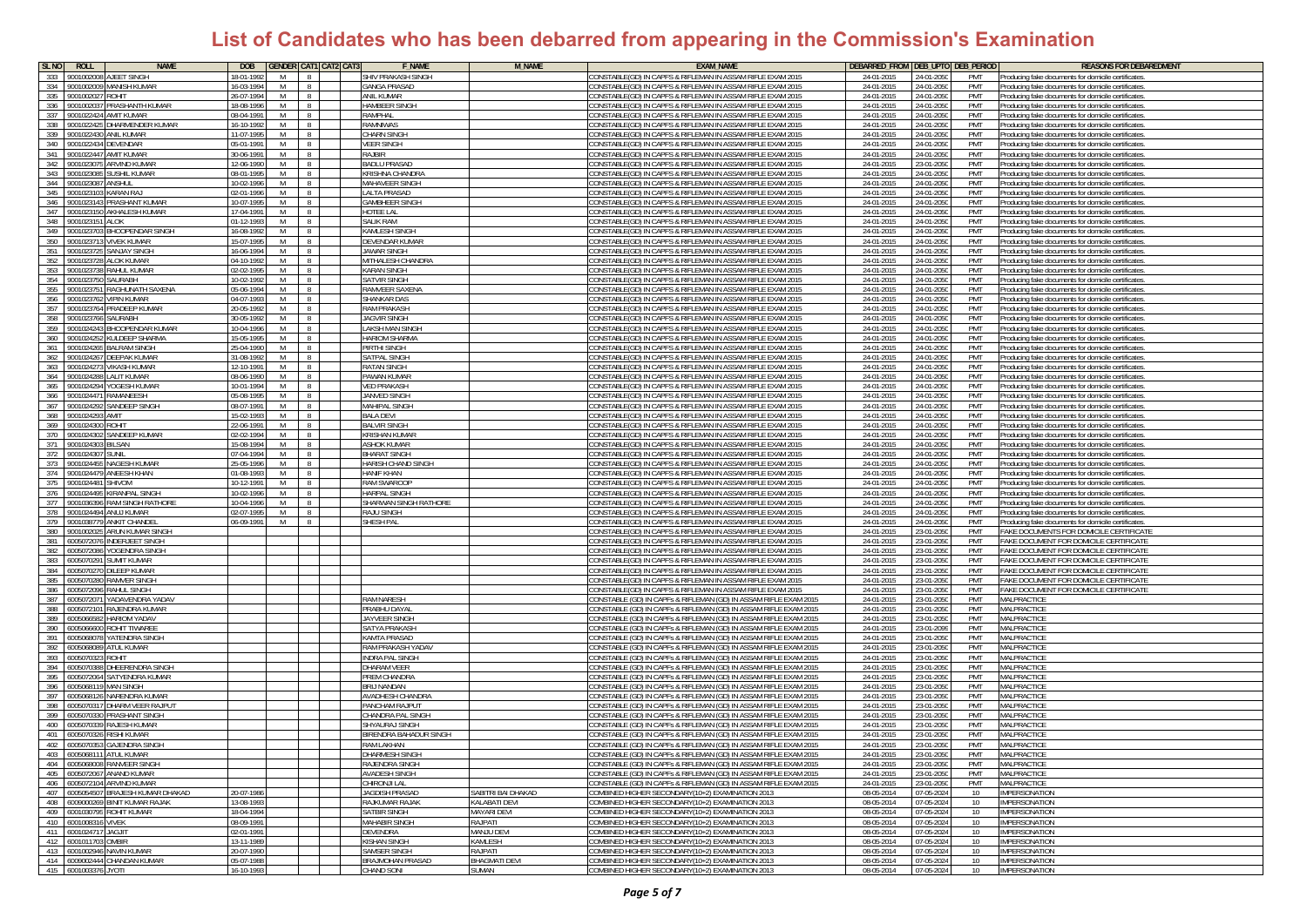| SL <sub>NO</sub><br><b>ROLL</b><br><b>NAME</b>                                       | <b>DOB</b><br><b>GENDER CAT1 CAT2 CAT3</b> | <b>F NAME</b>                                 | M NAME               | <b>EXAM NAME</b>                                                                                                                     | <b>DEBARRED FROM</b><br>DEB_UPTO DEB_PERIOD                       | <b>REASONS FOR DEBAREDMENT</b>                                                                           |
|--------------------------------------------------------------------------------------|--------------------------------------------|-----------------------------------------------|----------------------|--------------------------------------------------------------------------------------------------------------------------------------|-------------------------------------------------------------------|----------------------------------------------------------------------------------------------------------|
| 333<br>900100200<br><b>AJEET SINGH</b>                                               | 18-01-1992<br>M<br>$\mathcal{R}$           | SHIV PRAKASH SINGH                            |                      | CONSTABLE(GD) IN CAPFS & RIFLEMAN IN ASSAM RIFLE EXAM 2015                                                                           | 24-01-2015<br>24-01-2050<br>PMT                                   | Producina fake documents for domicile certificates                                                       |
| 334 9001002009 MANISH KUMAR                                                          | 16-03-1994<br>M<br>$\mathbb{R}$            | <b>GANGA PRASAD</b>                           |                      | CONSTABLE(GD) IN CAPFS & RIFLEMAN IN ASSAM RIFLE EXAM 2015                                                                           | 24-01-2015<br>24-01-2050<br>PMT                                   | Producing fake documents for domicile certificates                                                       |
| 335<br>900100202<br>ROHIT                                                            | 26-07-1994<br>M                            | ANIL KUMAR                                    |                      | CONSTABLE(GD) IN CAPFS & RIFLEMAN IN ASSAM RIFLE EXAM 2015                                                                           | 24-01-2015<br>24-01-2050<br>PMT                                   | Producing fake documents for domicile certificates                                                       |
| 336<br>900100203<br><b>PRASHANTH KLIMAR</b>                                          | 18-08-1996<br>M                            | <b>HAMBEER SINGE</b>                          |                      | ONSTARLE(GD) IN CAPES & RIELEMAN IN ASSAM RIELE EXAM 2015                                                                            | 24-01-2015<br>24-01-2050<br>PMT                                   | Producing fake documents for domicile certificates                                                       |
| 337<br>AMIT KUMAR<br>900102242                                                       | 08-04-1991<br>M                            | <b>RAMPHAL</b>                                |                      | CONSTABLE(GD) IN CAPES & RIELEMAN IN ASSAM RIELE EXAM 2015                                                                           | 24-01-205<br>PMT<br>24-01-201                                     | Producing fake documents for domicile certificates                                                       |
| 338<br>HARMENDER KUMAR<br>900102242                                                  | 16-10-1992<br>M<br>$\mathcal{R}$           | <b>RAMNIWAS</b>                               |                      | CONSTABLE(GD) IN CAPES & RIELEMAN IN ASSAM RIELE EXAM 2015                                                                           | 24-01-2015<br>24-01-2050<br>PMT                                   | Producing fake documents for domicile certificates                                                       |
| 339 9001022430 ANIL KUMAR                                                            | 11-07-1995<br>M<br>$\mathbb{R}$            | <b>CHARN SINGH</b>                            |                      | CONSTABLE(GD) IN CAPFS & RIFLEMAN IN ASSAM RIFLE EXAM 2015                                                                           | 24-01-201<br>24-01-2050<br>PMT                                    | Producing fake documents for domicile certificates                                                       |
| 340<br>9001022434 DEVENDAR                                                           | 05-01-1991<br>M                            | <b>VEER SINGH</b>                             |                      | CONSTABLE(GD) IN CAPFS & RIFLEMAN IN ASSAM RIFLE EXAM 2015                                                                           | 24-01-201<br>24-01-205<br>PMT                                     | Producing fake documents for domicile certificates                                                       |
| 341<br>9001022447 AMIT KUMAR<br>342<br>900102307<br><b>ARVIND KLIMAR</b>             | 30-06-1991<br>M<br>12-06-1990<br>M         | RAJBIR<br><b>BADI U PRASAD</b>                |                      | CONSTABLE(GD) IN CAPFS & RIFLEMAN IN ASSAM RIFLE EXAM 2015<br>CONSTABLE(GD) IN CAPES & RIFLEMAN IN ASSAM RIFLE EXAM 2015             | 24-01-201<br>24-01-2050<br>PMT<br>24-01-201<br>23-01-205<br>PMT   | Producing fake documents for domicile certificates<br>Producing fake documents for domicile certificates |
| 343<br>900102308<br>SUSHIL KUMAR                                                     | 08-01-1995<br>M                            | <b>KRISHNA CHANDRA</b>                        |                      | CONSTABLE(GD) IN CAPFS & RIFLEMAN IN ASSAM RIFLE EXAM 2015                                                                           | 24-01-201<br>24-01-205<br>PMT                                     | Producing fake documents for domicile certificates                                                       |
| 344<br>900102308<br>ANSHUL                                                           | 10-02-1996<br>M                            | <b>MAHAVEER SINGH</b>                         |                      | CONSTABLE(GD) IN CAPFS & RIFLEMAN IN ASSAM RIFLE EXAM 2015                                                                           | 24-01-201<br>24-01-2050<br>PMT                                    | roducing fake documents for domicile certificates                                                        |
| 345<br>KARAN RAJ<br>900102310                                                        | 02-01-1996<br>M                            | <b>LALTA PRASAD</b>                           |                      | CONSTABLE(GD) IN CAPFS & RIFLEMAN IN ASSAM RIFLE EXAM 2015                                                                           | 24-01-2015<br>24-01-2050<br>PMT                                   | Producing fake documents for domicile certificates                                                       |
| 346<br>PRASHANT KUMAR<br>9001023143                                                  | 10-07-1995<br>M                            | <b>GAMBHEER SINGH</b>                         |                      | CONSTABLE(GD) IN CAPFS & RIFLEMAN IN ASSAM RIFLE EXAM 2015                                                                           | 24-01-2015<br>PMT<br>24-01-2050                                   | Producing fake documents for domicile certificates                                                       |
| 347<br><b>AKHALESH KUMAR</b><br>9001023150                                           | 17-04-1991<br>M                            | HOTEE LAL                                     |                      | CONSTABLE(GD) IN CAPFS & RIFLEMAN IN ASSAM RIFLE EXAM 2015                                                                           | 24-01-201<br>24-01-2050<br>PMT                                    | Producing fake documents for domicile certificates                                                       |
| 348<br>900102315<br>AI OK                                                            | 01-12-1993<br>M                            | <b>SALIK RAM</b>                              |                      | CONSTABLE(GD) IN CAPFS & RIFLEMAN IN ASSAM RIFLE EXAM 2015                                                                           | 24-01-201<br>PMT<br>24-01-205                                     | roducing fake documents for domicile certificates                                                        |
| 349<br><b>BHOOPENDAR SINGH</b><br>900102370                                          | 16-08-1992<br>M                            | <b>KAMLESH SINGH</b>                          |                      | CONSTABLE(GD) IN CAPFS & RIFLEMAN IN ASSAM RIFLE EXAM 201!                                                                           | 24-01-201<br>24-01-205<br>PMT                                     | roducing fake documents for domicile certificates                                                        |
| 350<br>9001023713 VIVEK KUMAR                                                        | 15-07-1995<br>M                            | DEVENDAR KUMAR                                |                      | CONSTABLE(GD) IN CAPFS & RIFLEMAN IN ASSAM RIFLE EXAM 2015                                                                           | 24-01-2015<br>24-01-2050<br>PMT                                   | roducing fake documents for domicile certificates                                                        |
| 351<br>SAN JAY SINGH<br>9001023725                                                   | 16-06-1994<br>M                            | <b>JAWAR SINGH</b>                            |                      | CONSTABLE(GD) IN CAPFS & RIFLEMAN IN ASSAM RIFLE EXAM 2015                                                                           | 24-01-2015<br>24-01-2050<br><b>PMT</b>                            | Producing fake documents for domicile certificates                                                       |
| 352<br><b>ALOK KUMAR</b><br>9001023728                                               | 04-10-1992<br>M                            | MITHALESH CHANDRA                             |                      | CONSTABLE(GD) IN CAPFS & RIFLEMAN IN ASSAM RIFLE EXAM 2015                                                                           | 24-01-201<br>24-01-2050<br>PMT                                    | Producing fake documents for domicile certificate:                                                       |
| 353<br>RAHUL KUMAR<br>900102373                                                      | 02-02-1995<br>M                            | <b>KARAN SINGH</b>                            |                      | CONSTABLE(GD) IN CAPFS & RIFLEMAN IN ASSAM RIFLE EXAM 2015                                                                           | 24-01-201<br>24-01-205<br>PMT                                     | Producing fake documents for domicile certificates                                                       |
| 354<br>900102375<br>SAURABH                                                          | 10-02-199<br>M                             | <b>SATVIR SINGH</b>                           |                      | CONSTABLE(GD) IN CAPES & RIFLEMAN IN ASSAM RIFLE EXAM 201!                                                                           | $24 - 01 - 20$<br>24-01-205<br>PMT                                | Producing fake documents for domicile certificate                                                        |
| 355<br>900102375<br>RAGHUNATH SAXENA                                                 | 05-06-1994<br>M                            | RAMVEER SAXEN                                 |                      | CONSTABLE(GD) IN CAPFS & RIFLEMAN IN ASSAM RIFLE EXAM 201!                                                                           | 24-01-201<br>24-01-205<br>PMT                                     | Producing fake documents for domicile certificates                                                       |
| 356<br>900102376<br><b>VIPIN KUMAR</b>                                               | 04-07-1993<br>M                            | <b>SHANKAR DAS</b>                            |                      | CONSTABLE(GD) IN CAPFS & RIFLEMAN IN ASSAM RIFLE EXAM 2015                                                                           | 24-01-2015<br>24-01-205<br>PMT                                    | Producing fake documents for domicile certificate                                                        |
| 357<br><b>PRADEEP KUMAR</b><br>9001023764                                            | 20-05-1992<br>M                            | <b>RAM PRAKASH</b>                            |                      | CONSTABLE(GD) IN CAPFS & RIFLEMAN IN ASSAM RIFLE EXAM 2015                                                                           | 24-01-205<br>24-01-201<br>PMT                                     | Producing fake documents for domicile certificates                                                       |
| 358<br><b>SALIRARH</b><br>900102376                                                  | 30-05-1992<br>M                            | <b>JAGVIR SINGH</b>                           |                      | CONSTABLE(GD) IN CAPFS & RIFLEMAN IN ASSAM RIFLE EXAM 2015                                                                           | 24-01-201<br>24-01-205<br>PMT                                     | Producing fake documents for domicile certificates                                                       |
| 359 9001024243<br><b>BHOOPENDAR KUMAR</b>                                            | M<br>10-04-1996<br>$\mathbb{R}$            | <b>LAKSH MAN SINGH</b>                        |                      | CONSTABLE(GD) IN CAPFS & RIFLEMAN IN ASSAM RIFLE EXAM 2015                                                                           | 24-01-201<br>24-01-205<br>PMT                                     | Producing fake documents for domicile certificates                                                       |
| 360<br>9001024252<br><b>(ULDEEP SHARMA</b><br>361<br><b>BALRAM SINGH</b><br>90010242 | 15-05-1995<br>M<br>15-04-1990<br>M         | <b>HARIOM SHARMA</b><br>PIRTHI SINGH          |                      | CONSTABLE(GD) IN CAPFS & RIFLEMAN IN ASSAM RIFLE EXAM 2015<br>CONSTABLE(GD) IN CAPFS & RIFLEMAN IN ASSAM RIFLE EXAM 201!             | 24-01-2015<br>24-01-2050<br>PMT<br>24-01-201<br>24-01-205<br>PMT  | Producing fake documents for domicile certificates<br>Producing fake documents for domicile certificates |
| 362<br><b>EEPAK KUMAR</b><br>900102426                                               | 31-08-1992<br>M                            | SATPAL SINGH                                  |                      | CONSTABLE(GD) IN CAPFS & RIFLEMAN IN ASSAM RIFLE EXAM 2015                                                                           | 24-01-201<br>24-01-205<br>PMT                                     | roducing fake documents for domicile certificates                                                        |
| 363<br><b>VIKASH KLIMAR</b><br>9001024273                                            | 12-10-1991<br>M                            | <b>RATAN SINGH</b>                            |                      | CONSTABLE(GD) IN CAPES & RIFLEMAN IN ASSAM RIFLE EXAM 2015                                                                           | 24-01-2015<br>24-01-2050<br>PMT                                   | Producing fake documents for domicile certificates                                                       |
| 364<br><b>LALIT KUMAR</b><br>9001024288                                              | 08-06-1990<br>M<br>-8                      | PAWAN KUMAR                                   |                      | CONSTABLE(GD) IN CAPFS & RIFLEMAN IN ASSAM RIFLE EXAM 2015                                                                           | 24-01-2015<br>24-01-2050<br>PMT                                   | Producing fake documents for domicile certificates                                                       |
| 365<br>9001024294 YOGESH KUMAR                                                       | 10-01-1994<br>M                            | <b>VED PRAKASH</b>                            |                      | CONSTABLE(GD) IN CAPFS & RIFLEMAN IN ASSAM RIFLE EXAM 2015                                                                           | 24-01-201<br>24-01-2050<br>PMT                                    | Producing fake documents for domicile certificates                                                       |
| 366<br>9001024471 RAMANEESH                                                          | 05-08-1995<br>M                            | JANVED SINGH                                  |                      | CONSTABLE(GD) IN CAPFS & RIFLEMAN IN ASSAM RIFLE EXAM 2015                                                                           | 24-01-201<br>24-01-2050<br>PMT                                    | Producing fake documents for domicile certificates                                                       |
| 367<br>9001024292<br>SANDEEP SINGH                                                   | 08-07-199<br>M                             | MAHIPAI SINGH                                 |                      | CONSTABLE(GD) IN CAPFS & RIFLEMAN IN ASSAM RIFLE EXAM 2015                                                                           | 24-01-201<br>24-01-205<br>PMT                                     | Producing fake documents for domicile certificates                                                       |
| 368<br>9001024293<br>AMIT                                                            | 15-02-1993<br>M                            | <b>BALA DEVI</b>                              |                      | CONSTABLE(GD) IN CAPFS & RIFLEMAN IN ASSAM RIFLE EXAM 2015                                                                           | 24-01-2015<br>24-01-205<br>PMT                                    | Producing fake documents for domicile certificates                                                       |
| 369<br>9001024300<br><b>TIHOS</b>                                                    | 22-06-1991<br>M                            | <b>BALVIR SINGH</b>                           |                      | CONSTABLE(GD) IN CAPFS & RIFLEMAN IN ASSAM RIFLE EXAM 2015                                                                           | 24-01-2015<br>24-01-2050<br>PMT                                   | roducing fake documents for domicile certificates                                                        |
| 370<br>9001024302 SANDEEP KUMAR                                                      | 02-02-1994<br>M<br>$\mathcal{R}$           | <b>KRISHAN KUMAF</b>                          |                      | CONSTABLE(GD) IN CAPFS & RIFLEMAN IN ASSAM RIFLE EXAM 2015                                                                           | 24-01-2015<br>24-01-2050<br>PMT                                   | Producing fake documents for domicile certificates                                                       |
| 371 9001024303 BILSAN                                                                | 15-08-1994<br>M<br>$\Omega$                | <b>ASHOK KUMAR</b>                            |                      | CONSTABLE(GD) IN CAPFS & RIFLEMAN IN ASSAM RIFLE EXAM 2015                                                                           | 24-01-2015<br>PMT<br>24-01-2050                                   | Producing fake documents for domicile certificates                                                       |
| 372<br>9001024307<br><b>STINIL</b>                                                   | 07-04-1994<br>M                            | <b>BHARAT SINGH</b>                           |                      | CONSTABLE(GD) IN CAPFS & RIFLEMAN IN ASSAM RIFLE EXAM 2015                                                                           | 24-01-201<br>24-01-2050<br>PMT                                    | Producing fake documents for domicile certificates                                                       |
| 373<br>900102445<br>JAGESH KUMAF                                                     | 5-05-1996<br>M                             | HARISH CHAND SINGE                            |                      | CONSTABLE(GD) IN CAPFS & RIFLEMAN IN ASSAM RIFLE EXAM 2015                                                                           | 24-01-201<br>24-01-2050<br>PMT                                    | roducing fake documents for domicile certificates                                                        |
| 374<br><b>INEESH KHAN</b><br>9001024479                                              | 01-08-1993<br>M                            | HANIF KHAN                                    |                      | CONSTABLE(GD) IN CAPFS & RIFLEMAN IN ASSAM RIFLE EXAM 201!                                                                           | 24-01-201<br>24-01-205<br>PMT                                     | roducing fake documents for domicile certificates                                                        |
| 375<br>9001024481<br><b>SHIVOM</b>                                                   | 10-12-1991<br>M                            | RAM SWAROOP                                   |                      | CONSTABLE(GD) IN CAPFS & RIFLEMAN IN ASSAM RIFLE EXAM 2015                                                                           | 24-01-2015<br>24-01-2050<br>PMT                                   | Producing fake documents for domicile certificates                                                       |
| 376<br>9001024495 KIRANPAL SINGH                                                     | 10-02-1996<br>M<br>-8                      | <b>HARPAL SINGH</b>                           |                      | CONSTABLE(GD) IN CAPFS & RIFLEMAN IN ASSAM RIFLE EXAM 2015                                                                           | 24-01-2015<br>24-01-2050<br>PMT                                   | Producina fake documents for domicile certificates                                                       |
| 377<br>9001036396 RAM SINGH RATHORE                                                  | 10-04-1996<br>M                            | SHARWAN SINGH RATHORE                         |                      | CONSTABLE(GD) IN CAPFS & RIFLEMAN IN ASSAM RIFLE EXAM 2015                                                                           | 24-01-201<br>24-01-2050<br>PMT                                    | Producing fake documents for domicile certificate                                                        |
| 378<br>9001024494 ANUJ KUMAR<br>900103877                                            | 02-07-1995<br>M<br>M                       | <b>RAJU SINGH</b>                             |                      | CONSTABLE(GD) IN CAPFS & RIFLEMAN IN ASSAM RIFLE EXAM 201!                                                                           | 24-01-201<br>24-01-2050<br>PMT                                    | Producing fake documents for domicile certificate:                                                       |
| 379<br><b>ANKIT CHANDE</b><br>380<br>900100202<br>ARUN KUMAR SINGI                   | 06-09-1991                                 | <b>SHESH PAI</b>                              |                      | CONSTABLE(GD) IN CAPES & RIELEMAN IN ASSAM RIELE EXAM 201<br>CONSTABLE(GD) IN CAPFS & RIFLEMAN IN ASSAM RIFLE EXAM 201!              | 24-01-201<br>24-01-205<br>PMT<br>24-01-201<br>23-01-205<br>PMT    | Producing fake documents for domicile certificate:<br>FAKE DOCUMENTS FOR DOMICILE CERTIFICAT             |
| 381<br>600507207<br>NDERJEET SINGH                                                   |                                            |                                               |                      | CONSTABLE(GD) IN CAPFS & RIFLEMAN IN ASSAM RIFLE EXAM 2015                                                                           | 24-01-2015<br>23-01-205<br>PMT                                    | FAKE DOCUMENT FOR DOMICILE CERTIFICATI                                                                   |
| 382<br><b>OGENDRA SINGH</b><br>600507208                                             |                                            |                                               |                      | CONSTABLE(GD) IN CAPFS & RIFLEMAN IN ASSAM RIFLE EXAM 201!                                                                           | 24-01-2015<br>23-01-205<br>PMT                                    | FAKE DOCUMENT FOR DOMICILE CERTIFICATI                                                                   |
| 383<br>600507029<br>SUMIT KUMAR                                                      |                                            |                                               |                      | CONSTABLE(GD) IN CAPFS & RIFLEMAN IN ASSAM RIFLE EXAM 2015                                                                           | 24-01-2015<br>23-01-205<br>PMT                                    | FAKE DOCUMENT FOR DOMICILE CERTIFICATE                                                                   |
| 384<br>600507027<br>)ILEEP KUMAR                                                     |                                            |                                               |                      | CONSTABLE(GD) IN CAPFS & RIFLEMAN IN ASSAM RIFLE EXAM 2015                                                                           | 24-01-201<br>23-01-205<br>PMT                                     | FAKE DOCUMENT FOR DOMICILE CERTIFICATE                                                                   |
| 385<br>600507028<br>AMVER SINGH                                                      |                                            |                                               |                      | CONSTABLE(GD) IN CAPFS & RIFLEMAN IN ASSAM RIFLE EXAM 201!                                                                           | 24-01-201<br>PMT<br>23-01-205                                     | FAKE DOCUMENT FOR DOMICILE CERTIFICAT                                                                    |
| 386<br><b>RAHUL SINGH</b><br>600507209                                               |                                            |                                               |                      | CONSTABLE(GD) IN CAPFS & RIFLEMAN IN ASSAM RIFLE EXAM 201!                                                                           | 24-01-20<br>23-01-205<br>PMT                                      | FAKE DOCUMENT FOR DOMICILE CERTIFICATE                                                                   |
| 387<br>600507207<br>YADAVENDRA YADAV                                                 |                                            | <b>RAM NARESH</b>                             |                      | CONSTABLE (GD) IN CAPFs & RIFLEMAN (GD) IN ASSAM RIFLE EXAM 201!                                                                     | 24-01-2015<br>23-01-205<br>PMT                                    | MALPRACTICE                                                                                              |
| 388 6005072101 RAJENDRA KUMAR                                                        |                                            | PRARHII DAYA                                  |                      | CONSTABLE (GD) IN CAPFs & RIFLEMAN (GD) IN ASSAM RIFLE EXAM 2015                                                                     | 24-01-201<br>23-01-2050<br>PMT                                    | MALPRACTICE                                                                                              |
| 389 6005066582 HARIOM YADAV                                                          |                                            | <b>JAYVEER SINGH</b>                          |                      | CONSTABLE (GD) IN CAPFs & RIFLEMAN (GD) IN ASSAM RIFLE EXAM 2015                                                                     | PMT<br>24-01-201<br>23-01-2050                                    | MALPRACTICE                                                                                              |
| 390<br>6005066600 ROHIT TIWAREE                                                      |                                            | SATYA PRAKASH                                 |                      | CONSTABLE (GD) IN CAPFs & RIFLEMAN (GD) IN ASSAM RIFLE EXAM 2015                                                                     | 24-01-201<br>23-01-2099<br>PMT                                    | MALPRACTICE                                                                                              |
| 391<br>600506807<br>YATENDRA SINGI                                                   |                                            | <b>KAMTA PRASAD</b>                           |                      | CONSTABLE (GD) IN CAPFs & RIFLEMAN (GD) IN ASSAM RIFLE EXAM 2015                                                                     | 24-01-201<br>23-01-205<br>PMT                                     | <b>MALPRACTICE</b>                                                                                       |
| 392<br>6005068089<br><b>ATUL KUMAR</b>                                               |                                            | <b>RAM PRAKASH YADAV</b>                      |                      | CONSTABLE (GD) IN CAPFs & RIFLEMAN (GD) IN ASSAM RIFLE EXAM 2015                                                                     | 24-01-201<br>23-01-205<br>PMT                                     | MALPRACTICE                                                                                              |
| 393<br>6005070323<br>ROHIT                                                           |                                            | <b>INDRA PAL SINGH</b>                        |                      | CONSTABLE (GD) IN CAPFs & RIFLEMAN (GD) IN ASSAM RIFLE EXAM 2015                                                                     | 24-01-2015<br>23-01-205<br>PMT                                    | MALPRACTICE                                                                                              |
| 394<br>600507038<br>HEERENDRA SINGH                                                  |                                            | DHARAM VEER                                   |                      | CONSTABLE (GD) IN CAPFs & RIFLEMAN (GD) IN ASSAM RIFLE EXAM 2015                                                                     | 24-01-201<br>23-01-2050<br>PMT                                    | MALPRACTICE                                                                                              |
| 395<br>SATYENDRA KUMAR<br>6005072064                                                 |                                            | PREM CHANDRA                                  |                      | CONSTABLE (GD) IN CAPFs & RIFLEMAN (GD) IN ASSAM RIFLE EXAM 2015                                                                     | 24-01-201<br>23-01-2050<br>PMT                                    | MALPRACTICE                                                                                              |
| 396<br>6005068119 MAN SINGH<br>397<br>600506812<br>NARENDRA KUMAR                    |                                            | <b>BRIJ NANDAN</b><br><b>AVADHESH CHANDRA</b> |                      | CONSTABLE (GD) IN CAPFs & RIFLEMAN (GD) IN ASSAM RIFLE EXAM 2015<br>CONSTABLE (GD) IN CAPFs & RIFLEMAN (GD) IN ASSAM RIFLE EXAM 2015 | 24-01-2015<br>PMT<br>23-01-2050<br>24-01-201<br>23-01-2050<br>PMT | MAI PRACTICE<br>MALPRACTICE                                                                              |
| 398<br>600507031<br>HARM VEER RAIPUL                                                 |                                            | PANCHAM RA IPUT                               |                      | :ONSTABLE (GD) IN CAPFs & RIFLEMAN (GD) IN ASSAM RIFLE EXAM 2015                                                                     | 24-01-2015<br>23-01-2050<br>PMT                                   | MAI PRACTICE                                                                                             |
| 399<br><b>PRASHANT SINGH</b><br>600507033                                            |                                            | CHANDRA PAL SINGH                             |                      | CONSTABLE (GD) IN CAPFs & RIFLEMAN (GD) IN ASSAM RIFLE EXAM 2015                                                                     | 24-01-201<br>PMT<br>23-01-205                                     | MALPRACTICI                                                                                              |
| 400<br>6005070339 RAJESH KUMAR                                                       |                                            | SHYAURAJ SINGH                                |                      | CONSTABLE (GD) IN CAPFs & RIFLEMAN (GD) IN ASSAM RIFLE EXAM 2015                                                                     | PMT<br>24-01-2015<br>23-01-205                                    | MAI PRACTICE                                                                                             |
| 401 6005070326 RISHI KUMAR                                                           |                                            | BIRENDRA BAHADUR SINGH                        |                      | CONSTABLE (GD) IN CAPFs & RIFLEMAN (GD) IN ASSAM RIFLE EXAM 2015                                                                     | 24-01-2015<br>PMT<br>23-01-2050                                   | MALPRACTICE                                                                                              |
| 402 6005070353 GAJENDRA SINGH                                                        |                                            | RAM I AKHAN                                   |                      | CONSTABLE (GD) IN CAPFs & RIFLEMAN (GD) IN ASSAM RIFLE EXAM 2015                                                                     | 24-01-201<br>23-01-2050<br>PMT                                    | MALPRACTICE                                                                                              |
| 403<br>6005068111 ATUL KUMAR                                                         |                                            | DHARMESH SING                                 |                      | CONSTABLE (GD) IN CAPES & RIFLEMAN (GD) IN ASSAM RIFLE EXAM 201                                                                      | PMT<br>24-01-20<br>$23 - 01$                                      | MALPRACTICI                                                                                              |
| 404 6005068008 RANVEER SINGH                                                         |                                            | RAJENDRA SINGH                                |                      | CONSTABLE (GD) IN CAPFs & RIFLEMAN (GD) IN ASSAM RIFLE EXAM 2015                                                                     | 23-01-2050<br>24-01-2015<br>PMT                                   | <b>MAI PRACTICE</b>                                                                                      |
| 405 6005072067 ANAND KUMAR                                                           |                                            | <b>AVADESH SINGH</b>                          |                      | CONSTABLE (GD) IN CAPFs & RIFLEMAN (GD) IN ASSAM RIFLE EXAM 2015                                                                     | 24-01-2015<br>23-01-2050<br>PMT                                   | <b>MALPRACTICE</b>                                                                                       |
| 406 6005072104 ARVIND KUMAR                                                          |                                            | CHIRONJI LAL                                  |                      | CONSTABLE (GD) IN CAPFs & RIFLEMAN (GD) IN ASSAM RIFLE EXAM 2015                                                                     | 24-01-2015<br>23-01-2050<br>PMT                                   | MALPRACTICE                                                                                              |
| 407 6005054507 BRAJESH KUMAR DHAKAD                                                  | 20-07-1986                                 | JAGDISH PRASAD                                | SABITRI BAI DHAKAD   | COMBINED HIGHER SECONDARY(10+2) EXAMINATION 2013                                                                                     | 07-05-2024<br>08-05-2014<br>10 <sup>1</sup>                       | IMPERSONATION                                                                                            |
| 408 6009000269 BINIT KUMAR RAJAK                                                     | 13-08-1993                                 | RAJKUMAR RAJAK                                | <b>KALABATI DEVI</b> | COMBINED HIGHER SECONDARY(10+2) EXAMINATION 2013                                                                                     | 08-05-2014<br>07-05-2024<br>10                                    | IMPERSONATION                                                                                            |
| 409 6001030795 ROHIT KUMAR                                                           | 18-04-1994                                 | <b>SATBIR SINGH</b>                           | MAYARI DEVI          | COMBINED HIGHER SECONDARY(10+2) EXAMINATION 2013                                                                                     | 08-05-2014<br>07-05-2024<br>10                                    | <b>IMPERSONATION</b>                                                                                     |
| 410 6001008316 VIVEK                                                                 | 08-09-1991                                 | MAHABIR SINGH                                 | RAJPATI              | COMBINED HIGHER SECONDARY(10+2) EXAMINATION 2013                                                                                     | 08-05-2014<br>07-05-2024<br>10                                    | <b>IMPERSONATION</b>                                                                                     |
| 411 6001024717 JAGJIT                                                                | 02-01-1991                                 | <b>DEVENDRA</b>                               | MANJU DEVI           | COMBINED HIGHER SECONDARY(10+2) EXAMINATION 2013<br>COMBINED HIGHER SECONDARY(10+2) EXAMINATION 2013                                 | 08-05-2014<br>07-05-2024<br>10                                    | <b>IMPERSONATION</b>                                                                                     |
| 412 6001011703 OMBIR<br>413 6001002946 NAVIN KUMAR                                   | 13-11-1989<br>20-07-1990                   | <b>KISHAN SINGH</b><br><b>SAMSER SINGH</b>    | KAMLESH<br>RA IPATI  | COMBINED HIGHER SECONDARY(10+2) EXAMINATION 2013                                                                                     | 08-05-2014<br>07-05-2024<br>10 <sup>1</sup>                       | <b>IMPERSONATION</b><br><b>IMPERSONATION</b>                                                             |
| 414 6009002444 CHANDAN KUMAR                                                         | 05-07-1988                                 | <b>BRAJMOHAN PRASAD</b>                       | <b>BHAGMATI DEVI</b> | COMBINED HIGHER SECONDARY(10+2) EXAMINATION 2013                                                                                     | 08-05-2014<br>07-05-2024<br>10<br>08-05-2014<br>07-05-2024<br>10  | <b>IMPERSONATION</b>                                                                                     |
| 415 6001003376 JYOTI                                                                 | 16-10-1993                                 | CHAND SONI                                    | SUMAN                | COMBINED HIGHER SECONDARY(10+2) EXAMINATION 2013                                                                                     | 08-05-2014<br>07-05-2024<br>10                                    | <b>IMPERSONATION</b>                                                                                     |
|                                                                                      |                                            |                                               |                      |                                                                                                                                      |                                                                   |                                                                                                          |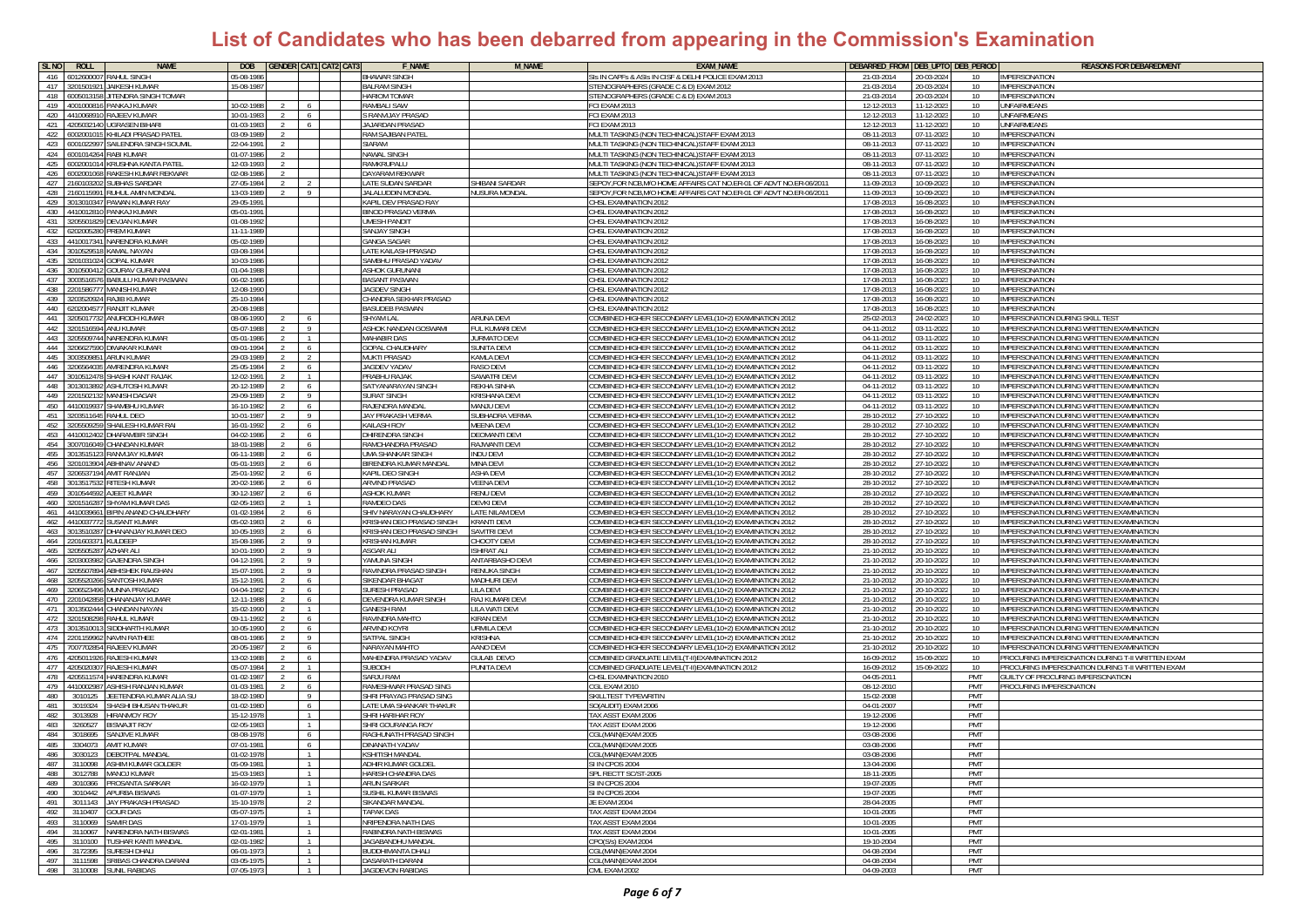| SL <sub>NO</sub><br>ROLL      | <b>NAME</b>                    | <b>DOB</b>     |               |                | <b>GENDER CAT1 CAT2 CAT3</b> | <b>F_NAME</b>                    | <b>M_NAME</b>            | <b>EXAM NAME</b>                                                   | DEBARRED_FROM DEB_UPTO DEB_PERIOD |            |                  | <b>REASONS FOR DEBAREDMENT</b>                          |
|-------------------------------|--------------------------------|----------------|---------------|----------------|------------------------------|----------------------------------|--------------------------|--------------------------------------------------------------------|-----------------------------------|------------|------------------|---------------------------------------------------------|
| 416 6012600007                | RAHUL SINGH                    | 05-08-1986     |               |                |                              | <b>BHAWAR SINGH</b>              |                          | SIS IN CAPFS & ASIS IN CISF & DELHI POLICE EXAM 2013               | 21-03-2014                        | 20-03-2024 | 10               | IMPERSONATION                                           |
| 417 3201501921                | <b>JAIKESH KUMAR</b>           | 15-08-1987     |               |                |                              | <b>BALRAM SINGH</b>              |                          | STENOGRAPHERS (GRADE C & D) EXAM 2012                              | 21-03-2014                        | 20-03-2024 | 10               | <b>IMPERSONATION</b>                                    |
| 418<br>600501315              | JITENDRA SINGH TOMAR           |                |               |                |                              | <b>HARIOM TOMAR</b>              |                          | STENOGRAPHERS (GRADE C & D) EXAM 2013                              | 21-03-2014                        | 20-03-2024 | $10^{-}$         | <b>IMPERSONATION</b>                                    |
| 419<br>4001000816             | PANKAJ KUMAR                   | 10-02-198      |               |                |                              | RAMBALI SAW                      |                          | FCI EXAM 2013                                                      | 12-12-2013                        | 11-12-2023 | 10               | UNFAIRMEANS                                             |
| 420<br>441006891              | RAJEEV KUMAR                   | 10-01-198      |               | - 6            |                              | S RANVIJAY PRASAD                |                          | CI EXAM 2013                                                       | 12-12-2013                        | 11-12-2023 | 10 <sup>1</sup>  | <b>JNFAIRMEANS</b>                                      |
| 421<br>120503214              | <b>GRASEN BIHARI</b>           | 01-03-1983     |               | <b>6</b>       |                              | <b>AJARDAN PRASAD</b>            |                          | CI EXAM 2013                                                       | 12-12-2013                        | 11-12-202  | 10 <sup>1</sup>  | <b>JNFAIRMEANS</b>                                      |
| 422<br>50020010               | HILADI PRASAD PATE             | 03-09-1989     |               |                |                              | RAM SAJIBAN PATEI                |                          | <b>IULTI TASKING (NON TECHINICAL)STAFF EXAM 2013</b>               | 08-11-2013                        | 07-11-2023 | 10 <sup>1</sup>  | <b>IMPERSONATION</b>                                    |
| 423<br>6001022997             | AILENDRA SINGH SOUMI           | 22-04-1991     |               |                |                              | <b>SIARAM</b>                    |                          | <b>IULTI TASKING (NON TECHINICAL)STAFF EXAM 2013</b>               | 08-11-2013                        | 07-11-2023 | 10               | MPERSONATION                                            |
| 424<br>6001014264             | RABI KUMAR                     | 01-07-1986     |               |                |                              | NAWAL SINGH                      |                          | MULTI TASKING (NON TECHINICAL) STAFF EXAM 2013                     | 08-11-2013                        | 07-11-2023 | 10               | <b>IMPERSONATION</b>                                    |
| 425<br>6002001014             | KRUSHNA KANTA PATEI            | 12-03-1993     |               |                |                              | RAMKRUPALU                       |                          | MULTI TASKING (NON TECHINICAL) STAFF EXAM 2013                     | 08-11-2013                        | 07-11-2023 | 10 <sup>10</sup> | <b>IMPERSONATION</b>                                    |
| 426<br>6002001068             | RAKESH KUMAR REKWAR            | 12-08-1986     |               |                |                              | <b>DAYARAM REKWAR</b>            |                          | MULTI TASKING (NON TECHINICAL)STAFF EXAM 2013                      | 08-11-2013                        | 07-11-2023 | 10               | <b>IMPERSONATION</b>                                    |
| 427<br>16010320               | <b>JBHAS SARDAR</b>            | 27-05-1984     |               |                |                              | LATE SUDAN SARDAR                | <b>HIBANI SARDAR</b>     | EPOY, FOR NCB, M/O HOME AFFAIRS CAT NO.ER-01 OF ADVT NO.ER-06/2011 | 11-09-2013                        | 10-09-2023 | 10               | <b>IMPERSONATION</b>                                    |
| 428<br>160115991              | <b>RUHUL AMIN MONDAI</b>       | 13-03-1989     |               | -9             |                              | ALALUDDIN MONDAI                 | <b>IUSURA MONDAL</b>     | SEPOY,FOR NCB,M/O HOME AFFAIRS CAT NO.ER-01 OF ADVT NO.ER-06/2011  | 11-09-2013                        | 10-09-2023 | 10               | <b>IMPERSONATION</b>                                    |
| 429 3013010347                | PAWAN KUMAR RAY                | 29-05-1991     |               |                |                              | KAPIL DEV PRASAD RAY             |                          | CHSL EXAMINATION 2012                                              | 17-08-2013                        | 16-08-2023 | 10               | <b>IMPERSONATION</b>                                    |
| 430<br>4410012810             | PANKAJ KUMAR                   | 05-01-1991     |               |                |                              | <b>BINOD PRASAD VERMA</b>        |                          | CHSL EXAMINATION 2012                                              | 17-08-2013                        | 16-08-2023 | 10               | <b>IMPERSONATION</b>                                    |
| 431<br>205501829              | DEVJAN KUMAR                   | 01-08-1992     |               |                |                              | <b>UMESH PANDIT</b>              |                          | CHSL EXAMINATION 201:                                              | 17-08-201                         | 16-08-202  | $10^{-}$         | IMPERSONATION                                           |
| 432<br>620200528              | PREM KUMAR                     | 11-11-1989     |               |                |                              | <b>SANJAY SINGH</b>              |                          | CHSL EXAMINATION 2012                                              | 17-08-2013                        | 16-08-202  | 10 <sup>1</sup>  | <b>IMPERSONATION</b>                                    |
| 433<br>441001734              | NARENDRA KUMAF                 | 05-02-198      |               |                |                              | <b>GANGA SAGAR</b>               |                          | <b>CHSL EXAMINATION 201:</b>                                       | 17-08-2013                        | 16-08-202  | 10               | <b>IMPERSONATION</b>                                    |
| 434<br>30105295               | <b>CAMAL NAYAN</b>             | 03-08-1984     |               |                |                              | <b>LATE KAILASH PRASAD</b>       |                          | <b>HSL EXAMINATION 2012</b>                                        | 17-08-2013                        | 16-08-202  | 10               | <b>IMPERSONATION</b>                                    |
| 435<br>20103102               | <b>GOPAL KUMAR</b>             | 10-03-1986     |               |                |                              | SAMBHU PRASAD YADAV              |                          | <b>HSL EXAMINATION 2013</b>                                        | 17-08-2013                        | 16-08-202  | 10               | <b>IMPERSONATION</b>                                    |
| 436<br>3010500412             | GOURAV GURUNAN                 | 01-04-1988     |               |                |                              | ASHOK GURUNANI                   |                          | CHSL EXAMINATION 2012                                              | 17-08-2013                        | 16-08-2023 | 10               | IMPERSONATION                                           |
| 437<br>3003516576             | BABULU KUMAR PASWAN            | 06-02-1986     |               |                |                              | <b>BASANT PASWAN</b>             |                          | HSL EXAMINATION 2012:                                              | 17-08-2013                        | 16-08-2023 | 10               | <b>IMPERSONATION</b>                                    |
| 438<br>20158677               | AANISH KUMAR                   | 12-08-199      |               |                |                              | AGDEV SINGH                      |                          | <b>HSL EXAMINATION 2012</b>                                        | 17-08-2013                        | 16-08-202  | 10               | <b>IMPERSONATION</b>                                    |
| 439<br>0352092                | A JIB KUMAF                    | 5-10-198       |               |                |                              | HANDRA SEKHAR PRASAD             |                          | ISL EXAMINATION 2012                                               | 17-08-201                         | 16-08-202  | 10               | MPERSONATION                                            |
| 440<br>20200457               | <b>ANJIT KUMAR</b>             | 20-08-1988     |               |                |                              | <b>BASUDEB PASWAN</b>            |                          | <b>HSL EXAMINATION 2012</b>                                        | 17-08-201                         | 16-08-202  | 10               | <b>IMPERSONATION</b>                                    |
| 441<br>3205017732             | ANURODH KUMAR                  | 08-06-1990     |               | - 6            |                              | <b>SHYAM LAL</b>                 | <b>ARUNA DEVI</b>        | OMBINED HIGHER SECONDARY LEVEL(10+2) EXAMINATION 2012              | 25-02-2013                        | 24-02-2023 | 10               | <b>IMPERSONATION DURING SKILL TEST</b>                  |
| 442 3201516594                | ANU KUMAR                      | 05-07-1988     | $\mathcal{L}$ | $\overline{9}$ |                              | ASHOK NANDAN GOSWAMI             | UL KUMARI DEVI           | OMBINED HIGHER SECONDARY LEVEL(10+2) EXAMINATION 2012              | 04-11-2012                        | 03-11-2022 | 10               | <b>IMPERSONATION DURING WRITTEN EXAMINATION</b>         |
| 443                           | 3205509744 NARENDRA KUMAR      | 05-01-1986     |               | $\overline{1}$ |                              | <b>MAHABIR DAS</b>               | URMATO DEVI              | OMBINED HIGHER SECONDARY LEVEL(10+2) EXAMINATION 2012              | 04-11-2012                        | 03-11-202  | 10               | IMPERSONATION DURING WRITTEN EXAMINATION                |
| 444 3206627590                | DIWAKAR KUMAR                  | 09-01-1994     |               | 6              |                              | <b>GOPAL CHAUDHARY</b>           | <b>SUNITA DEVI</b>       | COMBINED HIGHER SECONDARY LEVEL(10+2) EXAMINATION 2012             | 04-11-2012                        | 03-11-2022 | 10 <sup>1</sup>  | IMPERSONATION DURING WRITTEN EXAMINATION                |
| 445<br>300350985              | ARUN KUMAR                     | 29-03-1989     |               | $\overline{2}$ |                              | <b>MUKTI PRASAD</b>              | KAMLA DEVI               | COMBINED HIGHER SECONDARY LEVEL(10+2) EXAMINATION 2012             | 04-11-2012                        | 03-11-2022 | 10               | IMPERSONATION DURING WRITTEN EXAMINATION                |
| 446<br>320656403              | AMRENDRA KUMAR                 | 25-05-1984     |               | 6              |                              | <b>AGDEV YADAV</b>               | RASO DEVI                | OMBINED HIGHER SECONDARY LEVEL(10+2) EXAMINATION 2012              | 04-11-2012                        | 03-11-2022 | 10               | IMPERSONATION DURING WRITTEN EXAMINATION                |
| 447<br>301051247              | SHASHI KANT RAJAK              | 12-02-1991     |               |                |                              | <b>RABHU RAJAK</b>               | SAWATRI DEVI             | OMBINED HIGHER SECONDARY LEVEL(10+2) EXAMINATION 2012              | 04-11-2012                        | 03-11-2022 | 10               | IMPERSONATION DURING WRITTEN EXAMINATION                |
| 448<br>301301389              | SHUTOSH KUMAR                  | 20-12-1989     |               | 6              |                              | SATYANARAYAN SINGH               | REKHA SINHA              | OMBINED HIGHER SECONDARY LEVEL(10+2) EXAMINATION 2012              | 04-11-2012                        | 03-11-2022 | 10               | MPERSONATION DURING WRITTEN EXAMINATION                 |
| 449<br>2201502132             | MANISH DAGAR                   | 29-09-1989     | $\mathcal{L}$ | 9              |                              | <b>SURAT SINGH</b>               | KRISHANA DEVI            | COMBINED HIGHER SECONDARY LEVEL(10+2) EXAMINATION 2012             | 04-11-2012                        | 03-11-2022 | 10 <sup>1</sup>  | IMPERSONATION DURING WRITTEN EXAMINATION                |
| 450<br>441001993              | HAMBHU KUMAR                   | 16-10-1982     |               | 6              |                              | RAJENDRA MANDAI                  | MANJU DEVI               | OMBINED HIGHER SECONDARY LEVEL(10+2) EXAMINATION 2012              | 04-11-2012                        | 03-11-2022 | 10               | IMPERSONATION DURING WRITTEN EXAMINATION                |
| 451<br>0351164                | AHUL DEO                       | $0 - 01 - 198$ |               | - 9            |                              | JAY PRAKASH VERMA                | UBHADRA VERMA            | OMBINED HIGHER SECONDARY LEVEL(10+2) EXAMINATION 2012              | 28-10-2012                        | 27-10-2022 | 10               | MPERSONATION DURING WRITTEN EXAMINATION                 |
| 452<br>20550925               | HAILESH KUMAR RAI              | 16-01-1992     |               | 6              |                              | KAILASH ROY                      | <b>IEENA DEVI</b>        | OMBINED HIGHER SECONDARY LEVEL(10+2) EXAMINATION 2012              | 28-10-2012                        | 27-10-202  | 10               | IMPERSONATION DURING WRITTEN EXAMINATION                |
| 453<br>4410012402             | <b>DHARAMBIR SINGH</b>         | 04-02-1986     | 2             | 6              |                              | <b>DHIRENDRA SINGH</b>           | <b>DEOMANTI DEVI</b>     | OMBINED HIGHER SECONDARY LEVEL(10+2) EXAMINATION 2012              | 28-10-2012                        | 27-10-2022 | 10               | IMPERSONATION DURING WRITTEN EXAMINATION                |
| 454 3007016049                | CHANDAN KUMAR                  | 18-01-1988     | $\mathcal{L}$ | 6              |                              | RAMCHANDRA PRASAD                | RAJWANTI DEVI            | OMBINED HIGHER SECONDARY LEVEL(10+2) EXAMINATION 2012              | 28-10-2012                        | 27-10-2022 | 10               | IMPERSONATION DURING WRITTEN EXAMINATION                |
| 455<br>3013515123             | RANVIJAY KUMAR                 | 06-11-198      |               | 6              |                              | UMA SHANKAR SINGH                | INDU DEVI                | OMBINED HIGHER SECONDARY LEVEL(10+2) EXAMINATION 2011              | 28-10-2012                        | 27-10-202  | 10               | IMPERSONATION DURING WRITTEN EXAMINATION                |
| 456                           | 201013904 ABHINAV ANAND        | 05-01-1993     |               | 6              |                              | BIRENDRA KUMAR MANDAI            | MINA DEVI                | OMBINED HIGHER SECONDARY LEVEL(10+2) EXAMINATION 2012              | 28-10-2012                        | 27-10-202  | 10               | IMPERSONATION DURING WRITTEN EXAMINATION                |
| 457                           | 3206537194 AMIT RANJAN         | 25-01-1992     |               | - 6            |                              | <b>KAPIL DEO SINGH</b>           | ASHA DEVI                | COMBINED HIGHER SECONDARY LEVEL(10+2) EXAMINATION 2012             | 28-10-2012                        | 27-10-202  | 10 <sup>1</sup>  | <b>IMPERSONATION DURING WRITTEN EXAMINATION</b>         |
| 458<br>0135175                | <b>RITESH KUMAR</b>            | 20-02-198      |               | 6              |                              | <b>ARVIND PRASAD</b>             | <b>/EENA DEV</b>         | OMBINED HIGHER SECONDARY LEVEL(10+2) EXAMINATION 2012              | 28-10-2012                        | 27-10-202  | 10               | IMPERSONATION DURING WRITTEN EXAMINATION                |
| 459<br>301054459              | AJEET KUMAR                    | 30-12-198      |               | - 6            |                              | <b>ASHOK KUMAR</b>               | RENU DEVI                | OMBINED HIGHER SECONDARY LEVEL (10+2) EXAMINATION 2012             | 28-10-2012                        | 27-10-202  | 10               | IMPERSONATION DURING WRITTEN EXAMINATION                |
| 20151628<br>460               | SHYAM KUMAR DAS                | 02-05-1983     |               |                |                              | RAMDEO DAS                       | <b>DEVKI DEVI</b>        | OMBINED HIGHER SECONDARY LEVEL(10+2) EXAMINATION 2012              | 28-10-2012                        | 27-10-202  | 10               | MPERSONATION DURING WRITTEN EXAMINATION                 |
| 461<br>4410039661             | <b>BIPIN ANAND CHAUDHARY</b>   | 01-02-1984     |               | 6              |                              | SHIV NARAYAN CHAUDHARY           | LATE NILAM DEVI          | OMBINED HIGHER SECONDARY LEVEL(10+2) EXAMINATION 2012              | 28-10-2012                        | 27-10-2022 | 10 <sup>1</sup>  | IMPERSONATION DURING WRITTEN EXAMINATION                |
| 462 4410037772                | JSANT KUMAR                    | 05-02-1983     |               | 6 <sup>6</sup> |                              | KRISHAN DEO PRASAD SINGH         | KRANTI DEVI              | OMBINED HIGHER SECONDARY LEVEL(10+2) EXAMINATION 2012              | 28-10-2012                        | 27-10-2022 | 10               | IMPERSONATION DURING WRITTEN EXAMINATION                |
| 463<br>30135102               | HANANJAY KUMAR DEO             | 0-05-1993      |               | 6              |                              | <b>(RISHAN DEO PRASAD SINGH)</b> | <b>SAVITRI DEVI</b>      | OMBINED HIGHER SECONDARY LEVEL(10+2) EXAMINATION 2012              | 28-10-2012                        | 27-10-202  | 10               | IMPERSONATION DURING WRITTEN EXAMINATION                |
| 464<br>20160337               | JLDEEP                         | 15-08-1986     | 2             | - 9            |                              | <b>RISHAN KUMAR</b>              | HOOTY DEV                | OMBINED HIGHER SECONDARY LEVEL(10+2) EXAMINATION 2012              | 28-10-2012                        | 27-10-2022 | 10               | MPERSONATION DURING WRITTEN EXAMINATION                 |
| 465<br>20550528               | ZHAR ALI                       | 10-01-1990     |               | $\overline{9}$ |                              | SGAR ALI                         | SHIRAT ALI               | OMBINED HIGHER SECONDARY LEVEL(10+2) EXAMINATION 2012              | 21-10-2012                        | 20-10-202  | 10               | IMPERSONATION DURING WRITTEN EXAMINATION                |
| 466<br>203003982              | <b>GAJENDRA SINGH</b>          | 04-12-1991     | $\mathcal{L}$ | $\overline{9}$ |                              | <b>AMUNA SINGH</b>               | <b>ANTARBASHO DEV</b>    | OMBINED HIGHER SECONDARY LEVEL(10+2) EXAMINATION 2012              | 21-10-2012                        | 20-10-2022 | 10               | IMPERSONATION DURING WRITTEN EXAMINATION                |
| 467<br>3205507894             | <b>ABHISHEK RAUSHAN</b>        | 15-07-1991     |               | 9              |                              | RAVINDRA PRASAD SINGH            | RENUKA SING <del>L</del> | OMBINED HIGHER SECONDARY LEVEL(10+2) EXAMINATION 2012              | 21-10-2012                        | 20-10-2022 | 10               | IMPERSONATION DURING WRITTEN EXAMINATION                |
| 468 3205520266                | SANTOSH KUMAR                  | 15-12-1991     |               | - 6            |                              | SIKENDAR BHAGAT                  | MADHURI DEVI             | OMBINED HIGHER SECONDARY LEVEL(10+2) EXAMINATION 2012              | 21-10-2012                        | 20-10-2022 | 10               | IMPERSONATION DURING WRITTEN EXAMINATION                |
| 469<br>3206523496             | MUNNA PRASAD                   | 04-04-1982     |               | - 6            |                              | SURESH PRASAD                    | <b>ILA DEVI</b>          | COMBINED HIGHER SECONDARY LEVEL(10+2) EXAMINATION 2012             | 21-10-2012                        | 20-10-2022 | 10               | IMPERSONATION DURING WRITTEN EXAMINATION                |
| 470<br>20104285               | HANANJAY KUMAR                 | 12-11-198      |               | 6              |                              | DEVENDRA KUMAR SINGH             | RAJ KUMARI DEVI          | OMBINED HIGHER SECONDARY LEVEL(10+2) EXAMINATION 2012              | 21-10-2012                        | 20-10-2022 | 10               | IMPERSONATION DURING WRITTEN EXAMINATION                |
| 471<br>3013502444             | <b>HANDAN NAYAN</b>            | 15-02-1990     |               | $\overline{1}$ |                              | <b>GANESH RAM</b>                | <b>ILA WATI DEVI</b>     | OMBINED HIGHER SECONDARY LEVEL(10+2) EXAMINATION 2012              | 21-10-2012                        | 20-10-202  | 10               | MPERSONATION DURING WRITTEN EXAMINATION                 |
| 472<br>20150829               | AHUL KUMAR                     | 09-11-1993     |               | - 6            |                              | RAVINDRA MAHTC                   | (IRAN DEV                | OMBINED HIGHER SECONDARY LEVEL(10+2) EXAMINATION 2012              | 21-10-2012                        | 20-10-202  | 10               | MPERSONATION DURING WRITTEN EXAMINATION                 |
| 473<br>3013510013             | SIDDHARTH KUMAR                | 10-05-1990     | $\mathcal{L}$ | 6              |                              | ARVIND KOYRI                     | URMILA DEV               | COMBINED HIGHER SECONDARY LEVEL(10+2) EXAMINATION 2012             | 21-10-2012                        | 20-10-2022 | 10               | IMPERSONATION DURING WRITTEN EXAMINATION                |
| 474 2201159962                | <b>NAVIN RATHEE</b>            | 08-01-1986     |               | 9              |                              | SATPAL SINGH                     | <b>CRISHNA</b>           | COMBINED HIGHER SECONDARY LEVEL(10+2) EXAMINATION 2012             | 21-10-2012                        | 20-10-2022 | 10 <sup>1</sup>  | IMPERSONATION DURING WRITTEN EXAMINATION                |
| 475<br>7007702854             | RAJEEV KUMAR                   | 20-05-198      |               | - 6            |                              | NARAYAN MAHTO                    | AANO DEVI                | OMBINED HIGHER SECONDARY LEVEL(10+2) EXAMINATION 2012              | 21-10-2012                        | 20-10-2022 | 10               | MPERSONATION DURING WRITTEN EXAMINATION                 |
| 476<br>420501192              | NESH KUMAR                     | 13-02-1988     |               | - 6            |                              | MAHENDRA PRASAD YADAV            | <b>JULAB DEVO</b>        | OMBINED GRADUATE LEVEL(T-II)EXAMINATION 2012                       | 16-09-2012                        | 15-09-2022 | 10               | ROCURING IMPERSONATION DURING T-II WRITTEN EXAM         |
| 477<br>20502030               | RAJESH KUMAR                   | 05-07-1984     |               |                |                              | <b>UBODH</b>                     | UNITA DEVI               | OMBINED GRADUATE LEVEL(T-II)EXAMINATION 2012                       | 16-09-2012                        | 15-09-202  | 10               | <b>PROCURING IMPERSONATION DURING T-II WRITTEN EXAM</b> |
| 478 4205511574 HARENDRA KUMAR |                                | 01-02-1987     | $\mathcal{L}$ | 6              |                              | SARJU RAM                        |                          | CHSL EXAMINATION 2010                                              | 04-05-2011                        |            | PMT              | <b>SUILTY OF PROCURING IMPERSONATION</b>                |
| 479 4410002987                | <b>ASHISH RANJAN KUMAR</b>     | 01-03-1981     |               | 6              |                              | RAMESHWAR PRASAD SING            |                          | CGL EXAM 2010                                                      | 08-12-2010                        |            | <b>PMT</b>       | PROCURING IMPERSONATION                                 |
| 480<br>3010125                | EETENDRA KUMAR ALIA SL         | 18-02-1980     |               | - 9            |                              | SHRI PRAYAG PRASAD SING          |                          | SKILLTEST TYPEWRITI                                                | 15-02-2008                        |            | PMT              |                                                         |
| 481<br>3019324                | SHASHI BHUSAN THAKUR           | 01-02-1980     |               | 6              |                              | LATE UMA SHANKAR THAKUR          |                          | SO(AUDIT) EXAM 2006                                                | 04-01-2007                        |            | PMT              |                                                         |
| 482<br>3013928                | <b>IIRANMOY ROY</b>            | 15-12-197      |               | $\overline{1}$ |                              | SHRI HARIHAR ROY                 |                          | TAX ASST FXAM 2006                                                 | 19-12-2006                        |            | PMT              |                                                         |
| 483<br>3260527                | <b>ISWAJIT ROY</b>             | 12-05-198      |               | $\overline{1}$ |                              | SHRI GOURANGA ROY                |                          | TAX ASST EXAM 2006                                                 | 19-12-2006                        |            | PMT              |                                                         |
| 484<br>3018695                | SANJIVE KUMAR                  | 08-08-1978     |               | - 6            |                              | RAGHUNATH PRASAD SINGH           |                          | GL(MAIN)EXAM 2005                                                  | 03-08-2006                        |            | PMT              |                                                         |
| 3304073<br>485                | <b>AMIT KUMAR</b>              | 07-01-1981     |               | 6              |                              | DINANATH YADAV                   |                          | CGL(MAIN)EXAM 2005                                                 | 03-08-2006                        |            | PMT              |                                                         |
| 3030123                       |                                |                |               |                |                              |                                  |                          |                                                                    |                                   |            |                  |                                                         |
| 487                           | 3110098 ASHIM KUMAR GOLDER     | 05-09-1981     |               | $\overline{1}$ |                              | ADHIR KUMAR GOLDEL               |                          | SI IN CPOS 2004                                                    | 13-04-2006                        |            | PMT              |                                                         |
| 488                           | 3012788 MANOJ KUMAR            | 15-03-1983     |               | $\overline{1}$ |                              | HARISH CHANDRA DAS               |                          | SPL RECTT SC/ST-2005                                               | 18-11-2005                        |            | PMT              |                                                         |
| 489<br>3010366                | <b>PROSANTA SARKAR</b>         | 16-02-1979     |               | $\overline{1}$ |                              | ARUN SARKAR                      |                          | SI IN CPOS 2004                                                    | 19-07-2005                        |            | PMT              |                                                         |
| 490 3010442 APURBA BISWAS     |                                | 01-07-1979     |               | $\overline{1}$ |                              | SUSHIL KUMAR BISWAS              |                          | SI IN CPOS 2004                                                    | 19-07-2005                        |            | PMT              |                                                         |
|                               | 491 3011143 JAY PRAKASH PRASAD | 15-10-1978     |               | 2              |                              | SIKANDAR MANDAL                  |                          | JE EXAM 2004                                                       | 28-04-2005                        |            | <b>PMT</b>       |                                                         |
| 492<br>3110407                | GOUR DAS                       | 05-07-1975     |               | $\overline{1}$ |                              | TAPAK DAS                        |                          | TAX ASST EXAM 2004                                                 | 10-01-2005                        |            | PMT              |                                                         |
| 493 3110069 SAMIR DAS         |                                | 17-01-1979     |               | $\overline{1}$ |                              | NRIPENDRA NATH DAS               |                          | TAX ASST EXAM 2004                                                 | 10-01-2005                        |            | PMT              |                                                         |
| 494<br>3110067                | NARENDRA NATH BISWAS           | 02-01-1981     |               | $\overline{1}$ |                              | RABINDRA NATH BISWAS             |                          | TAX ASST EXAM 2004                                                 | 10-01-2005                        |            | PMT              |                                                         |
| 495<br>3110100                | <b>TUSHAR KANTI MANDAL</b>     | 02-01-1982     |               | $\overline{1}$ |                              | JAGABANDHU MANDAL                |                          | CPO(S/s) EXAM 2004                                                 | 19-10-2004                        |            | PMT              |                                                         |
| 496<br>3172395                | SURESH DHALI                   | 06-01-1973     |               | $\overline{1}$ |                              | <b>BUDDHIMANTA DHALI</b>         |                          | CGL(MAIN)EXAM 2004                                                 | 04-08-2004                        |            | <b>PMT</b>       |                                                         |
| 497<br>3111598                | SRIBAS CHANDRA DARANI          | 03-05-1975     |               | $\overline{1}$ |                              | DASARATH DARANI                  |                          | CGL(MAIN)EXAM 2004                                                 | 04-08-2004                        |            | PMT              |                                                         |
| 498 3110008 SUNIL RABIDAS     |                                | 07-05-1973     |               | $1\quad$       |                              | JAGDEVON RABIDAS                 |                          | CML EXAM 2002                                                      | 04-09-2003                        |            | PMT              |                                                         |